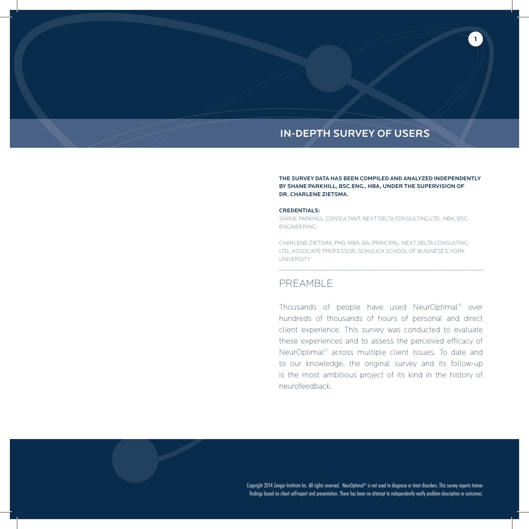### IN-DEPTH SURVEY OF USERS

THE SURVEY DATA HAS BEEN COMPILED AND ANALYZED INDEPENDENTLY BY SHANE PARKHILL, BSC.ENG., HBA, UNDER THE SUPERVISION OF DR. CHARLENE ZIETSMA.

**1**

#### CREDENTIALS:

SHANE PARKHILL, CONSULTANT, NEXT DELTA CONSULTING LTD., HBA, BSC. ENGINEERING

CHARLENE ZIETSMA, PHD, MBA, BA, PRINCIPAL, NEXT DELTA CONSULTING LTD., ASSOCIATE PROFESSOR, SCHULICH SCHOOL OF BUSINESES, YORK **UNIVERSITY** 

### PREAMBLE

Thousands of people have used NeurOptimal® over hundreds of thousands of hours of personal and direct client experience. This survey was conducted to evaluate these experiences and to assess the perceived efficacy of NeurOptimal® across multiple client issues. To date and to our knowledge, the original survey and its follow-up is the most ambitious project of its kind in the history of neurofeedback.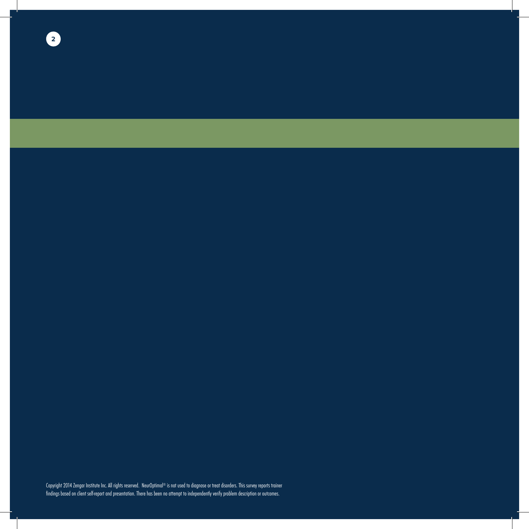**2**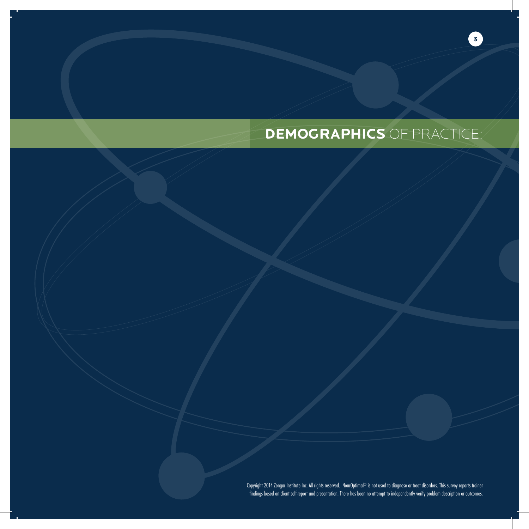## **DEMOGRAPHICS** OF PRACTICE:

**3**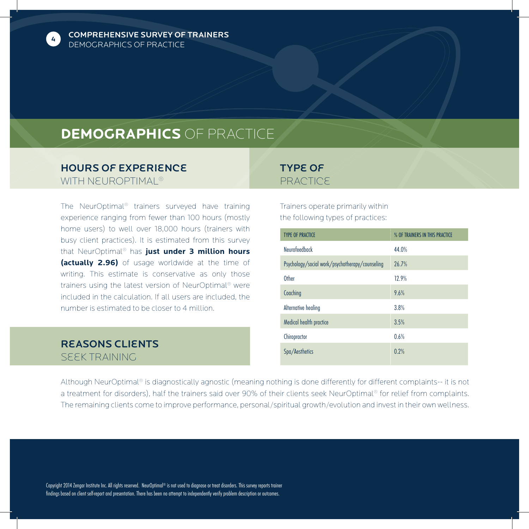

COMPREHENSIVE SURVEY OF TRAINERS DEMOGRAPHICS OF PRACTICE

## **DEMOGRAPHICS** OF PRACTICE

### Hours of Experience WITH NEUROPTIMAL<sup>®</sup>

The NeurOptimal® trainers surveyed have training experience ranging from fewer than 100 hours (mostly home users) to well over 18,000 hours (trainers with busy client practices). It is estimated from this survey that NeurOptimal® has **just under 3 million hours (actually 2.96)** of usage worldwide at the time of writing. This estimate is conservative as only those trainers using the latest version of NeurOptimal® were included in the calculation. If all users are included, the number is estimated to be closer to 4 million.

### Reasons Clients Seek Training

### Type of **PRACTICE**

Trainers operate primarily within the following types of practices:

| <b>TYPE OF PRACTICE</b>                         | % OF TRAINERS IN THIS PRACTICE |
|-------------------------------------------------|--------------------------------|
| Neurofeedback                                   | 44.0%                          |
| Psychology/social work/psychotherapy/counseling | 26.7%                          |
| Other                                           | 12.9%                          |
| Coaching                                        | 9.6%                           |
| Alternative healing                             | 3.8%                           |
| Medical health practice                         | 3.5%                           |
| Chiropractor                                    | 0.6%                           |
| Spa/Aesthetics                                  | 0.2%                           |

Although NeurOptimal® is diagnostically agnostic (meaning nothing is done differently for different complaints-- it is not a treatment for disorders), half the trainers said over 90% of their clients seek NeurOptimal® for relief from complaints. The remaining clients come to improve performance, personal/spiritual growth/evolution and invest in their own wellness.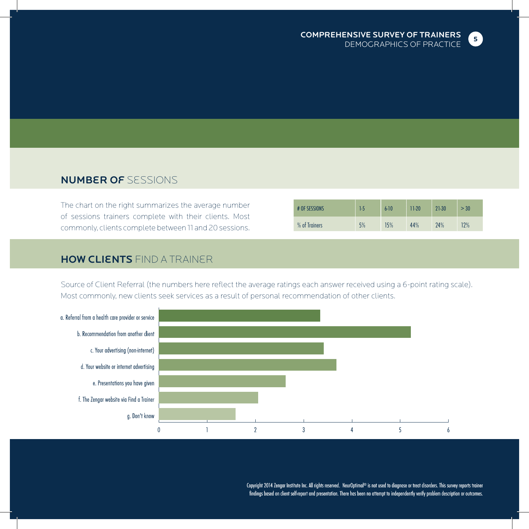

### Number of Sessions

The chart on the right summarizes the average number of sessions trainers complete with their clients. Most commonly, clients complete between 11 and 20 sessions.

| # OF SESSIONS | 1.5 | $6 - 10$ | $11-20$ | 21-30 | > 30 |
|---------------|-----|----------|---------|-------|------|
| % of Trainers | 5%  | 15%      | 44%     | 24%   | 12%  |

### **HOW CLIENTS** FIND A TRAINER

Source of Client Referral (the numbers here reflect the average ratings each answer received using a 6-point rating scale). Most commonly, new clients seek services as a result of personal recommendation of other clients.

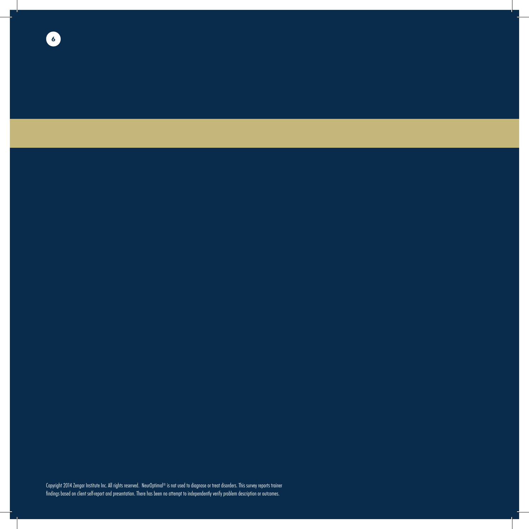**6**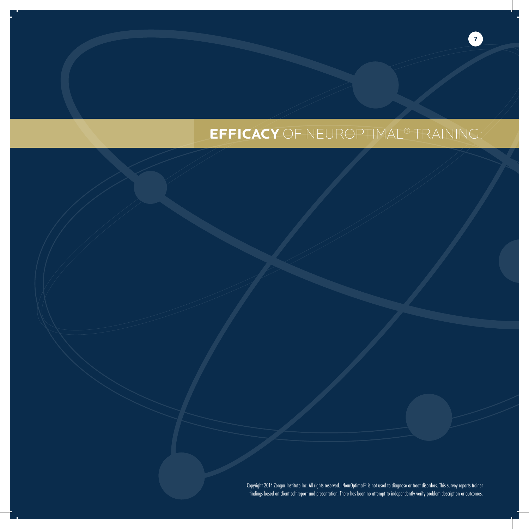# **EFFICACY** OF NEUROPTIMAL® TRAINING:

**7**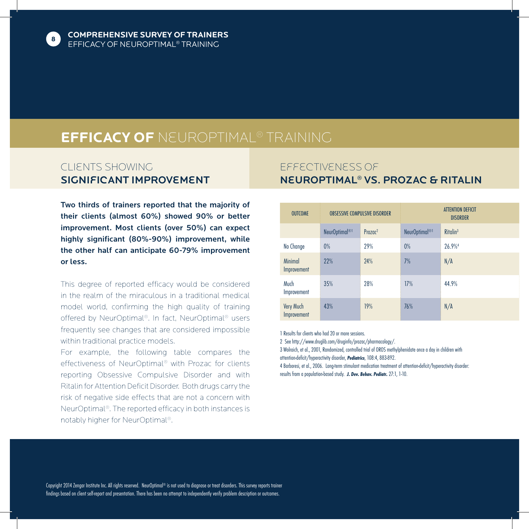

## **EFFICACY OF** NeurOptimal® TRAINING

### Clients Showing SIGNIFICANT IMPROVEMENT

Two thirds of trainers reported that the majority of their clients (almost 60%) showed 90% or better improvement. Most clients (over 50%) can expect highly significant (80%-90%) improvement, while the other half can anticipate 60-79% improvement or less.

This degree of reported efficacy would be considered in the realm of the miraculous in a traditional medical model world, confirming the high quality of training offered by NeurOptimal®. In fact, NeurOptimal® users frequently see changes that are considered impossible within traditional practice models.

For example, the following table compares the effectiveness of NeurOptimal® with Prozac for clients reporting Obsessive Compulsive Disorder and with Ritalin for Attention Deficit Disorder. Both drugs carry the risk of negative side effects that are not a concern with NeurOptimal®. The reported efficacy in both instances is notably higher for NeurOptimal®.

### Effectiveness of NeurOptimal® vs. Prozac & Ritalin

| <b>OUTCOME</b>                |                           | <b>OBSESSIVE COMPULSIVE DISORDER</b> |                           | <b>ATTENTION DEFICIT</b><br><b>DISORDER</b> |
|-------------------------------|---------------------------|--------------------------------------|---------------------------|---------------------------------------------|
|                               | NeurOptimal <sup>®1</sup> | Prozac <sup>2</sup>                  | NeurOptimal <sup>®1</sup> | Ritalin <sup>3</sup>                        |
| No Change                     | 0%                        | 29%                                  | $0\%$                     | 26.9%                                       |
| <b>Minimal</b><br>Improvement | 22%                       | 24%                                  | 7%                        | N/A                                         |
| Much<br>Improvement           | 35%                       | 28%                                  | 17%                       | 44.9%                                       |
| Very Much<br>Improvement      | 43%                       | 19%                                  | 76%                       | N/A                                         |

1 Results for clients who had 20 or more sessions.

2 See http://www.druglib.com/druginfo/prozac/pharmacology/.

3 Wolraich, et al., 2001, Randomized, controlled trial of OROS methylphenidate once a day in children with attention-deficit/hyperactivity disorder, *Pediatrics*, 108:4, 883-892.

4 Barboresi, et al., 2006. Long-term stimulant medication treatment of attention-deficit/hyperactivity disorder: results from a population-based study. *J. Dev. Behav. Pediatr.* 27:1, 1-10.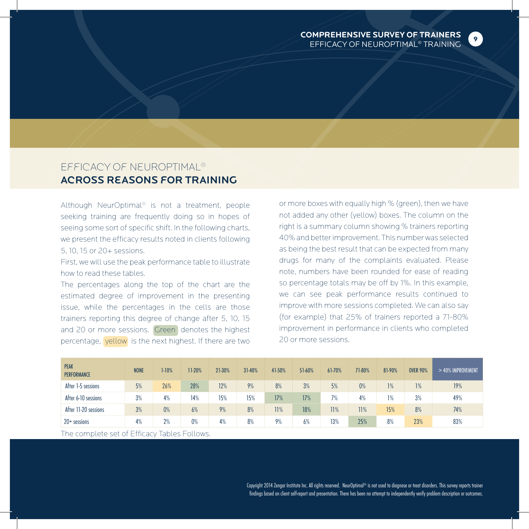**9**

### Efficacy of NeurOptimal® Across Reasons for Training

Although NeurOptimal® is not a treatment, people seeking training are frequently doing so in hopes of seeing some sort of specific shift. In the following charts, we present the efficacy results noted in clients following 5, 10, 15 or 20+ sessions.

First, we will use the peak performance table to illustrate how to read these tables.

The percentages along the top of the chart are the estimated degree of improvement in the presenting issue, while the percentages in the cells are those trainers reporting this degree of change after 5, 10, 15 and 20 or more sessions. Green denotes the highest percentage, yellow is the next highest. If there are two or more boxes with equally high % (green), then we have not added any other (yellow) boxes. The column on the right is a summary column showing % trainers reporting 40% and better improvement. This number was selected as being the best result that can be expected from many drugs for many of the complaints evaluated. Please note, numbers have been rounded for ease of reading so percentage totals may be off by 1%. In this example, we can see peak performance results continued to improve with more sessions completed. We can also say (for example) that 25% of trainers reported a 71-80% improvement in performance in clients who completed 20 or more sessions.

| <b>PEAK</b><br><b>PERFORMANCE</b> | <b>NONE</b> | $1-10%$ | 11-20% | 21-30% | 31-40% | 41-50% | 51-60% | 61-70% | 71-80% | 81-90% | <b>OVER 90%</b> | $>40\%$ IMPROVEMENT |
|-----------------------------------|-------------|---------|--------|--------|--------|--------|--------|--------|--------|--------|-----------------|---------------------|
| After 1-5 sessions                | 5%          | 26%     | 28%    | 12%    | 9%     | 8%     | 3%     | 5%     | 0%     | 1%     | 1%              | 19%                 |
| After 6-10 sessions               | 3%          | 4%      | 14%    | 15%    | 15%    | 17%    | 17%    | 7%     | 4%     | 1%     | 3%              | 49%                 |
| After 11-20 sessions              | 3%          | 0%      | 6%     | 9%     | 8%     | 11%    | 18%    | 11%    | 11%    | 15%    | 8%              | 74%                 |
| $20+$ sessions                    | 4%          | 2%      | 0%     | 4%     | 8%     | 9%     | 6%     | 13%    | 25%    | 8%     | 23%             | 83%                 |

The complete set of Efficacy Tables Follows.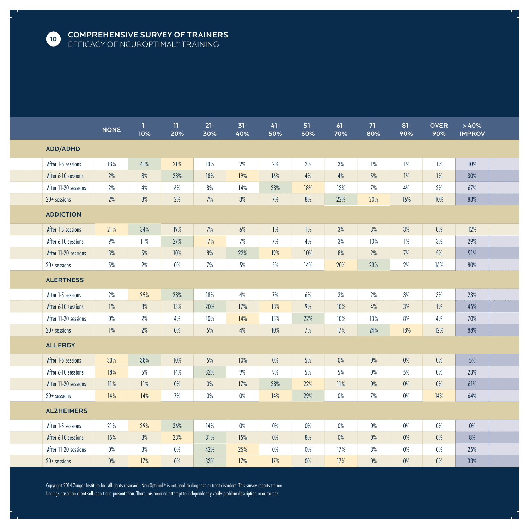

|                      | <b>NONE</b> | $\mathbf{1}$<br>10% | $11 -$<br>20% | $21 -$<br>30% | $31 -$<br>40% | $41 -$<br>50% | $51-$<br>60% | $61 -$<br>70% | $71 -$<br>80% | $81 -$<br>90% | <b>OVER</b><br>90% | >40%<br><b>IMPROV</b> |  |
|----------------------|-------------|---------------------|---------------|---------------|---------------|---------------|--------------|---------------|---------------|---------------|--------------------|-----------------------|--|
| <b>ADD/ADHD</b>      |             |                     |               |               |               |               |              |               |               |               |                    |                       |  |
| After 1-5 sessions   | 13%         | 41%                 | 21%           | 13%           | 2%            | 2%            | 2%           | 3%            | 1%            | 1%            | 1%                 | 10%                   |  |
| After 6-10 sessions  | 2%          | 8%                  | 23%           | 18%           | 19%           | 16%           | 4%           | 4%            | 5%            | 1%            | 1%                 | 30%                   |  |
| After 11-20 sessions | $2\%$       | $4\%$               | $6\%$         | $8\%$         | 14%           | 23%           | 18%          | 12%           | $7\%$         | $4\%$         | $2\%$              | 67%                   |  |
| $20+$ sessions       | 2%          | $3\%$               | 2%            | 7%            | $3\%$         | 7%            | $8\%$        | 22%           | 20%           | 16%           | 10%                | 83%                   |  |
| <b>ADDICTION</b>     |             |                     |               |               |               |               |              |               |               |               |                    |                       |  |
| After 1-5 sessions   | 21%         | 34%                 | 19%           | 7%            | 6%            | 1%            | 1%           | 3%            | 3%            | 3%            | $0\%$              | 12%                   |  |
| After 6-10 sessions  | 9%          | 11%                 | 27%           | 17%           | 7%            | 7%            | 4%           | 3%            | 10%           | 1%            | 3%                 | 29%                   |  |
| After 11-20 sessions | 3%          | $5\%$               | 10%           | 8%            | 22%           | 19%           | $10%$        | $8\%$         | $2\%$         | 7%            | $5%$               | 51%                   |  |
| $20+$ sessions       | 5%          | $2\%$               | $0\%$         | 7%            | $5\%$         | $5\%$         | 14%          | 20%           | 23%           | $2\%$         | 16%                | 80%                   |  |
| <b>ALERTNESS</b>     |             |                     |               |               |               |               |              |               |               |               |                    |                       |  |
| After 1-5 sessions   | 2%          | 25%                 | 28%           | 18%           | 4%            | 7%            | 6%           | 3%            | 2%            | 3%            | 3%                 | 23%                   |  |
| After 6-10 sessions  | 1%          | 3%                  | 13%           | 20%           | 17%           | 18%           | 9%           | 10%           | 4%            | 3%            | 1%                 | 45%                   |  |
| After 11-20 sessions | $0\%$       | $2\%$               | 4%            | 10%           | 14%           | 13%           | 22%          | 10%           | 13%           | 8%            | $4\%$              | 70%                   |  |
| $20+$ sessions       | $1\%$       | $2\%$               | $0\%$         | 5%            | 4%            | 10%           | $7\%$        | 17%           | 24%           | 18%           | 12%                | 88%                   |  |
| <b>ALLERGY</b>       |             |                     |               |               |               |               |              |               |               |               |                    |                       |  |
| After 1-5 sessions   | 33%         | 38%                 | 10%           | $5%$          | 10%           | 0%            | 5%           | $0\%$         | $0\%$         | 0%            | $0\%$              | 5%                    |  |
| After 6-10 sessions  | 18%         | 5%                  | 14%           | 32%           | 9%            | 9%            | 5%           | 5%            | $0\%$         | 5%            | $0\%$              | 23%                   |  |
| After 11-20 sessions | 11%         | 11%                 | $0\%$         | $0\%$         | 17%           | 28%           | 22%          | 11%           | $0\%$         | $0\%$         | $0\%$              | 61%                   |  |
| $20+$ sessions       | 14%         | 14%                 | 7%            | $0\%$         | $0\%$         | 14%           | 29%          | $0\%$         | 7%            | $0\%$         | 14%                | 64%                   |  |
| <b>ALZHEIMERS</b>    |             |                     |               |               |               |               |              |               |               |               |                    |                       |  |
| After 1-5 sessions   | 21%         | 29%                 | 36%           | 14%           | $0\%$         | $0\%$         | $0\%$        | $0\%$         | $0\%$         | 0%            | $0\%$              | $0\%$                 |  |
| After 6-10 sessions  | 15%         | 8%                  | 23%           | 31%           | 15%           | 0%            | 8%           | 0%            | $0\%$         | $0\%$         | $0\%$              | 8%                    |  |
| After 11-20 sessions | $0\%$       | $8\%$               | $0\%$         | 42%           | 25%           | $0\%$         | $0\%$        | 17%           | $8\%$         | $0\%$         | $0\%$              | 25%                   |  |
| $20+$ sessions       | $0\%$       | 17%                 | $0\%$         | 33%           | 17%           | 17%           | $0\%$        | 17%           | 0%            | $0\%$         | $0\%$              | 33%                   |  |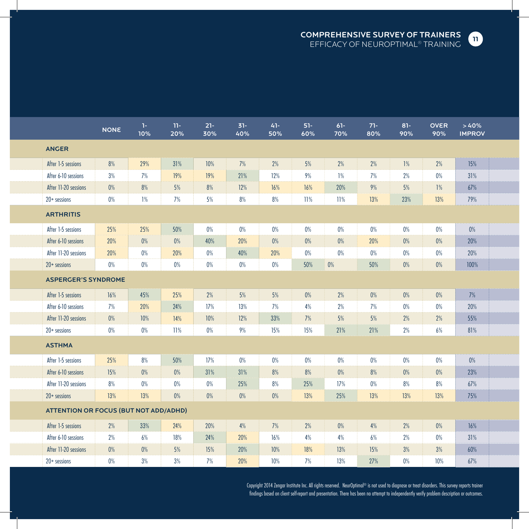

|                                              | <b>NONE</b> | 1-1<br>10% | $11 -$<br>20% | $21 -$<br>30% | $31 -$<br>40% | $41 -$<br>50% | $51 -$<br>60% | $61 -$<br>70% | $71 -$<br>80% | $81 -$<br>90% | <b>OVER</b><br>90% | >40%<br><b>IMPROV</b> |  |
|----------------------------------------------|-------------|------------|---------------|---------------|---------------|---------------|---------------|---------------|---------------|---------------|--------------------|-----------------------|--|
| <b>ANGER</b>                                 |             |            |               |               |               |               |               |               |               |               |                    |                       |  |
| After 1-5 sessions                           | 8%          | 29%        | 31%           | 10%           | 7%            | 2%            | $5\%$         | 2%            | 2%            | 1%            | 2%                 | 15%                   |  |
| After 6-10 sessions                          | 3%          | 7%         | 19%           | 19%           | 21%           | 12%           | 9%            | 1%            | 7%            | 2%            | $0\%$              | 31%                   |  |
| After 11-20 sessions                         | $0\%$       | 8%         | 5%            | $8%$          | 12%           | 16%           | 16%           | 20%           | $9\%$         | 5%            | 1%                 | 67%                   |  |
| $20+$ sessions                               | $0\%$       | 1%         | 7%            | $5%$          | 8%            | $8\%$         | 11%           | 11%           | 13%           | 23%           | 13%                | 79%                   |  |
| <b>ARTHRITIS</b>                             |             |            |               |               |               |               |               |               |               |               |                    |                       |  |
| After 1-5 sessions                           | 25%         | 25%        | 50%           | 0%            | 0%            | 0%            | $0\%$         | $0\%$         | $0\%$         | 0%            | 0%                 | 0%                    |  |
| After 6-10 sessions                          | 20%         | $0\%$      | $0\%$         | 40%           | 20%           | 0%            | $0\%$         | $0\%$         | 20%           | $0\%$         | $0\%$              | 20%                   |  |
| After 11-20 sessions                         | 20%         | $0\%$      | 20%           | 0%            | 40%           | 20%           | $0\%$         | 0%            | $0\%$         | $0\%$         | $0\%$              | 20%                   |  |
| $20+$ sessions                               | $0\%$       | $0\%$      | $0\%$         | $0\%$         | $0\%$         | $0\%$         | 50%           | $0\%$         | 50%           | 0%            | $0\%$              | 100%                  |  |
| <b>ASPERGER'S SYNDROME</b>                   |             |            |               |               |               |               |               |               |               |               |                    |                       |  |
| After 1-5 sessions                           | 16%         | 45%        | 25%           | 2%            | 5%            | $5%$          | $0\%$         | 2%            | $0\%$         | 0%            | $0\%$              | 7%                    |  |
| After 6-10 sessions                          | 7%          | 20%        | 24%           | 17%           | 13%           | 7%            | 4%            | 2%            | 7%            | $0\%$         | $0\%$              | 20%                   |  |
| After 11-20 sessions                         | $0\%$       | 10%        | 14%           | 10%           | 12%           | 33%           | 7%            | 5%            | 5%            | 2%            | 2%                 | 55%                   |  |
| $20+$ sessions                               | $0\%$       | $0\%$      | 11%           | $0\%$         | 9%            | 15%           | 15%           | 21%           | 21%           | 2%            | 6%                 | 81%                   |  |
| <b>ASTHMA</b>                                |             |            |               |               |               |               |               |               |               |               |                    |                       |  |
| After 1-5 sessions                           | 25%         | 8%         | 50%           | 17%           | 0%            | $0\%$         | $0\%$         | $0\%$         | $0\%$         | $0\%$         | 0%                 | $0\%$                 |  |
| After 6-10 sessions                          | 15%         | 0%         | $0\%$         | 31%           | 31%           | 8%            | 8%            | 0%            | 8%            | 0%            | 0%                 | 23%                   |  |
| After 11-20 sessions                         | 8%          | $0\%$      | $0\%$         | $0\%$         | 25%           | 8%            | 25%           | 17%           | $0\%$         | 8%            | $8%$               | 67%                   |  |
| $20+$ sessions                               | 13%         | 13%        | $0\%$         | $0\%$         | 0%            | 0%            | 13%           | 25%           | 13%           | 13%           | 13%                | 75%                   |  |
| <b>ATTENTION OR FOCUS (BUT NOT ADD/ADHD)</b> |             |            |               |               |               |               |               |               |               |               |                    |                       |  |
| After 1-5 sessions                           | 2%          | 33%        | 24%           | 20%           | 4%            | 7%            | 2%            | 0%            | 4%            | 2%            | 0%                 | 16%                   |  |
| After 6-10 sessions                          | 2%          | 6%         | 18%           | 24%           | 20%           | 16%           | 4%            | 4%            | 6%            | 2%            | $0\%$              | 31%                   |  |
| After 11-20 sessions                         | $0\%$       | 0%         | $5%$          | 15%           | 20%           | 10%           | 18%           | 13%           | 15%           | $3\%$         | 3%                 | 60%                   |  |
| $20+$ sessions                               | $0\%$       | 3%         | 3%            | 7%            | 20%           | 10%           | 7%            | 13%           | 27%           | $0\%$         | 10%                | 67%                   |  |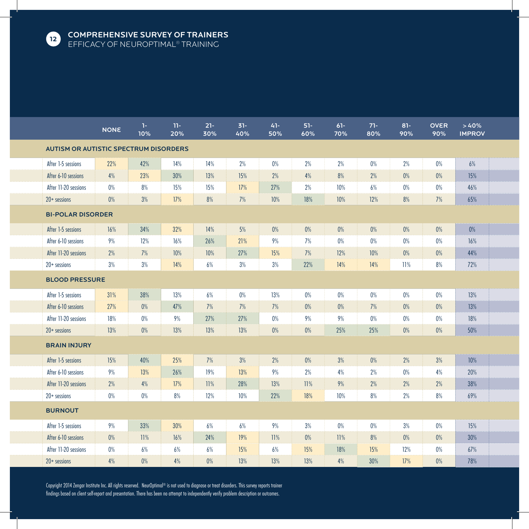

|                                              | <b>NONE</b> | 1-<br>10% | $11 -$<br>20% | $21 -$<br>30% | $31 -$<br>40% | $41 -$<br>50% | $51 -$<br>60% | $61 -$<br>70% | $71 -$<br>80% | $81 -$<br>90% | <b>OVER</b><br>90% | >40%<br><b>IMPROV</b> |  |
|----------------------------------------------|-------------|-----------|---------------|---------------|---------------|---------------|---------------|---------------|---------------|---------------|--------------------|-----------------------|--|
| <b>AUTISM OR AUTISTIC SPECTRUM DISORDERS</b> |             |           |               |               |               |               |               |               |               |               |                    |                       |  |
| After 1-5 sessions                           | 22%         | 42%       | 14%           | 14%           | 2%            | 0%            | 2%            | 2%            | 0%            | 2%            | $0\%$              | 6%                    |  |
| After 6-10 sessions                          | 4%          | 23%       | 30%           | 13%           | 15%           | 2%            | 4%            | 8%            | 2%            | $0\%$         | 0%                 | 15%                   |  |
| After 11-20 sessions                         | $0\%$       | 8%        | 15%           | 15%           | 17%           | 27%           | $2\%$         | 10%           | 6%            | $0\%$         | $0\%$              | 46%                   |  |
| $20+$ sessions                               | 0%          | 3%        | 17%           | 8%            | 7%            | 10%           | 18%           | 10%           | 12%           | 8%            | 7%                 | 65%                   |  |
| <b>BI-POLAR DISORDER</b>                     |             |           |               |               |               |               |               |               |               |               |                    |                       |  |
| After 1-5 sessions                           | 16%         | 34%       | 32%           | 14%           | 5%            | 0%            | 0%            | 0%            | $0\%$         | 0%            | 0%                 | 0%                    |  |
| After 6-10 sessions                          | 9%          | 12%       | 16%           | 26%           | 21%           | 9%            | 7%            | $0\%$         | 0%            | $0\%$         | $0\%$              | 16%                   |  |
| After 11-20 sessions                         | 2%          | 7%        | 10%           | 10%           | 27%           | 15%           | 7%            | 12%           | 10%           | $0\%$         | 0%                 | 44%                   |  |
| $20+$ sessions                               | 3%          | 3%        | 14%           | 6%            | $3\%$         | 3%            | 22%           | 14%           | 14%           | 11%           | 8%                 | 72%                   |  |
| <b>BLOOD PRESSURE</b>                        |             |           |               |               |               |               |               |               |               |               |                    |                       |  |
| After 1-5 sessions                           | 31%         | 38%       | 13%           | 6%            | 0%            | 13%           | 0%            | 0%            | $0\%$         | $0\%$         | 0%                 | 13%                   |  |
| After 6-10 sessions                          | 27%         | 0%        | 47%           | 7%            | 7%            | 7%            | $0\%$         | $0\%$         | 7%            | $0\%$         | 0%                 | 13%                   |  |
| After 11-20 sessions                         | 18%         | $0\%$     | 9%            | 27%           | 27%           | 0%            | 9%            | 9%            | $0\%$         | $0\%$         | $0\%$              | 18%                   |  |
| $20+$ sessions                               | 13%         | 0%        | 13%           | 13%           | 13%           | $0\%$         | $0\%$         | 25%           | 25%           | $0\%$         | $0\%$              | 50%                   |  |
| <b>BRAIN INJURY</b>                          |             |           |               |               |               |               |               |               |               |               |                    |                       |  |
| After 1-5 sessions                           | 15%         | 40%       | 25%           | 7%            | 3%            | 2%            | $0\%$         | 3%            | $0\%$         | 2%            | 3%                 | 10%                   |  |
| After 6-10 sessions                          | 9%          | 13%       | 26%           | 19%           | 13%           | 9%            | 2%            | 4%            | 2%            | $0\%$         | 4%                 | 20%                   |  |
| After 11-20 sessions                         | 2%          | 4%        | 17%           | 11%           | 28%           | 13%           | 11%           | 9%            | 2%            | 2%            | 2%                 | 38%                   |  |
| $20+$ sessions                               | $0\%$       | $0\%$     | $8%$          | 12%           | 10%           | 22%           | 18%           | 10%           | 8%            | 2%            | 8%                 | 69%                   |  |
| <b>BURNOUT</b>                               |             |           |               |               |               |               |               |               |               |               |                    |                       |  |
| After 1-5 sessions                           | 9%          | 33%       | 30%           | 6%            | 6%            | 9%            | 3%            | $0\%$         | $0\%$         | 3%            | $0\%$              | 15%                   |  |
| After 6-10 sessions                          | 0%          | 11%       | 16%           | 24%           | 19%           | 11%           | $0\%$         | 11%           | 8%            | 0%            | 0%                 | 30%                   |  |
| After 11-20 sessions                         | 0%          | 6%        | 6%            | 6%            | 15%           | 6%            | 15%           | 18%           | 15%           | 12%           | 0%                 | 67%                   |  |
| $20+$ sessions                               | 4%          | 0%        | 4%            | 0%            | 13%           | 13%           | 13%           | 4%            | 30%           | 17%           | 0%                 | 78%                   |  |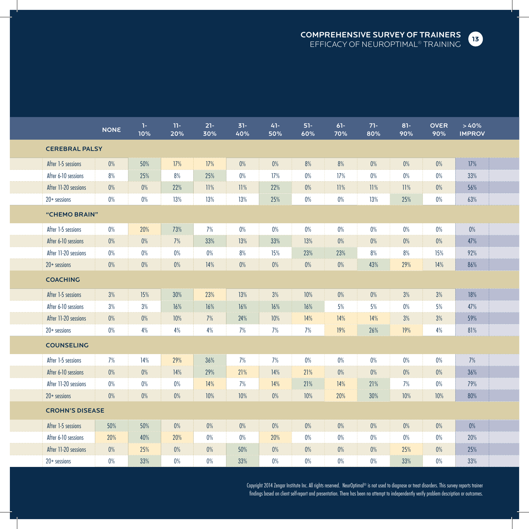

|                        | <b>NONE</b> | $1 -$<br>10% | $11 -$<br>20% | $21 -$<br>30% | $31 -$<br>40% | $41 -$<br>50% | $51 -$<br>60% | $61 -$<br>70% | $71 -$<br>80% | $81 -$<br>90% | <b>OVER</b><br>90% | >40%<br><b>IMPROV</b> |  |
|------------------------|-------------|--------------|---------------|---------------|---------------|---------------|---------------|---------------|---------------|---------------|--------------------|-----------------------|--|
| <b>CEREBRAL PALSY</b>  |             |              |               |               |               |               |               |               |               |               |                    |                       |  |
| After 1-5 sessions     | 0%          | 50%          | 17%           | 17%           | 0%            | 0%            | 8%            | 8%            | 0%            | 0%            | 0%                 | 17%                   |  |
| After 6-10 sessions    | 8%          | 25%          | 8%            | 25%           | $0\%$         | 17%           | 0%            | 17%           | 0%            | 0%            | 0%                 | 33%                   |  |
| After 11-20 sessions   | $0\%$       | 0%           | 22%           | 11%           | 11%           | 22%           | $0\%$         | 11%           | 11%           | 11%           | $0\%$              | 56%                   |  |
| $20+$ sessions         | $0\%$       | $0\%$        | 13%           | 13%           | 13%           | 25%           | $0\%$         | $0\%$         | 13%           | 25%           | $0\%$              | 63%                   |  |
| "CHEMO BRAIN"          |             |              |               |               |               |               |               |               |               |               |                    |                       |  |
| After 1-5 sessions     | $0\%$       | 20%          | 73%           | 7%            | $0\%$         | 0%            | $0\%$         | $0\%$         | $0\%$         | $0\%$         | $0\%$              | $0\%$                 |  |
| After 6-10 sessions    | $0\%$       | 0%           | 7%            | 33%           | 13%           | 33%           | 13%           | 0%            | $0\%$         | 0%            | $0\%$              | 47%                   |  |
| After 11-20 sessions   | $0\%$       | $0\%$        | $0\%$         | $0\%$         | 8%            | 15%           | 23%           | 23%           | 8%            | 8%            | 15%                | 92%                   |  |
| $20+$ sessions         | $0\%$       | 0%           | $0\%$         | 14%           | 0%            | $0\%$         | $0\%$         | 0%            | 43%           | 29%           | $14%$              | 86%                   |  |
| <b>COACHING</b>        |             |              |               |               |               |               |               |               |               |               |                    |                       |  |
| After 1-5 sessions     | 3%          | 15%          | 30%           | 23%           | 13%           | 3%            | 10%           | $0\%$         | $0\%$         | 3%            | 3%                 | 18%                   |  |
| After 6-10 sessions    | 3%          | 3%           | 16%           | 16%           | 16%           | 16%           | 16%           | 5%            | 5%            | $0\%$         | 5%                 | 47%                   |  |
| After 11-20 sessions   | $0\%$       | $0\%$        | 10%           | 7%            | 24%           | 10%           | 14%           | 14%           | 14%           | 3%            | 3%                 | 59%                   |  |
| $20+$ sessions         | $0\%$       | 4%           | 4%            | 4%            | 7%            | 7%            | 7%            | 19%           | 26%           | 19%           | 4%                 | 81%                   |  |
| <b>COUNSELING</b>      |             |              |               |               |               |               |               |               |               |               |                    |                       |  |
| After 1-5 sessions     | 7%          | 14%          | 29%           | 36%           | 7%            | 7%            | $0\%$         | 0%            | $0\%$         | $0\%$         | 0%                 | 7%                    |  |
| After 6-10 sessions    | 0%          | 0%           | 14%           | 29%           | 21%           | 14%           | 21%           | $0\%$         | 0%            | $0\%$         | 0%                 | 36%                   |  |
| After 11-20 sessions   | $0\%$       | $0\%$        | $0\%$         | 14%           | 7%            | 14%           | 21%           | 14%           | 21%           | 7%            | $0\%$              | 79%                   |  |
| $20+$ sessions         | $0\%$       | $0\%$        | $0\%$         | 10%           | 10%           | 0%            | 10%           | 20%           | $30\%$        | 10%           | 10%                | 80%                   |  |
| <b>CROHN'S DISEASE</b> |             |              |               |               |               |               |               |               |               |               |                    |                       |  |
| After 1-5 sessions     | 50%         | 50%          | $0\%$         | $0\%$         | 0%            | $0\%$         | $0\%$         | $0\%$         | $0\%$         | 0%            | $0\%$              | $0\%$                 |  |
| After 6-10 sessions    | 20%         | 40%          | 20%           | $0\%$         | $0\%$         | 20%           | $0\%$         | $0\%$         | $0\%$         | $0\%$         | 0%                 | 20%                   |  |
| After 11-20 sessions   | $0\%$       | 25%          | $0\%$         | $0\%$         | 50%           | $0\%$         | $0\%$         | $0\%$         | $0\%$         | 25%           | $0\%$              | 25%                   |  |
| $20+$ sessions         | $0\%$       | 33%          | 0%            | $0\%$         | 33%           | 0%            | 0%            | $0\%$         | 0%            | 33%           | 0%                 | 33%                   |  |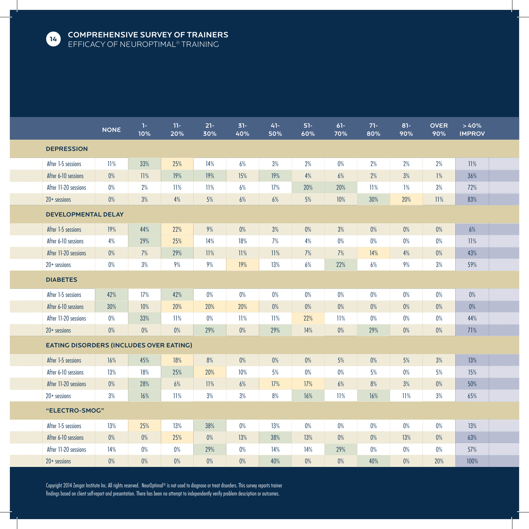

|                                                | <b>NONE</b> | 1-1<br>10% | $11 -$<br>20% | $21 -$<br>30% | $31 -$<br>40% | $41 -$<br>50% | $51-$<br>60% | $61 -$<br>70% | $71 -$<br>80% | $81 -$<br>90% | <b>OVER</b><br>90% | >40%<br><b>IMPROV</b> |  |
|------------------------------------------------|-------------|------------|---------------|---------------|---------------|---------------|--------------|---------------|---------------|---------------|--------------------|-----------------------|--|
| <b>DEPRESSION</b>                              |             |            |               |               |               |               |              |               |               |               |                    |                       |  |
| After 1-5 sessions                             | 11%         | 33%        | 25%           | 14%           | 6%            | 3%            | $2\%$        | $0\%$         | 2%            | 2%            | 2%                 | 11%                   |  |
| After 6-10 sessions                            | $0\%$       | 11%        | 19%           | 19%           | 15%           | 19%           | 4%           | 6%            | 2%            | 3%            | 1%                 | 36%                   |  |
| After 11-20 sessions                           | $0\%$       | 2%         | 11%           | 11%           | $6\%$         | 17%           | 20%          | 20%           | 11%           | 1%            | 3%                 | 72%                   |  |
| $20+$ sessions                                 | $0\%$       | 3%         | 4%            | 5%            | 6%            | 6%            | $5\%$        | 10%           | 30%           | 20%           | 11%                | 83%                   |  |
| <b>DEVELOPMENTAL DELAY</b>                     |             |            |               |               |               |               |              |               |               |               |                    |                       |  |
| After 1-5 sessions                             | 19%         | 44%        | 22%           | 9%            | $0\%$         | 3%            | $0\%$        | 3%            | $0\%$         | 0%            | $0\%$              | 6%                    |  |
| After 6-10 sessions                            | 4%          | 29%        | 25%           | 14%           | 18%           | 7%            | 4%           | 0%            | $0\%$         | 0%            | 0%                 | 11%                   |  |
| After 11-20 sessions                           | $0\%$       | 7%         | 29%           | 11%           | 11%           | 11%           | 7%           | 7%            | 14%           | 4%            | 0%                 | 43%                   |  |
| $20+$ sessions                                 | $0\%$       | $3\%$      | $9\%$         | 9%            | 19%           | 13%           | $6\%$        | 22%           | $6\%$         | $9\%$         | $3\%$              | 59%                   |  |
| <b>DIABETES</b>                                |             |            |               |               |               |               |              |               |               |               |                    |                       |  |
| After 1-5 sessions                             | 42%         | 17%        | 42%           | 0%            | 0%            | 0%            | 0%           | $0\%$         | $0\%$         | 0%            | $0\%$              | 0%                    |  |
| After 6-10 sessions                            | 30%         | 10%        | 20%           | 20%           | 20%           | 0%            | $0\%$        | 0%            | 0%            | $0\%$         | $0\%$              | $0\%$                 |  |
| After 11-20 sessions                           | 0%          | 33%        | 11%           | 0%            | 11%           | 11%           | 22%          | 11%           | $0\%$         | $0\%$         | 0%                 | 44%                   |  |
| $20+$ sessions                                 | $0\%$       | $0\%$      | $0\%$         | 29%           | $0\%$         | 29%           | 14%          | $0\%$         | 29%           | $0\%$         | $0\%$              | 71%                   |  |
| <b>EATING DISORDERS (INCLUDES OVER EATING)</b> |             |            |               |               |               |               |              |               |               |               |                    |                       |  |
| After 1-5 sessions                             | 16%         | 45%        | 18%           | 8%            | 0%            | 0%            | 0%           | 5%            | 0%            | 5%            | 3%                 | 13%                   |  |
| After 6-10 sessions                            | 13%         | 18%        | 25%           | 20%           | 10%           | 5%            | $0\%$        | 0%            | 5%            | 0%            | 5%                 | 15%                   |  |
| After 11-20 sessions                           | 0%          | 28%        | 6%            | 11%           | 6%            | 17%           | 17%          | 6%            | 8%            | 3%            | $0\%$              | 50%                   |  |
| $20+$ sessions                                 | 3%          | 16%        | 11%           | 3%            | 3%            | 8%            | 16%          | 11%           | 16%           | 11%           | 3%                 | 65%                   |  |
| "ELECTRO-SMOG"                                 |             |            |               |               |               |               |              |               |               |               |                    |                       |  |
| After 1-5 sessions                             | 13%         | 25%        | 13%           | 38%           | 0%            | 13%           | 0%           | $0\%$         | 0%            | 0%            | $0\%$              | 13%                   |  |
| After 6-10 sessions                            | $0\%$       | 0%         | 25%           | $0\%$         | 13%           | 38%           | 13%          | $0\%$         | $0\%$         | 13%           | $0\%$              | 63%                   |  |
| After 11-20 sessions                           | 14%         | $0\%$      | $0\%$         | 29%           | $0\%$         | 14%           | 14%          | 29%           | $0\%$         | 0%            | $0\%$              | 57%                   |  |
| $20+$ sessions                                 | 0%          | $0\%$      | 0%            | 0%            | 0%            | 40%           | $0\%$        | 0%            | 40%           | 0%            | 20%                | 100%                  |  |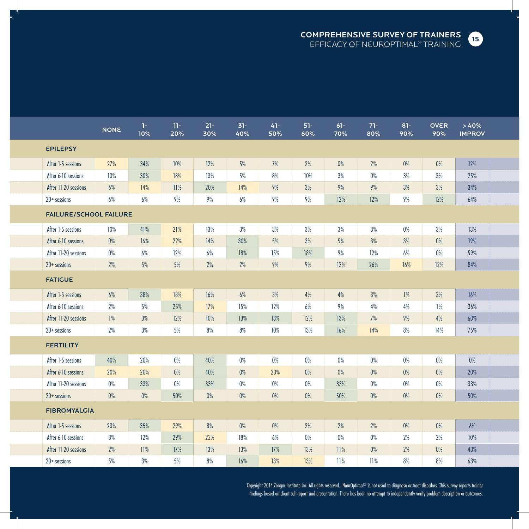COMPREHENSIVE SURVEY OF TRAINERS EFFICACY OF NeurOptimal® TRAINING



|                               | <b>NONE</b> | $1 -$<br>10% | $11 -$<br>20% | $21 -$<br>30% | $31 -$<br>40% | $41 -$<br>50% | $51 -$<br>60% | $61 -$<br>70% | $71 -$<br>80% | $81 -$<br>90% | <b>OVER</b><br>90% | >40%<br><b>IMPROV</b> |  |
|-------------------------------|-------------|--------------|---------------|---------------|---------------|---------------|---------------|---------------|---------------|---------------|--------------------|-----------------------|--|
| <b>EPILEPSY</b>               |             |              |               |               |               |               |               |               |               |               |                    |                       |  |
| After 1-5 sessions            | 27%         | 34%          | 10%           | 12%           | 5%            | 7%            | 2%            | $0\%$         | $2\%$         | 0%            | $0\%$              | 12%                   |  |
| After 6-10 sessions           | 10%         | 30%          | 18%           | 13%           | 5%            | 8%            | 10%           | 3%            | $0\%$         | 3%            | 3%                 | 25%                   |  |
| After 11-20 sessions          | 6%          | 14%          | 11%           | 20%           | 14%           | 9%            | 3%            | 9%            | 9%            | 3%            | 3%                 | 34%                   |  |
| $20+$ sessions                | 6%          | 6%           | 9%            | 9%            | 6%            | 9%            | 9%            | 12%           | 12%           | 9%            | 12%                | 64%                   |  |
| <b>FAILURE/SCHOOL FAILURE</b> |             |              |               |               |               |               |               |               |               |               |                    |                       |  |
| After 1-5 sessions            | 10%         | 41%          | 21%           | 13%           | 3%            | 3%            | 3%            | 3%            | 3%            | 0%            | 3%                 | 13%                   |  |
| After 6-10 sessions           | $0\%$       | 16%          | 22%           | 14%           | 30%           | 5%            | 3%            | 5%            | 3%            | 3%            | 0%                 | 19%                   |  |
| After 11-20 sessions          | $0\%$       | 6%           | 12%           | 6%            | 18%           | 15%           | 18%           | 9%            | 12%           | 6%            | 0%                 | 59%                   |  |
| $20+$ sessions                | 2%          | $5\%$        | 5%            | $2\%$         | 2%            | 9%            | $9\%$         | 12%           | 26%           | 16%           | 12%                | 84%                   |  |
| <b>FATIGUE</b>                |             |              |               |               |               |               |               |               |               |               |                    |                       |  |
| After 1-5 sessions            | 6%          | 38%          | 18%           | 16%           | 6%            | 3%            | 4%            | 4%            | 3%            | 1%            | 3%                 | 16%                   |  |
| After 6-10 sessions           | 2%          | 5%           | 25%           | 17%           | 15%           | 12%           | 6%            | 9%            | 4%            | 4%            | 1%                 | 36%                   |  |
| After 11-20 sessions          | 1%          | 3%           | 12%           | 10%           | 13%           | 13%           | 12%           | 13%           | 7%            | 9%            | 4%                 | 60%                   |  |
| $20+$ sessions                | 2%          | $3\%$        | 5%            | $8\%$         | 8%            | 10%           | 13%           | 16%           | 14%           | $8%$          | 14%                | 75%                   |  |
| <b>FERTILITY</b>              |             |              |               |               |               |               |               |               |               |               |                    |                       |  |
| After 1-5 sessions            | 40%         | 20%          | $0\%$         | 40%           | $0\%$         | 0%            | $0\%$         | 0%            | $0\%$         | $0\%$         | 0%                 | 0%                    |  |
| After 6-10 sessions           | 20%         | 20%          | $0\%$         | 40%           | $0\%$         | 20%           | $0\%$         | $0\%$         | 0%            | $0\%$         | 0%                 | 20%                   |  |
| After 11-20 sessions          | $0\%$       | 33%          | $0\%$         | 33%           | $0\%$         | $0\%$         | $0\%$         | 33%           | $0\%$         | $0\%$         | 0%                 | 33%                   |  |
| $20+$ sessions                | $0\%$       | 0%           | 50%           | $0\%$         | $0\%$         | $0\%$         | $0\%$         | 50%           | $0\%$         | $0\%$         | $0\%$              | 50%                   |  |
| <b>FIBROMYALGIA</b>           |             |              |               |               |               |               |               |               |               |               |                    |                       |  |
| After 1-5 sessions            | 23%         | 35%          | 29%           | 8%            | $0\%$         | 0%            | 2%            | 2%            | 2%            | $0\%$         | $0\%$              | 6%                    |  |
| After 6-10 sessions           | 8%          | 12%          | 29%           | 22%           | 18%           | 6%            | $0\%$         | $0\%$         | $0\%$         | 2%            | 2%                 | 10%                   |  |
| After 11-20 sessions          | 2%          | 11%          | 17%           | 13%           | 13%           | 17%           | 13%           | 11%           | $0\%$         | 2%            | 0%                 | 43%                   |  |
| $20+$ sessions                | $5%$        | 3%           | 5%            | 8%            | 16%           | 13%           | 13%           | 11%           | 11%           | 8%            | 8%                 | 63%                   |  |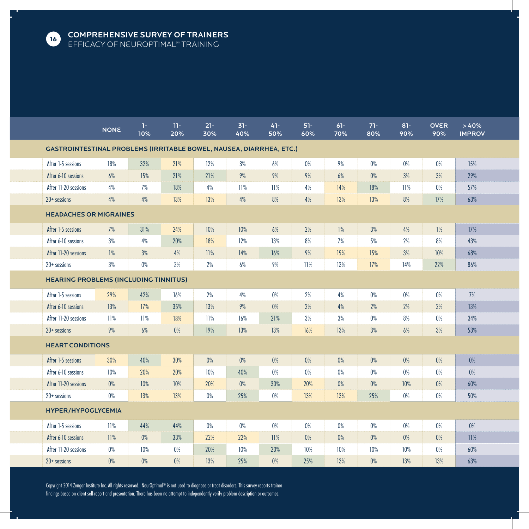

|                                                                            | <b>NONE</b> | $1-$<br>10% | $11 -$<br>20% | $21 -$<br>30% | $31 -$<br>40% | $41 -$<br>50% | $51 -$<br>60% | $61 -$<br>70% | $71 -$<br>80% | $81 -$<br>90% | <b>OVER</b><br>90% | >40%<br><b>IMPROV</b> |  |
|----------------------------------------------------------------------------|-------------|-------------|---------------|---------------|---------------|---------------|---------------|---------------|---------------|---------------|--------------------|-----------------------|--|
| <b>CASTROINTESTINAL PROBLEMS (IRRITABLE BOWEL, NAUSEA, DIARRHEA, ETC.)</b> |             |             |               |               |               |               |               |               |               |               |                    |                       |  |
| After 1-5 sessions                                                         | 18%         | 32%         | 21%           | 12%           | 3%            | 6%            | $0\%$         | 9%            | 0%            | $0\%$         | $0\%$              | 15%                   |  |
| After 6-10 sessions                                                        | 6%          | 15%         | 21%           | 21%           | 9%            | 9%            | 9%            | 6%            | 0%            | 3%            | 3%                 | 29%                   |  |
| After 11-20 sessions                                                       | 4%          | 7%          | 18%           | 4%            | 11%           | 11%           | 4%            | 14%           | 18%           | 11%           | $0\%$              | 57%                   |  |
| $20+$ sessions                                                             | 4%          | 4%          | 13%           | 13%           | 4%            | 8%            | 4%            | 13%           | 13%           | 8%            | 17%                | 63%                   |  |
| <b>HEADACHES OR MIGRAINES</b>                                              |             |             |               |               |               |               |               |               |               |               |                    |                       |  |
| After 1-5 sessions                                                         | 7%          | 31%         | 24%           | 10%           | 10%           | 6%            | 2%            | $1\%$         | 3%            | 4%            | $1\%$              | 17%                   |  |
| After 6-10 sessions                                                        | 3%          | 4%          | 20%           | 18%           | 12%           | 13%           | 8%            | 7%            | 5%            | 2%            | 8%                 | 43%                   |  |
| After 11-20 sessions                                                       | 1%          | 3%          | 4%            | 11%           | 14%           | 16%           | 9%            | 15%           | 15%           | 3%            | 10%                | 68%                   |  |
| $20+$ sessions                                                             | 3%          | $0\%$       | 3%            | 2%            | 6%            | 9%            | 11%           | 13%           | 17%           | 14%           | 22%                | 86%                   |  |
| <b>HEARING PROBLEMS (INCLUDING TINNITUS)</b>                               |             |             |               |               |               |               |               |               |               |               |                    |                       |  |
| After 1-5 sessions                                                         | 29%         | 42%         | 16%           | 2%            | 4%            | $0\%$         | 2%            | 4%            | $0\%$         | $0\%$         | $0\%$              | 7%                    |  |
| After 6-10 sessions                                                        | 13%         | 17%         | 35%           | 13%           | 9%            | 0%            | 2%            | 4%            | 2%            | 2%            | 2%                 | 13%                   |  |
| After 11-20 sessions                                                       | 11%         | 11%         | 18%           | 11%           | 16%           | 21%           | 3%            | 3%            | $0\%$         | 8%            | 0%                 | 34%                   |  |
| $20+$ sessions                                                             | 9%          | 6%          | $0\%$         | 19%           | 13%           | 13%           | 16%           | 13%           | 3%            | 6%            | 3%                 | 53%                   |  |
| <b>HEART CONDITIONS</b>                                                    |             |             |               |               |               |               |               |               |               |               |                    |                       |  |
| After 1-5 sessions                                                         | 30%         | 40%         | 30%           | $0\%$         | $0\%$         | 0%            | $0\%$         | $0\%$         | 0%            | 0%            | 0%                 | 0%                    |  |
| After 6-10 sessions                                                        | 10%         | 20%         | 20%           | 10%           | 40%           | 0%            | 0%            | 0%            | 0%            | 0%            | 0%                 | $0\%$                 |  |
| After 11-20 sessions                                                       | $0\%$       | 10%         | 10%           | 20%           | $0\%$         | 30%           | 20%           | $0\%$         | 0%            | 10%           | 0%                 | 60%                   |  |
| $20+$ sessions                                                             | 0%          | 13%         | 13%           | 0%            | 25%           | 0%            | 13%           | 13%           | 25%           | 0%            | $0\%$              | 50%                   |  |
| <b>HYPER/HYPOGLYCEMIA</b>                                                  |             |             |               |               |               |               |               |               |               |               |                    |                       |  |
| After 1-5 sessions                                                         | 11%         | 44%         | 44%           | 0%            | 0%            | 0%            | 0%            | 0%            | 0%            | 0%            | 0%                 | 0%                    |  |
| After 6-10 sessions                                                        | 11%         | 0%          | 33%           | 22%           | 22%           | 11%           | $0\%$         | 0%            | 0%            | 0%            | $0\%$              | 11%                   |  |
| After 11-20 sessions                                                       | $0\%$       | 10%         | $0\%$         | 20%           | 10%           | 20%           | 10%           | 10%           | 10%           | 10%           | $0\%$              | 60%                   |  |
| $20+$ sessions                                                             | 0%          | 0%          | $0\%$         | 13%           | 25%           | 0%            | 25%           | 13%           | $0\%$         | 13%           | 13%                | 63%                   |  |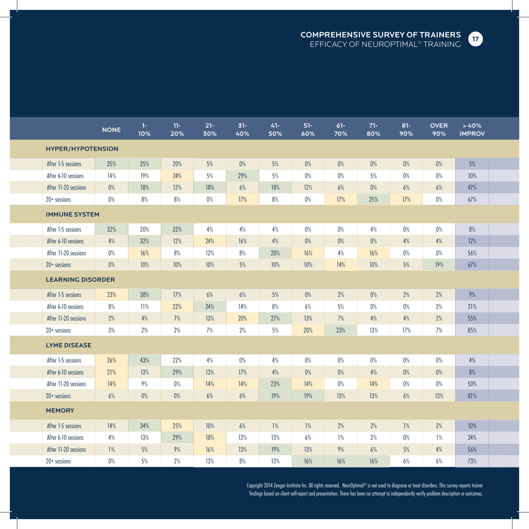

|                          | <b>NONE</b> | $\mathbf{1}$<br>10% | $11 -$<br>20% | $21 -$<br>30% | $31 -$<br>40% | $41 -$<br>50% | $51-$<br>60% | $61 -$<br>70% | $71 -$<br>80% | $81 -$<br>90% | <b>OVER</b><br>90% | >40%<br><b>IMPROV</b> |  |
|--------------------------|-------------|---------------------|---------------|---------------|---------------|---------------|--------------|---------------|---------------|---------------|--------------------|-----------------------|--|
| <b>HYPER/HYPOTENSION</b> |             |                     |               |               |               |               |              |               |               |               |                    |                       |  |
| After 1-5 sessions       | 35%         | 35%                 | 20%           | 5%            | 0%            | 5%            | $0\%$        | 0%            | $0\%$         | $0\%$         | 0%                 | 5%                    |  |
| After 6-10 sessions      | 14%         | 19%                 | 24%           | 5%            | 29%           | 5%            | $0\%$        | $0\%$         | 5%            | $0\%$         | $0\%$              | 10%                   |  |
| After 11-20 sessions     | $0\%$       | 18%                 | 12%           | 18%           | $6\%$         | 18%           | 12%          | 6%            | $0\%$         | 6%            | $6\%$              | 47%                   |  |
| $20+$ sessions           | $0\%$       | 8%                  | 8%            | $0\%$         | 17%           | 8%            | $0\%$        | 17%           | 25%           | 17%           | $0\%$              | 67%                   |  |
| <b>IMMUNE SYSTEM</b>     |             |                     |               |               |               |               |              |               |               |               |                    |                       |  |
| After 1-5 sessions       | 32%         | 20%                 | 32%           | 4%            | 4%            | 4%            | $0\%$        | $0\%$         | 4%            | $0\%$         | $0\%$              | 8%                    |  |
| After 6-10 sessions      | 4%          | 32%                 | 12%           | 24%           | 16%           | 4%            | $0\%$        | 0%            | $0\%$         | 4%            | 4%                 | 12%                   |  |
| After 11-20 sessions     | 0%          | 16%                 | $8\%$         | 12%           | 8%            | 20%           | 16%          | 4%            | 16%           | $0\%$         | 0%                 | 56%                   |  |
| $20+$ sessions           | $0\%$       | 10%                 | 10%           | $10%$         | $5\%$         | 10%           | 10%          | 14%           | $10%$         | 5%            | 19%                | 67%                   |  |
| <b>LEARNING DISORDER</b> |             |                     |               |               |               |               |              |               |               |               |                    |                       |  |
| After 1-5 sessions       | 23%         | 38%                 | 17%           | 6%            | 6%            | 5%            | 0%           | 2%            | $0\%$         | 2%            | 2%                 | 9%                    |  |
| After 6-10 sessions      | 8%          | 11%                 | 22%           | 24%           | 14%           | 8%            | 6%           | 5%            | $0\%$         | 0%            | 2%                 | 21%                   |  |
| After 11-20 sessions     | 2%          | 4%                  | 7%            | 13%           | 20%           | 27%           | 13%          | 7%            | $4\%$         | 4%            | 2%                 | 55%                   |  |
| $20+$ sessions           | 3%          | $2\%$               | 2%            | 7%            | 2%            | 5%            | 20%          | 23%           | 13%           | 17%           | 7%                 | 85%                   |  |
| <b>LYME DISEASE</b>      |             |                     |               |               |               |               |              |               |               |               |                    |                       |  |
| After 1-5 sessions       | 26%         | 43%                 | 22%           | 4%            | $0\%$         | 4%            | $0\%$        | 0%            | $0\%$         | $0\%$         | $0\%$              | 4%                    |  |
| After 6-10 sessions      | 21%         | 13%                 | 29%           | 13%           | 17%           | 4%            | $0\%$        | $0\%$         | 4%            | $0\%$         | 0%                 | 8%                    |  |
| After 11-20 sessions     | 14%         | 9%                  | $0\%$         | 14%           | 14%           | 23%           | 14%          | $0\%$         | 14%           | $0\%$         | $0\%$              | 50%                   |  |
| $20+$ sessions           | 6%          | $0\%$               | $0\%$         | 6%            | 6%            | 19%           | 19%          | 13%           | 13%           | 6%            | 13%                | 81%                   |  |
| <b>MEMORY</b>            |             |                     |               |               |               |               |              |               |               |               |                    |                       |  |
| After 1-5 sessions       | 14%         | 34%                 | 25%           | 10%           | 6%            | 1%            | 1%           | 2%            | 2%            | 1%            | 2%                 | 10%                   |  |
| After 6-10 sessions      | 4%          | 13%                 | 29%           | 18%           | 12%           | 13%           | 6%           | 1%            | 2%            | $0\%$         | $1\%$              | 24%                   |  |
| After 11-20 sessions     | 1%          | 5%                  | $9\%$         | 16%           | 13%           | 19%           | 13%          | 9%            | 6%            | 5%            | 4%                 | 56%                   |  |
| $20+$ sessions           | $0\%$       | 5%                  | 2%            | 13%           | 8%            | 13%           | 16%          | 16%           | 16%           | 6%            | 6%                 | 73%                   |  |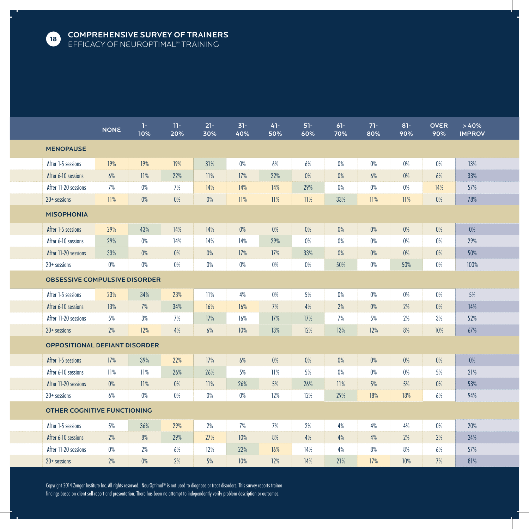

|                                      | <b>NONE</b> | $1 -$<br>10% | $11 -$<br>20% | $21 -$<br>30% | $31 -$<br>40% | $41 -$<br>50% | $51 -$<br>60% | $61 -$<br>70% | $71 -$<br>80% | $81 -$<br>90% | <b>OVER</b><br>90% | >40%<br><b>IMPROV</b> |  |
|--------------------------------------|-------------|--------------|---------------|---------------|---------------|---------------|---------------|---------------|---------------|---------------|--------------------|-----------------------|--|
| <b>MENOPAUSE</b>                     |             |              |               |               |               |               |               |               |               |               |                    |                       |  |
| After 1-5 sessions                   | 19%         | 19%          | 19%           | 31%           | 0%            | 6%            | 6%            | 0%            | 0%            | 0%            | $0\%$              | 13%                   |  |
| After 6-10 sessions                  | 6%          | 11%          | 22%           | 11%           | 17%           | 22%           | $0\%$         | 0%            | 6%            | $0\%$         | 6%                 | 33%                   |  |
| After 11-20 sessions                 | 7%          | 0%           | 7%            | 14%           | 14%           | 14%           | 29%           | $0\%$         | $0\%$         | $0\%$         | 14%                | 57%                   |  |
| $20+$ sessions                       | 11%         | $0\%$        | $0\%$         | $0\%$         | 11%           | 11%           | 11%           | 33%           | 11%           | 11%           | $0\%$              | 78%                   |  |
| <b>MISOPHONIA</b>                    |             |              |               |               |               |               |               |               |               |               |                    |                       |  |
| After 1-5 sessions                   | 29%         | 43%          | 14%           | 14%           | $0\%$         | 0%            | $0\%$         | $0\%$         | $0\%$         | $0\%$         | 0%                 | $0\%$                 |  |
| After 6-10 sessions                  | 29%         | 0%           | 14%           | 14%           | 14%           | 29%           | $0\%$         | $0\%$         | $0\%$         | $0\%$         | $0\%$              | 29%                   |  |
| After 11-20 sessions                 | 33%         | 0%           | 0%            | 0%            | 17%           | 17%           | 33%           | 0%            | 0%            | 0%            | 0%                 | 50%                   |  |
| $20+$ sessions                       | 0%          | 0%           | $0\%$         | $0\%$         | $0\%$         | 0%            | $0\%$         | 50%           | $0\%$         | 50%           | $0\%$              | 100%                  |  |
| <b>OBSESSIVE COMPULSIVE DISORDER</b> |             |              |               |               |               |               |               |               |               |               |                    |                       |  |
| After 1-5 sessions                   | 23%         | 34%          | 23%           | 11%           | 4%            | 0%            | 5%            | 0%            | 0%            | 0%            | 0%                 | 5%                    |  |
| After 6-10 sessions                  | 13%         | 7%           | 34%           | 16%           | 16%           | 7%            | 4%            | 2%            | $0\%$         | 2%            | 0%                 | 14%                   |  |
| After 11-20 sessions                 | 5%          | 3%           | 7%            | 17%           | 16%           | 17%           | 17%           | 7%            | 5%            | 2%            | 3%                 | 52%                   |  |
| $20+$ sessions                       | 2%          | 12%          | 4%            | 6%            | 10%           | 13%           | 12%           | 13%           | 12%           | $8%$          | 10%                | 67%                   |  |
| <b>OPPOSITIONAL DEFIANT DISORDER</b> |             |              |               |               |               |               |               |               |               |               |                    |                       |  |
| After 1-5 sessions                   | 17%         | 39%          | 22%           | 17%           | 6%            | 0%            | 0%            | $0\%$         | 0%            | 0%            | 0%                 | 0%                    |  |
| After 6-10 sessions                  | 11%         | 11%          | 26%           | 26%           | 5%            | 11%           | 5%            | 0%            | $0\%$         | 0%            | 5%                 | 21%                   |  |
| After 11-20 sessions                 | $0\%$       | 11%          | 0%            | 11%           | 26%           | 5%            | 26%           | 11%           | 5%            | 5%            | $0\%$              | 53%                   |  |
| $20+$ sessions                       | 6%          | 0%           | $0\%$         | $0\%$         | $0\%$         | 12%           | 12%           | 29%           | 18%           | 18%           | 6%                 | 94%                   |  |
| <b>OTHER COGNITIVE FUNCTIONING</b>   |             |              |               |               |               |               |               |               |               |               |                    |                       |  |
| After 1-5 sessions                   | 5%          | 36%          | 29%           | 2%            | 7%            | 7%            | 2%            | 4%            | 4%            | 4%            | 0%                 | 20%                   |  |
| After 6-10 sessions                  | 2%          | 8%           | 29%           | 27%           | 10%           | 8%            | 4%            | 4%            | 4%            | 2%            | 2%                 | 24%                   |  |
| After 11-20 sessions                 | 0%          | 2%           | 6%            | 12%           | 22%           | 16%           | 14%           | 4%            | 8%            | 8%            | 6%                 | 57%                   |  |
| $20+$ sessions                       | 2%          | 0%           | 2%            | 5%            | 10%           | 12%           | 14%           | 21%           | 17%           | 10%           | 7%                 | 81%                   |  |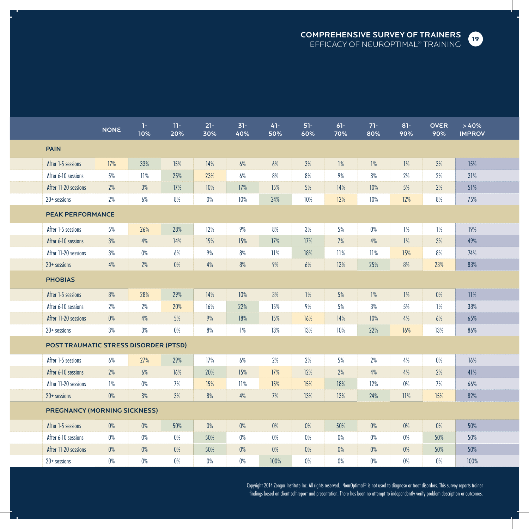COMPREHENSIVE SURVEY OF TRAINERS EFFICACY OF NeurOptimal® TRAINING



|                                              | <b>NONE</b> | $\mathbf{1}$<br>10% | $11 -$<br>20% | $21 -$<br>30% | $31 -$<br>40% | $41 -$<br>50% | $51 -$<br>60% | $61 -$<br>70% | $71 -$<br>80% | $81 -$<br>90% | <b>OVER</b><br>90% | >40%<br><b>IMPROV</b> |  |
|----------------------------------------------|-------------|---------------------|---------------|---------------|---------------|---------------|---------------|---------------|---------------|---------------|--------------------|-----------------------|--|
| <b>PAIN</b>                                  |             |                     |               |               |               |               |               |               |               |               |                    |                       |  |
| After 1-5 sessions                           | 17%         | 33%                 | 15%           | 14%           | 6%            | 6%            | 3%            | 1%            | 1%            | 1%            | 3%                 | 15%                   |  |
| After 6-10 sessions                          | 5%          | 11%                 | 25%           | 23%           | 6%            | 8%            | 8%            | 9%            | 3%            | 2%            | 2%                 | 31%                   |  |
| After 11-20 sessions                         | 2%          | 3%                  | 17%           | 10%           | 17%           | 15%           | 5%            | 14%           | 10%           | 5%            | 2%                 | 51%                   |  |
| $20+$ sessions                               | 2%          | 6%                  | 8%            | $0\%$         | 10%           | 24%           | 10%           | 12%           | 10%           | 12%           | 8%                 | 75%                   |  |
| <b>PEAK PERFORMANCE</b>                      |             |                     |               |               |               |               |               |               |               |               |                    |                       |  |
| After 1-5 sessions                           | 5%          | 26%                 | 28%           | 12%           | 9%            | 8%            | 3%            | 5%            | $0\%$         | 1%            | 1%                 | 19%                   |  |
| After 6-10 sessions                          | 3%          | 4%                  | 14%           | 15%           | 15%           | 17%           | 17%           | 7%            | 4%            | 1%            | 3%                 | 49%                   |  |
| After 11-20 sessions                         | 3%          | $0\%$               | 6%            | 9%            | 8%            | 11%           | 18%           | 11%           | 11%           | 15%           | 8%                 | 74%                   |  |
| $20+$ sessions                               | 4%          | 2%                  | 0%            | 4%            | 8%            | 9%            | 6%            | 13%           | 25%           | 8%            | 23%                | 83%                   |  |
| <b>PHOBIAS</b>                               |             |                     |               |               |               |               |               |               |               |               |                    |                       |  |
| After 1-5 sessions                           | 8%          | 28%                 | 29%           | 14%           | 10%           | 3%            | $1\%$         | 5%            | 1%            | 1%            | 0%                 | 11%                   |  |
| After 6-10 sessions                          | 2%          | 2%                  | 20%           | 16%           | 22%           | 15%           | 9%            | 5%            | 3%            | 5%            | 1%                 | 38%                   |  |
| After 11-20 sessions                         | $0\%$       | 4%                  | 5%            | 9%            | 18%           | 15%           | 16%           | 14%           | 10%           | 4%            | 6%                 | 65%                   |  |
| $20+$ sessions                               | 3%          | 3%                  | $0\%$         | 8%            | 1%            | 13%           | 13%           | 10%           | 22%           | 16%           | 13%                | 86%                   |  |
| <b>POST TRAUMATIC STRESS DISORDER (PTSD)</b> |             |                     |               |               |               |               |               |               |               |               |                    |                       |  |
| After 1-5 sessions                           | 6%          | 27%                 | 29%           | 17%           | 6%            | 2%            | 2%            | 5%            | 2%            | 4%            | 0%                 | 16%                   |  |
| After 6-10 sessions                          | 2%          | 6%                  | 16%           | 20%           | 15%           | 17%           | 12%           | 2%            | 4%            | 4%            | 2%                 | 41%                   |  |
| After 11-20 sessions                         | 1%          | $0\%$               | 7%            | 15%           | 11%           | 15%           | 15%           | 18%           | 12%           | $0\%$         | 7%                 | 66%                   |  |
| $20+$ sessions                               | 0%          | 3%                  | 3%            | 8%            | 4%            | 7%            | 13%           | 13%           | 24%           | 11%           | 15%                | 82%                   |  |
| <b>PREGNANCY (MORNING SICKNESS)</b>          |             |                     |               |               |               |               |               |               |               |               |                    |                       |  |
| After 1-5 sessions                           | 0%          | $0\%$               | 50%           | 0%            | $0\%$         | 0%            | $0\%$         | 50%           | 0%            | 0%            | $0\%$              | 50%                   |  |
| After 6-10 sessions                          | 0%          | 0%                  | 0%            | 50%           | 0%            | $0\%$         | 0%            | 0%            | 0%            | 0%            | 50%                | 50%                   |  |
| After 11-20 sessions                         | $0\%$       | $0\%$               | 0%            | 50%           | $0\%$         | 0%            | $0\%$         | $0\%$         | 0%            | $0\%$         | 50%                | 50%                   |  |
| $20+$ sessions                               | $0\%$       | 0%                  | $0\%$         | 0%            | 0%            | 100%          | $0\%$         | $0\%$         | $0\%$         | 0%            | 0%                 | 100%                  |  |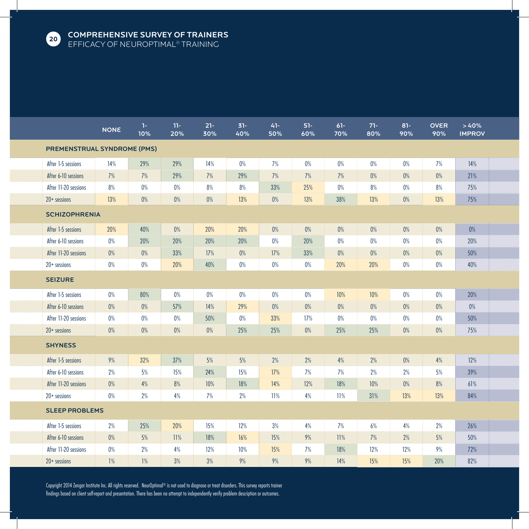

|                                    | <b>NONE</b> | 1-<br>10% | $11 -$<br>20% | $21 -$<br>30% | $31 -$<br>40% | $41 -$<br>50% | $51 -$<br>60% | $61 -$<br>70% | $71 -$<br>80% | $81 -$<br>90% | <b>OVER</b><br>90% | >40%<br><b>IMPROV</b> |  |
|------------------------------------|-------------|-----------|---------------|---------------|---------------|---------------|---------------|---------------|---------------|---------------|--------------------|-----------------------|--|
| <b>PREMENSTRUAL SYNDROME (PMS)</b> |             |           |               |               |               |               |               |               |               |               |                    |                       |  |
| After 1-5 sessions                 | 14%         | 29%       | 29%           | 14%           | 0%            | 7%            | $0\%$         | 0%            | 0%            | 0%            | 7%                 | 14%                   |  |
| After 6-10 sessions                | 7%          | 7%        | 29%           | 7%            | 29%           | 7%            | 7%            | 7%            | 0%            | $0\%$         | $0\%$              | 21%                   |  |
| After 11-20 sessions               | 8%          | $0\%$     | $0\%$         | 8%            | 8%            | 33%           | 25%           | 0%            | 8%            | $0\%$         | 8%                 | 75%                   |  |
| $20+$ sessions                     | 13%         | $0\%$     | $0\%$         | $0\%$         | 13%           | $0\%$         | 13%           | 38%           | 13%           | 0%            | 13%                | 75%                   |  |
| <b>SCHIZOPHRENIA</b>               |             |           |               |               |               |               |               |               |               |               |                    |                       |  |
| After 1-5 sessions                 | 20%         | 40%       | $0\%$         | 20%           | 20%           | $0\%$         | 0%            | 0%            | $0\%$         | 0%            | 0%                 | 0%                    |  |
| After 6-10 sessions                | 0%          | 20%       | 20%           | 20%           | 20%           | 0%            | 20%           | 0%            | 0%            | 0%            | 0%                 | 20%                   |  |
| After 11-20 sessions               | $0\%$       | $0\%$     | 33%           | 17%           | $0\%$         | 17%           | 33%           | $0\%$         | 0%            | $0\%$         | $0\%$              | 50%                   |  |
| $20+$ sessions                     | $0\%$       | $0\%$     | 20%           | 40%           | $0\%$         | $0\%$         | $0\%$         | 20%           | 20%           | $0\%$         | $0\%$              | 40%                   |  |
| <b>SEIZURE</b>                     |             |           |               |               |               |               |               |               |               |               |                    |                       |  |
| After 1-5 sessions                 | $0\%$       | 80%       | $0\%$         | 0%            | 0%            | $0\%$         | $0\%$         | 10%           | 10%           | 0%            | 0%                 | 20%                   |  |
| After 6-10 sessions                | $0\%$       | 0%        | 57%           | 14%           | 29%           | $0\%$         | 0%            | 0%            | $0\%$         | 0%            | $0\%$              | $0\%$                 |  |
| After 11-20 sessions               | $0\%$       | $0\%$     | $0\%$         | 50%           | $0\%$         | 33%           | 17%           | $0\%$         | $0\%$         | $0\%$         | $0\%$              | 50%                   |  |
| $20+$ sessions                     | $0\%$       | $0\%$     | $0\%$         | 0%            | 25%           | 25%           | 0%            | 25%           | 25%           | 0%            | 0%                 | 75%                   |  |
| <b>SHYNESS</b>                     |             |           |               |               |               |               |               |               |               |               |                    |                       |  |
| After 1-5 sessions                 | 9%          | 32%       | 37%           | 5%            | 5%            | 2%            | 2%            | 4%            | 2%            | $0\%$         | 4%                 | 12%                   |  |
| After 6-10 sessions                | 2%          | 5%        | 15%           | 24%           | 15%           | 17%           | 7%            | 7%            | 2%            | 2%            | 5%                 | 39%                   |  |
| After 11-20 sessions               | $0\%$       | 4%        | 8%            | 10%           | 18%           | 14%           | 12%           | 18%           | 10%           | 0%            | 8%                 | 61%                   |  |
| $20+$ sessions                     | $0\%$       | 2%        | 4%            | 7%            | $2\%$         | 11%           | 4%            | 11%           | 31%           | 13%           | 13%                | 84%                   |  |
| <b>SLEEP PROBLEMS</b>              |             |           |               |               |               |               |               |               |               |               |                    |                       |  |
| After 1-5 sessions                 | 2%          | 25%       | 20%           | 15%           | 12%           | 3%            | 4%            | 7%            | 6%            | 4%            | 2%                 | 26%                   |  |
| After 6-10 sessions                | 0%          | 5%        | 11%           | 18%           | 16%           | 15%           | 9%            | 11%           | 7%            | 2%            | 5%                 | 50%                   |  |
| After 11-20 sessions               | 0%          | 2%        | 4%            | 12%           | 10%           | 15%           | 7%            | 18%           | 12%           | 12%           | 9%                 | 72%                   |  |
| $20+$ sessions                     | 1%          | 1%        | 3%            | 3%            | 9%            | 9%            | 9%            | 14%           | 15%           | 15%           | 20%                | 82%                   |  |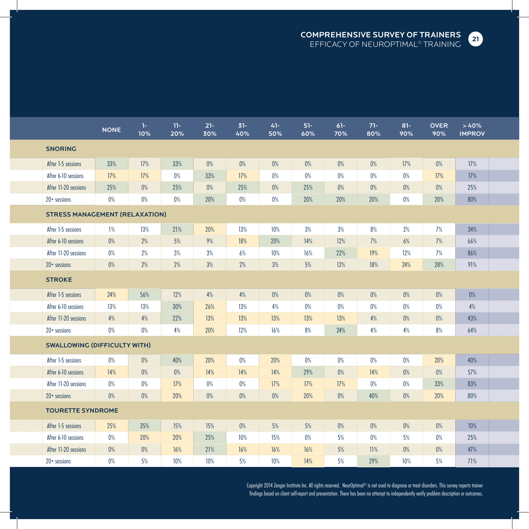

|                                       | <b>NONE</b> | $1 -$<br>10% | $11 -$<br>20% | $21 -$<br>30% | $31 -$<br>40% | 41-<br>50% | $51-$<br>60% | $61 -$<br>70% | $71 -$<br>80% | $81 -$<br>90% | <b>OVER</b><br>90% | >40%<br><b>IMPROV</b> |  |
|---------------------------------------|-------------|--------------|---------------|---------------|---------------|------------|--------------|---------------|---------------|---------------|--------------------|-----------------------|--|
| <b>SNORING</b>                        |             |              |               |               |               |            |              |               |               |               |                    |                       |  |
| After 1-5 sessions                    | 33%         | 17%          | 33%           | 0%            | $0\%$         | 0%         | $0\%$        | 0%            | 0%            | 17%           | 0%                 | 17%                   |  |
| After 6-10 sessions                   | 17%         | 17%          | $0\%$         | 33%           | 17%           | 0%         | 0%           | 0%            | 0%            | 0%            | 17%                | 17%                   |  |
| After 11-20 sessions                  | 25%         | $0\%$        | 25%           | $0\%$         | 25%           | 0%         | 25%          | 0%            | 0%            | 0%            | 0%                 | 25%                   |  |
| $20+$ sessions                        | 0%          | 0%           | $0\%$         | 20%           | $0\%$         | 0%         | 20%          | 20%           | 20%           | $0\%$         | 20%                | 80%                   |  |
| <b>STRESS MANAGEMENT (RELAXATION)</b> |             |              |               |               |               |            |              |               |               |               |                    |                       |  |
| After 1-5 sessions                    | 1%          | 13%          | 21%           | 20%           | 13%           | 10%        | 3%           | 3%            | 8%            | 2%            | 7%                 | 34%                   |  |
| After 6-10 sessions                   | $0\%$       | 2%           | 5%            | 9%            | 18%           | 20%        | 14%          | 12%           | 7%            | 6%            | 7%                 | 66%                   |  |
| After 11-20 sessions                  | $0\%$       | 2%           | 3%            | 3%            | 6%            | 10%        | 16%          | 22%           | 19%           | 12%           | 7%                 | 86%                   |  |
| $20+$ sessions                        | $0\%$       | 2%           | 2%            | 3%            | 2%            | 3%         | 5%           | 12%           | 18%           | 24%           | 28%                | 91%                   |  |
| <b>STROKE</b>                         |             |              |               |               |               |            |              |               |               |               |                    |                       |  |
| After 1-5 sessions                    | 24%         | 56%          | 12%           | 4%            | 4%            | 0%         | $0\%$        | 0%            | 0%            | $0\%$         | 0%                 | 0%                    |  |
| After 6-10 sessions                   | 13%         | 13%          | 30%           | 26%           | 13%           | 4%         | $0\%$        | $0\%$         | 0%            | $0\%$         | 0%                 | 4%                    |  |
| After 11-20 sessions                  | 4%          | 4%           | 22%           | 13%           | 13%           | 13%        | 13%          | 13%           | 4%            | $0\%$         | $0\%$              | 43%                   |  |
| $20+$ sessions                        | $0\%$       | 0%           | 4%            | 20%           | 12%           | 16%        | 8%           | 24%           | 4%            | 4%            | $8%$               | 64%                   |  |
| <b>SWALLOWING (DIFFICULTY WITH)</b>   |             |              |               |               |               |            |              |               |               |               |                    |                       |  |
| After 1-5 sessions                    | 0%          | $0\%$        | 40%           | 20%           | 0%            | 20%        | $0\%$        | $0\%$         | 0%            | 0%            | 20%                | 40%                   |  |
| After 6-10 sessions                   | 14%         | $0\%$        | $0\%$         | 14%           | 14%           | 14%        | 29%          | 0%            | 14%           | 0%            | 0%                 | 57%                   |  |
| After 11-20 sessions                  | $0\%$       | $0\%$        | 17%           | 0%            | $0\%$         | 17%        | 17%          | 17%           | $0\%$         | $0\%$         | 33%                | 83%                   |  |
| $20+$ sessions                        | $0\%$       | $0\%$        | 20%           | $0\%$         | $0\%$         | 0%         | 20%          | 0%            | 40%           | $0\%$         | 20%                | 80%                   |  |
| <b>TOURETTE SYNDROME</b>              |             |              |               |               |               |            |              |               |               |               |                    |                       |  |
| After 1-5 sessions                    | 25%         | 35%          | 15%           | 15%           | $0\%$         | 5%         | 5%           | $0\%$         | 0%            | $0\%$         | $0\%$              | 10%                   |  |
| After 6-10 sessions                   | $0\%$       | 20%          | 20%           | 25%           | 10%           | 15%        | $0\%$        | 5%            | $0\%$         | 5%            | 0%                 | 25%                   |  |
| After 11-20 sessions                  | $0\%$       | $0\%$        | 16%           | 21%           | 16%           | 16%        | 16%          | 5%            | 11%           | $0\%$         | $0\%$              | 47%                   |  |
| $20+$ sessions                        | $0\%$       | 5%           | 10%           | 10%           | 5%            | 10%        | 14%          | 5%            | 29%           | 10%           | 5%                 | 71%                   |  |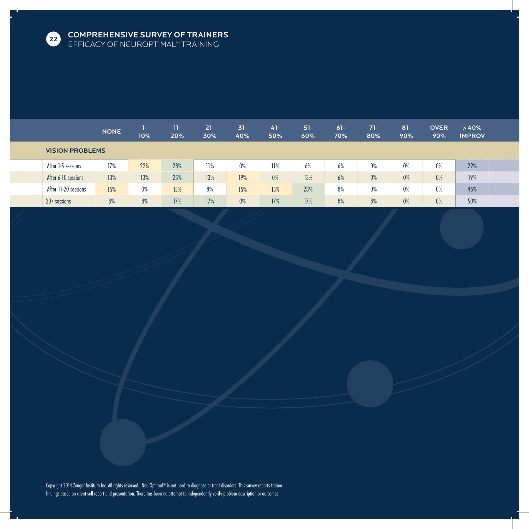

|                        |                      | <b>NONE</b> | 1-<br>10% | 11-<br>20% | $21 -$<br>30% | $31 -$<br>40% | $41 -$<br>50% | $51-$<br>60% | $61 -$<br>70% | $71-$<br>80% | $81 -$<br>90% | <b>OVER</b><br>90% | >40%<br><b>IMPROV</b> |  |
|------------------------|----------------------|-------------|-----------|------------|---------------|---------------|---------------|--------------|---------------|--------------|---------------|--------------------|-----------------------|--|
| <b>VISION PROBLEMS</b> |                      |             |           |            |               |               |               |              |               |              |               |                    |                       |  |
|                        | After 1-5 sessions   | 17%         | 22%       | 28%        | 11%           | $0\%$         | 11%           | 6%           | 6%            | $0\%$        | 0%            | 0%                 | 22%                   |  |
|                        | After 6-10 sessions  | 13%         | 13%       | 25%        | 13%           | 19%           | 0%            | 13%          | 6%            | 0%           | 0%            | $0\%$              | 19%                   |  |
|                        | After 11-20 sessions | 15%         | $0\%$     | 15%        | 8%            | 15%           | 15%           | 23%          | 8%            | $0\%$        | 0%            | 0%                 | 46%                   |  |
|                        | $20+$ sessions       | 8%          | 8%        | 17%        | 17%           | 0%            | 17%           | 17%          | 8%            | 8%           | 0%            | 0%                 | 50%                   |  |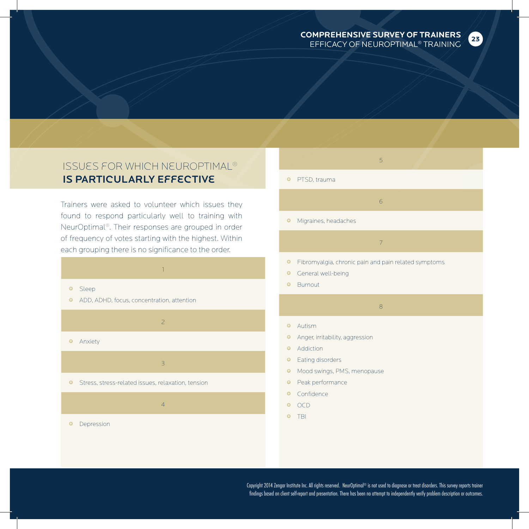

### Issues for which NeurOptimal® is Particularly Effective

Trainers were asked to volunteer which issues they found to respond particularly well to training with NeurOptimal®. Their responses are grouped in order of frequency of votes starting with the highest. Within each grouping there is no significance to the order.



3

4

**•** Stress, stress-related issues, relaxation, tension

**•** Depression

## 5 **•** PTSD, trauma 6

• Migraines, headaches

#### **•** Fibromyalgia, chronic pain and pain related symptoms

- **•** General well-being
- **•** Burnout

### 8

7

- **•** Autism
- **•** Anger, irritability, aggression
- **•** Addiction
- **•** Eating disorders
- **•** Mood swings, PMS, menopause
- **•** Peak performance
- **•** Confidence
- OCD
- TBI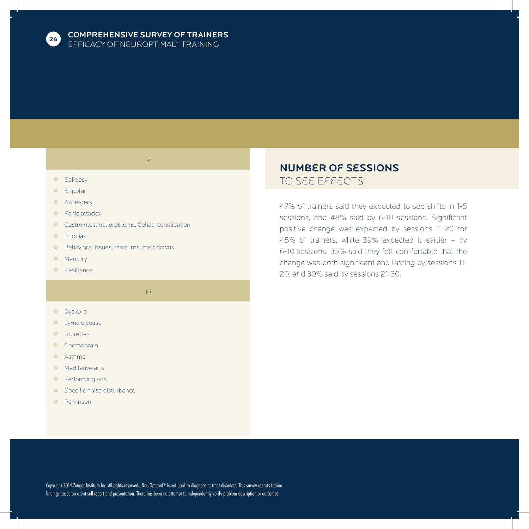

9

- **•** Epilepsy
- **•** Bi-polar
- **•** Aspergers
- **•** Panic attacks
- Gastrointestinal problems, Celiac, constipation
- **•** Phobias
- Behavioral issues, tantrums, melt downs
- **•** Memory
- **·** Resilience

10

- **•** Dyslexia
- **·** Lyme disease
- **•** Tourettes
- **·** Chemobrain
- **•** Asthma
- **•** Meditative arts
- **•** Performing arts
- **·** Specific noise disturbance
- **•** Parkinson

### Number of Sessions to See Effects

47% of trainers said they expected to see shifts in 1-5 sessions, and 48% said by 6-10 sessions. Significant positive change was expected by sessions 11-20 for 45% of trainers, while 39% expected it earlier – by 6-10 sessions. 35% said they felt comfortable that the change was both significant and lasting by sessions 11- 20, and 30% said by sessions 21-30.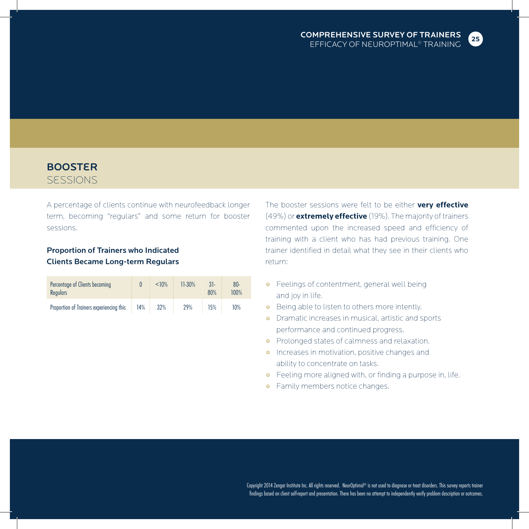

### **BOOSTER** Sessions

A percentage of clients continue with neurofeedback longer term, becoming "regulars" and some return for booster sessions.

### Proportion of Trainers who Indicated Clients Became Long-term Regulars

| Percentage of Clients becoming<br><b>Regulars</b> |     | < 10% | $11-30%$ | $31-$<br>80% | $80 -$<br>100% |
|---------------------------------------------------|-----|-------|----------|--------------|----------------|
| Proportion of Trainers experiencing this          | 14% | 32%   | 29%      | 15%          | 10%            |

The booster sessions were felt to be either **very effective** (49%) or **extremely effective** (19%). The majority of trainers commented upon the increased speed and efficiency of training with a client who has had previous training. One trainer identified in detail what they see in their clients who return:

- **•** Feelings of contentment, general well being and joy in life.
- **•** Being able to listen to others more intently.
- Dramatic increases in musical, artistic and sports performance and continued progress.
- **•** Prolonged states of calmness and relaxation.
- **•** Increases in motivation, positive changes and ability to concentrate on tasks.
- Feeling more aligned with, or finding a purpose in, life.
- **•** Family members notice changes.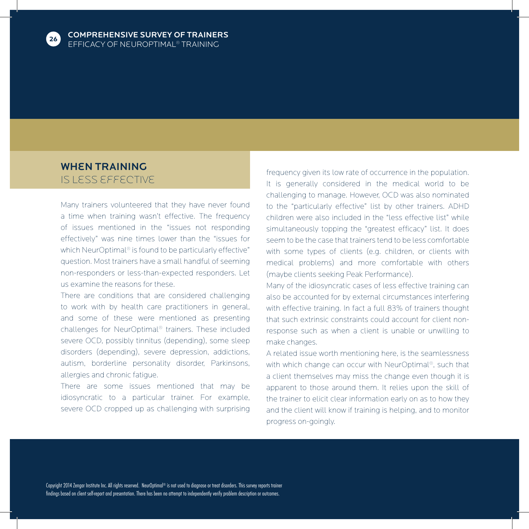

### WHEN TRAINING is less effective

Many trainers volunteered that they have never found a time when training wasn't effective. The frequency of issues mentioned in the "issues not responding effectively" was nine times lower than the "issues for which NeurOptimal® is found to be particularly effective" question. Most trainers have a small handful of seeming non-responders or less-than-expected responders. Let us examine the reasons for these.

There are conditions that are considered challenging to work with by health care practitioners in general, and some of these were mentioned as presenting challenges for NeurOptimal® trainers. These included severe OCD, possibly tinnitus (depending), some sleep disorders (depending), severe depression, addictions, autism, borderline personality disorder, Parkinsons, allergies and chronic fatigue.

There are some issues mentioned that may be idiosyncratic to a particular trainer. For example, severe OCD cropped up as challenging with surprising frequency given its low rate of occurrence in the population. It is generally considered in the medical world to be challenging to manage. However, OCD was also nominated to the "particularly effective" list by other trainers. ADHD children were also included in the "less effective list" while simultaneously topping the "greatest efficacy" list. It does seem to be the case that trainers tend to be less comfortable with some types of clients (e.g. children, or clients with medical problems) and more comfortable with others (maybe clients seeking Peak Performance).

Many of the idiosyncratic cases of less effective training can also be accounted for by external circumstances interfering with effective training. In fact a full 83% of trainers thought that such extrinsic constraints could account for client nonresponse such as when a client is unable or unwilling to make changes.

A related issue worth mentioning here, is the seamlessness with which change can occur with NeurOptimal®, such that a client themselves may miss the change even though it is apparent to those around them. It relies upon the skill of the trainer to elicit clear information early on as to how they and the client will know if training is helping, and to monitor progress on-goingly.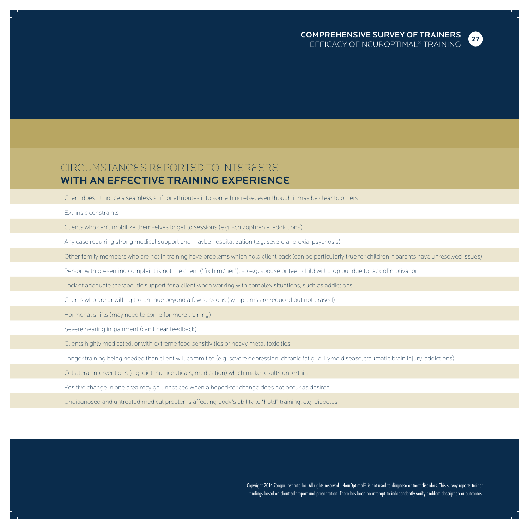

### Circumstances Reported to Interfere WITH AN EFFECTIVE TRAINING EXPERIENCE

Client doesn't notice a seamless shift or attributes it to something else, even though it may be clear to others

#### Extrinsic constraints

Clients who can't mobilize themselves to get to sessions (e.g. schizophrenia, addictions)

Any case requiring strong medical support and maybe hospitalization (e.g. severe anorexia, psychosis)

Other family members who are not in training have problems which hold client back (can be particularly true for children if parents have unresolved issues)

Person with presenting complaint is not the client ("fix him/her"), so e.g. spouse or teen child will drop out due to lack of motivation

Lack of adequate therapeutic support for a client when working with complex situations, such as addictions

Clients who are unwilling to continue beyond a few sessions (symptoms are reduced but not erased)

Hormonal shifts (may need to come for more training)

Severe hearing impairment (can't hear feedback)

Clients highly medicated, or with extreme food sensitivities or heavy metal toxicities

Longer training being needed than client will commit to (e.g. severe depression, chronic fatigue, Lyme disease, traumatic brain injury, addictions)

Collateral interventions (e.g. diet, nutriceuticals, medication) which make results uncertain

Positive change in one area may go unnoticed when a hoped-for change does not occur as desired

Undiagnosed and untreated medical problems affecting body's ability to "hold" training, e.g. diabetes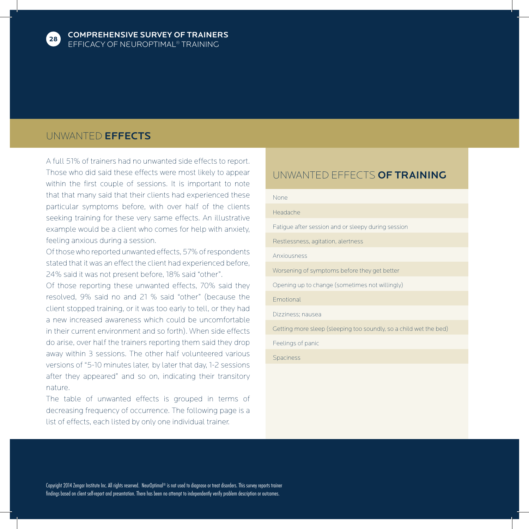

### UNWANTED EFFECTS

A full 51% of trainers had no unwanted side effects to report. Those who did said these effects were most likely to appear within the first couple of sessions. It is important to note that that many said that their clients had experienced these particular symptoms before, with over half of the clients seeking training for these very same effects. An illustrative example would be a client who comes for help with anxiety, feeling anxious during a session.

Of those who reported unwanted effects, 57% of respondents stated that it was an effect the client had experienced before, 24% said it was not present before, 18% said "other".

Of those reporting these unwanted effects, 70% said they resolved, 9% said no and 21 % said "other" (because the client stopped training, or it was too early to tell, or they had a new increased awareness which could be uncomfortable in their current environment and so forth). When side effects do arise, over half the trainers reporting them said they drop away within 3 sessions. The other half volunteered various versions of "5-10 minutes later, by later that day, 1-2 sessions after they appeared" and so on, indicating their transitory nature.

The table of unwanted effects is grouped in terms of decreasing frequency of occurrence. The following page is a list of effects, each listed by only one individual trainer.

### UNWANTED EFFECTS OF TRAINING

### None Headache Fatigue after session and or sleepy during session Restlessness, agitation, alertness Anxiousness Worsening of symptoms before they get better

Opening up to change (sometimes not willingly)

Emotional

Dizziness; nausea

Getting more sleep (sleeping too soundly, so a child wet the bed)

Feelings of panic

Spaciness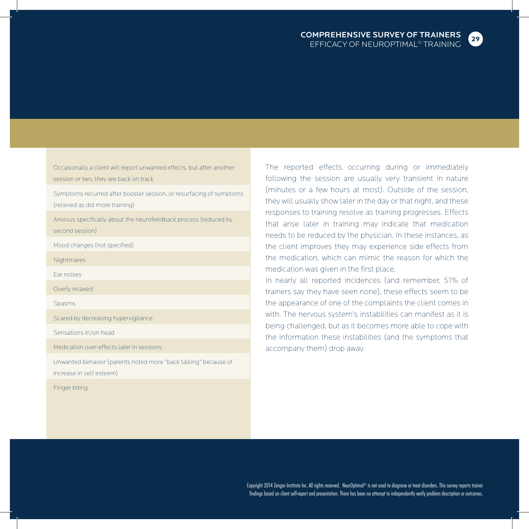

Occasionally a client will report unwanted effects, but after another session or two, they are back on track

Symptoms recurred after booster session, or resurfacing of symptoms (relieved as did more training)

Anxious specifically about the neurofeedback process (reduced by second session)

Mood changes (not specified)

**Nightmares** 

Ear noises

Overly relaxed

Spasms

Scared by decreasing hypervigilance

Sensations in/on head

Medication over-effects later in sessions

Unwanted behavior (parents noted more "back talking" because of increase in self esteem)

Finger biting

The reported effects occurring during or immediately following the session are usually very transient in nature (minutes or a few hours at most). Outside of the session, they will usually show later in the day or that night, and these responses to training resolve as training progresses. Effects that arise later in training may indicate that medication needs to be reduced by the physician. In these instances, as the client improves they may experience side effects from the medication, which can mimic the reason for which the medication was given in the first place.

In nearly all reported incidences (and remember, 51% of trainers say they have seen none), these effects seem to be the appearance of one of the complaints the client comes in with. The nervous system's instabilities can manifest as it is being challenged, but as it becomes more able to cope with the information these instabilities (and the symptoms that accompany them) drop away.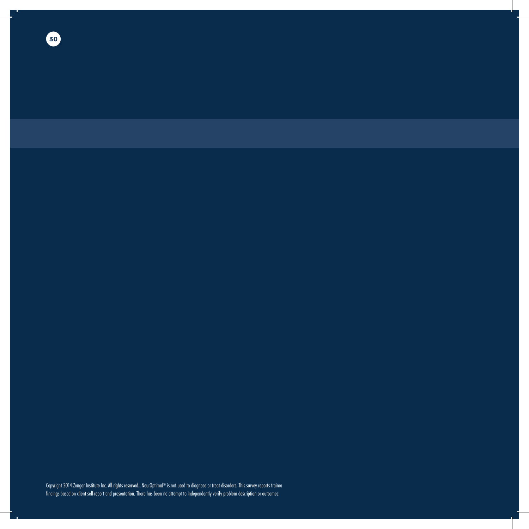**30**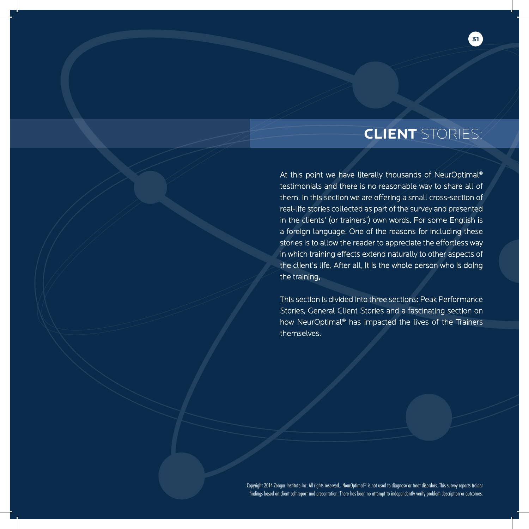## **CLIENT** STORIES:

**31**

At this point we have literally thousands of NeurOptimal® testimonials and there is no reasonable way to share all of them. In this section we are offering a small cross-section of real-life stories collected as part of the survey and presented in the clients' (or trainers') own words. For some English is a foreign language. One of the reasons for including these stories is to allow the reader to appreciate the effortless way in which training effects extend naturally to other aspects of the client's life. After all, it is the whole person who is doing the training.

This section is divided into three sections: Peak Performance Stories, General Client Stories and a fascinating section on how NeurOptimal® has impacted the lives of the Trainers themselves.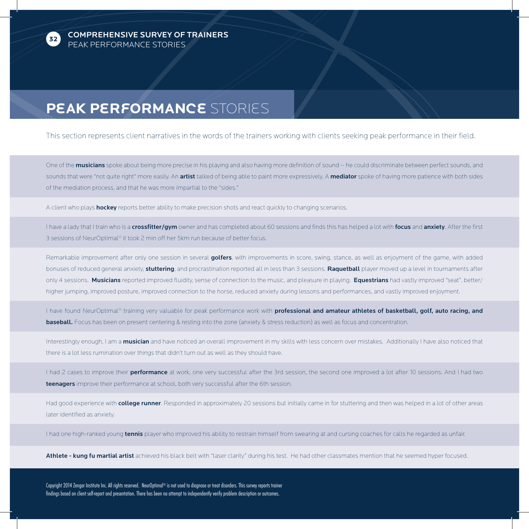

COMPREHENSIVE SURVEY OF TRAINERS PEAK PERFORMANCE STORIES

## **Peak Performance** Stories

This section represents client narratives in the words of the trainers working with clients seeking peak performance in their field.

One of the **musicians** spoke about being more precise in his playing and also having more definition of sound -- he could discriminate between perfect sounds, and sounds that were "not quite right" more easily. An artist talked of being able to paint more expressively. A mediator spoke of having more patience with both sides of the mediation process, and that he was more impartial to the "sides."

A client who plays **hockey** reports better ability to make precision shots and react quickly to changing scenarios.

I have a lady that I train who is a crossfitter/gym owner and has completed about 60 sessions and finds this has helped a lot with focus and anxiety. After the first 3 sessions of NeurOptimal® it took 2 min off her 5km run because of better focus.

Remarkable improvement after only one session in several golfers, with improvements in score, swing, stance, as well as enjoyment of the game, with added bonuses of reduced general anxiety, stuttering, and procrastination reported all in less than 3 sessions. Raquetball player moved up a level in tournaments after only 4 sessions. Musicians reported improved fluidity, sense of connection to the music, and pleasure in playing. Equestrians had vastly improved "seat", better/ higher jumping, improved posture, improved connection to the horse, reduced anxiety during lessons and performances, and vastly improved enjoyment.

I have found NeurOptimal® training very valuable for peak performance work with **professional and amateur athletes of basketball, golf, auto racing, and baseball.** Focus has been on present centering & resting into the zone (anxiety & stress reduction) as well as focus and concentration.

Interestingly enough, I am a musician and have noticed an overall improvement in my skills with less concern over mistakes. Additionally I have also noticed that there is a lot less rumination over things that didn't turn out as well as they should have.

I had 2 cases to improve their **performance** at work, one very successful after the 3rd session, the second one improved a lot after 10 sessions. And I had two teenagers improve their performance at school, both very successful after the 6th session.

Had good experience with **college runner**. Responded in approximately 20 sessions but initially came in for stuttering and then was helped in a lot of other areas later identified as anxiety.

I had one high-ranked young tennis player who improved his ability to restrain himself from swearing at and cursing coaches for calls he regarded as unfair.

Athlete - kung fu martial artist achieved his black belt with "laser clarity" during his test. He had other classmates mention that he seemed hyper focused.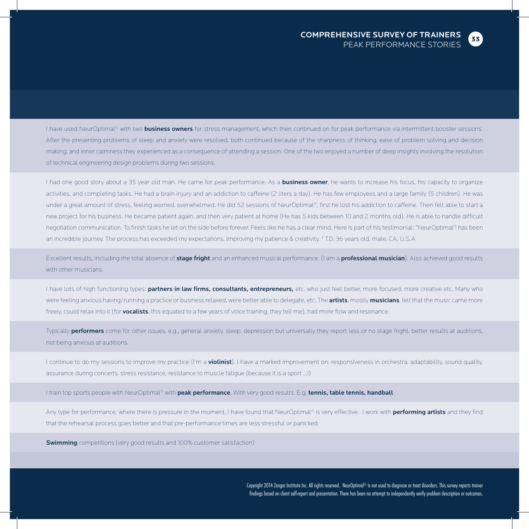**33**

I have used NeurOptimal® with two **business owners** for stress management, which then continued on for peak performance via intermittent booster sessions. After the presenting problems of sleep and anxiety were resolved, both continued because of the sharpness of thinking, ease of problem solving and decision making, and inner calmness they experienced as a consequence of attending a session. One of the two enjoyed a number of deep insights involving the resolution of technical engineering design problems during two sessions.

I had one good story about a 35 year old man. He came for peak performance. As a business owner, he wants to increase his focus, his capacity to organize activities, and completing tasks. He had a brain injury and an addiction to caffeine (2 liters a day). He has few employees and a large family (5 children). He was under a great amount of stress, feeling worried, overwhelmed. He did 52 sessions of NeurOptimal®, first he lost his addiction to caffeine. Then felt able to start a new project for his business. He became patient again, and then very patient at home (He has 5 kids between 10 and 2 months old). He is able to handle difficult negotiation communication. To finish tasks he let on the side before forever. Feels like he has a clear mind. Here is part of his testimonial: "NeurOptimal® has been an incredible journey. The process has exceeded my expectations, improving my patience & creativity. " T.D. 36 years old, male, CA, U.S.A

Excellent results, including the total absence of stage fright and an enhanced musical performance. (I am a professional musician). Also achieved good results with other musicians.

I have lots of high functioning types: partners in law firms, consultants, entrepreneurs, etc. who just feel better, more focused, more creative etc. Many who were feeling anxious having/running a practice or business relaxed, were better able to delegate, etc. The artists, mostly musicians, felt that the music came more freely, could relax into it (for **vocalists**, this equated to a few years of voice training, they tell me), had more flow and resonance.

Typically **performers** come for other issues, e.g., general anxiety, sleep, depression but universally they report less or no stage fright, better results at auditions, not being anxious at auditions.

I continue to do my sessions to improve my practice (I'm a **violinist**). I have a marked improvement on: responsiveness in orchestra, adaptability, sound quality, assurance during concerts, stress resistance, resistance to muscle fatigue (because it is a sport ...!)

I train top sports people with NeurOptimal® with **peak performance**. With very good results. E.g. tennis, table tennis, handball

Any type for performance, where there is pressure in the moment, I have found that NeurOptimal® is very effective. I work with **performing artists** and they find that the rehearsal process goes better and that pre-performance times are less stressful or panicked.

**Swimming** competitions (very good results and 100% customer satisfaction)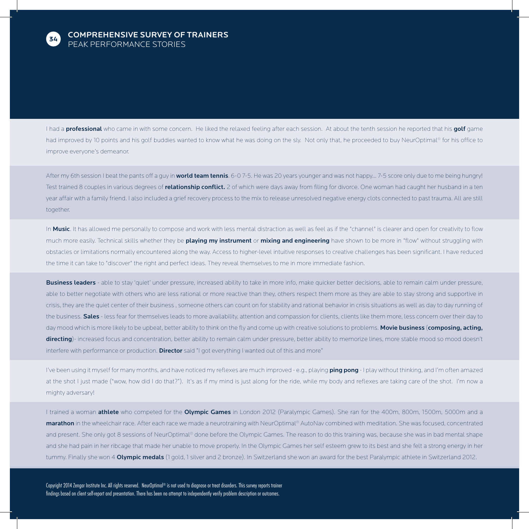

I had a professional who came in with some concern. He liked the relaxed feeling after each session. At about the tenth session he reported that his golf game had improved by 10 points and his golf buddies wanted to know what he was doing on the sly. Not only that, he proceeded to buy NeurOptimal® for his office to improve everyone's demeanor.

After my 6th session I beat the pants off a guy in world team tennis. 6-0 7-5. He was 20 years younger and was not happy... 7-5 score only due to me being hungry! Test trained 8 couples in various degrees of relationship conflict. 2 of which were days away from filing for divorce. One woman had caught her husband in a ten year affair with a family friend. I also included a grief recovery process to the mix to release unresolved negative energy clots connected to past trauma. All are still together.

In Music. It has allowed me personally to compose and work with less mental distraction as well as feel as if the "channel" is clearer and open for creativity to flow much more easily. Technical skills whether they be playing my instrument or mixing and engineering have shown to be more in "flow" without struggling with obstacles or limitations normally encountered along the way. Access to higher-level intuitive responses to creative challenges has been significant. I have reduced the time it can take to "discover" the right and perfect ideas. They reveal themselves to me in more immediate fashion.

Business leaders - able to stay 'quiet' under pressure, increased ability to take in more info, make quicker better decisions, able to remain calm under pressure, able to better negotiate with others who are less rational or more reactive than they, others respect them more as they are able to stay strong and supportive in crisis, they are the quiet center of their business , someone others can count on for stability and rational behavior in crisis situations as well as day to day running of the business. Sales - less fear for themselves leads to more availability, attention and compassion for clients, clients like them more, less concern over their day to day mood which is more likely to be upbeat, better ability to think on the fly and come up with creative solutions to problems. Movie business (composing, acting, directing)- increased focus and concentration, better ability to remain calm under pressure, better ability to memorize lines, more stable mood so mood doesn't interfere with performance or production. **Director** said "I got everything I wanted out of this and more"

I've been using it myself for many months, and have noticed my reflexes are much improved - e.g., playing ping pong - I play without thinking, and I'm often amazed at the shot I just made ("wow, how did I do that?"). It's as if my mind is just along for the ride, while my body and reflexes are taking care of the shot. I'm now a mighty adversary!

I trained a woman athlete who competed for the Olympic Games in London 2012 (Paralympic Games). She ran for the 400m, 800m, 1500m, 5000m and a marathon in the wheelchair race. After each race we made a neurotraining with NeurOptimal® AutoNav combined with meditation. She was focused, concentrated and present. She only got 8 sessions of NeurOptimal® done before the Olympic Games. The reason to do this training was, because she was in bad mental shape and she had pain in her ribcage that made her unable to move properly. In the Olympic Games her self esteem grew to its best and she felt a strong energy in her tummy. Finally she won 4 Olympic medals (1 gold, 1 silver and 2 bronze). In Switzerland she won an award for the best Paralympic athlete in Switzerland 2012.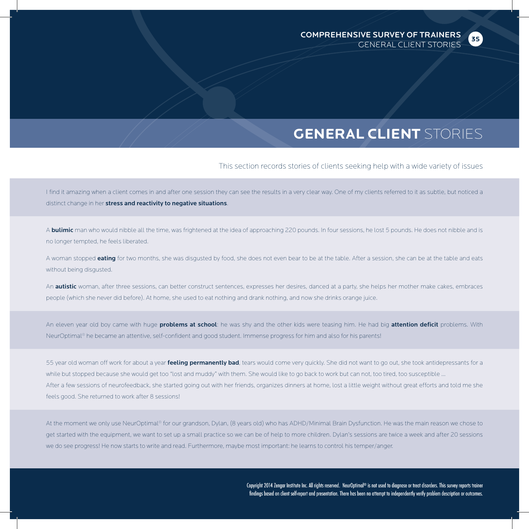**35**

## **GENERAL CLIENT** STORIES

This section records stories of clients seeking help with a wide variety of issues

I find it amazing when a client comes in and after one session they can see the results in a very clear way. One of my clients referred to it as subtle, but noticed a distinct change in her stress and reactivity to negative situations.

A **bulimic** man who would nibble all the time, was frightened at the idea of approaching 220 pounds. In four sessions, he lost 5 pounds. He does not nibble and is no longer tempted, he feels liberated.

A woman stopped eating for two months, she was disgusted by food, she does not even bear to be at the table. After a session, she can be at the table and eats without being disgusted.

An **autistic** woman, after three sessions, can better construct sentences, expresses her desires, danced at a party, she helps her mother make cakes, embraces people (which she never did before). At home, she used to eat nothing and drank nothing, and now she drinks orange juice.

An eleven year old boy came with huge **problems at school**: he was shy and the other kids were teasing him. He had big attention deficit problems. With NeurOptimal® he became an attentive, self-confident and good student. Immense progress for him and also for his parents!

55 year old woman off work for about a year feeling permanently bad, tears would come very quickly. She did not want to go out, she took antidepressants for a while but stopped because she would get too "lost and muddy" with them. She would like to go back to work but can not, too tired, too susceptible ... After a few sessions of neurofeedback, she started going out with her friends, organizes dinners at home, lost a little weight without great efforts and told me she feels good. She returned to work after 8 sessions!

At the moment we only use NeurOptimal® for our grandson, Dylan, (8 years old) who has ADHD/Minimal Brain Dysfunction. He was the main reason we chose to get started with the equipment, we want to set up a small practice so we can be of help to more children. Dylan's sessions are twice a week and after 20 sessions we do see progress! He now starts to write and read. Furthermore, maybe most important: he learns to control his temper/anger.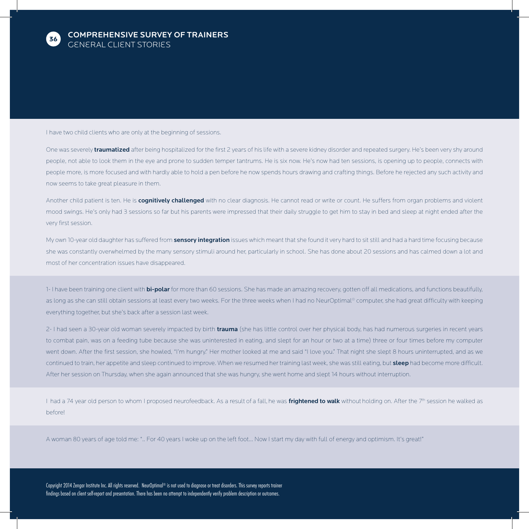

I have two child clients who are only at the beginning of sessions.

One was severely *traumatized* after being hospitalized for the first 2 years of his life with a severe kidney disorder and repeated surgery. He's been very shy around people, not able to look them in the eye and prone to sudden temper tantrums. He is six now. He's now had ten sessions, is opening up to people, connects with people more, is more focused and with hardly able to hold a pen before he now spends hours drawing and crafting things. Before he rejected any such activity and now seems to take great pleasure in them.

Another child patient is ten. He is cognitively challenged with no clear diagnosis. He cannot read or write or count. He suffers from organ problems and violent mood swings. He's only had 3 sessions so far but his parents were impressed that their daily struggle to get him to stay in bed and sleep at night ended after the very first session.

My own 10-year old daughter has suffered from sensory integration issues which meant that she found it very hard to sit still and had a hard time focusing because she was constantly overwhelmed by the many sensory stimuli around her, particularly in school. She has done about 20 sessions and has calmed down a lot and most of her concentration issues have disappeared.

1- I have been training one client with bi-polar for more than 60 sessions. She has made an amazing recovery, gotten off all medications, and functions beautifully, as long as she can still obtain sessions at least every two weeks. For the three weeks when I had no NeurOptimal® computer, she had great difficulty with keeping everything together, but she's back after a session last week.

2- I had seen a 30-year old woman severely impacted by birth trauma (she has little control over her physical body, has had numerous surgeries in recent years to combat pain, was on a feeding tube because she was uninterested in eating, and slept for an hour or two at a time) three or four times before my computer went down. After the first session, she howled, "I'm hungry." Her mother looked at me and said "I love you." That night she slept 8 hours uninterrupted, and as we continued to train, her appetite and sleep continued to improve. When we resumed her training last week, she was still eating, but **sleep** had become more difficult. After her session on Thursday, when she again announced that she was hungry, she went home and slept 14 hours without interruption.

I had a 74 year old person to whom I proposed neurofeedback. As a result of a fall, he was frightened to walk without holding on. After the 7<sup>th</sup> session he walked as before!

A woman 80 years of age told me: ".. For 40 years I woke up on the left foot… Now I start my day with full of energy and optimism. It's great!"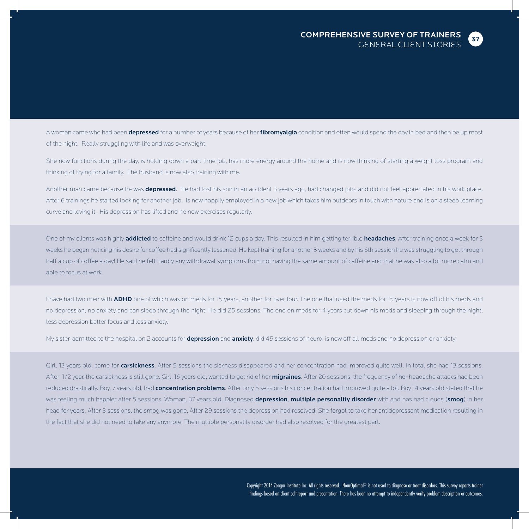

A woman came who had been depressed for a number of years because of her fibromyalgia condition and often would spend the day in bed and then be up most of the night. Really struggling with life and was overweight.

She now functions during the day, is holding down a part time job, has more energy around the home and is now thinking of starting a weight loss program and thinking of trying for a family. The husband is now also training with me.

Another man came because he was depressed. He had lost his son in an accident 3 years ago, had changed jobs and did not feel appreciated in his work place. After 6 trainings he started looking for another job. Is now happily employed in a new job which takes him outdoors in touch with nature and is on a steep learning curve and loving it. His depression has lifted and he now exercises regularly.

One of my clients was highly addicted to caffeine and would drink 12 cups a day. This resulted in him getting terrible headaches. After training once a week for 3 weeks he began noticing his desire for coffee had significantly lessened. He kept training for another 3 weeks and by his 6th session he was struggling to get through half a cup of coffee a day! He said he felt hardly any withdrawal symptoms from not having the same amount of caffeine and that he was also a lot more calm and able to focus at work.

I have had two men with ADHD one of which was on meds for 15 years, another for over four. The one that used the meds for 15 years is now off of his meds and no depression, no anxiety and can sleep through the night. He did 25 sessions. The one on meds for 4 years cut down his meds and sleeping through the night, less depression better focus and less anxiety.

My sister, admitted to the hospital on 2 accounts for depression and anxiety, did 45 sessions of neuro, is now off all meds and no depression or anxiety.

Girl, 13 years old, came for carsickness. After 5 sessions the sickness disappeared and her concentration had improved quite well. In total she had 13 sessions. After 1/2 year, the carsickness is still gone. Girl, 16 years old, wanted to get rid of her migraines. After 20 sessions, the frequency of her headache attacks had been reduced drastically. Boy, 7 years old, had *concentration problems*. After only 5 sessions his concentration had improved quite a lot. Boy 14 years old stated that he was feeling much happier after 5 sessions. Woman, 37 years old. Diagnosed depression, multiple personality disorder with and has had clouds (smog) in her head for years. After 3 sessions, the smog was gone. After 29 sessions the depression had resolved. She forgot to take her antidepressant medication resulting in the fact that she did not need to take any anymore. The multiple personality disorder had also resolved for the greatest part.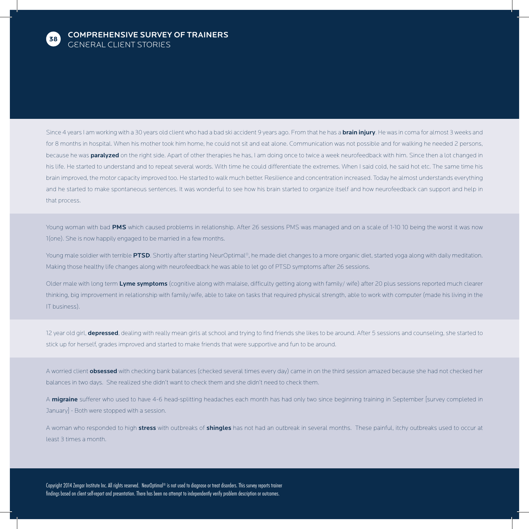

Since 4 years I am working with a 30 years old client who had a bad ski accident 9 years ago. From that he has a **brain injury**. He was in coma for almost 3 weeks and for 8 months in hospital. When his mother took him home, he could not sit and eat alone. Communication was not possible and for walking he needed 2 persons, because he was **paralyzed** on the right side. Apart of other therapies he has, I am doing once to twice a week neurofeedback with him. Since then a lot changed in his life. He started to understand and to repeat several words. With time he could differentiate the extremes. When I said cold, he said hot etc. The same time his brain improved, the motor capacity improved too. He started to walk much better. Resilience and concentration increased. Today he almost understands everything and he started to make spontaneous sentences. It was wonderful to see how his brain started to organize itself and how neurofeedback can support and help in that process.

Young woman with bad PMS which caused problems in relationship. After 26 sessions PMS was managed and on a scale of 1-10 10 being the worst it was now 1(one). She is now happily engaged to be married in a few months.

Young male soldier with terrible PTSD. Shortly after starting NeurOptimal®, he made diet changes to a more organic diet, started yoga along with daily meditation. Making those healthy life changes along with neurofeedback he was able to let go of PTSD symptoms after 26 sessions.

Older male with long term Lyme symptoms (cognitive along with malaise, difficulty getting along with family/ wife) after 20 plus sessions reported much clearer thinking, big improvement in relationship with family/wife, able to take on tasks that required physical strength, able to work with computer (made his living in the IT business).

12 year old girl, depressed, dealing with really mean girls at school and trying to find friends she likes to be around. After 5 sessions and counseling, she started to stick up for herself, grades improved and started to make friends that were supportive and fun to be around.

A worried client **obsessed** with checking bank balances (checked several times every day) came in on the third session amazed because she had not checked her balances in two days. She realized she didn't want to check them and she didn't need to check them.

A migraine sufferer who used to have 4-6 head-splitting headaches each month has had only two since beginning training in September [survey completed in January] - Both were stopped with a session.

A woman who responded to high stress with outbreaks of shingles has not had an outbreak in several months. These painful, itchy outbreaks used to occur at least 3 times a month.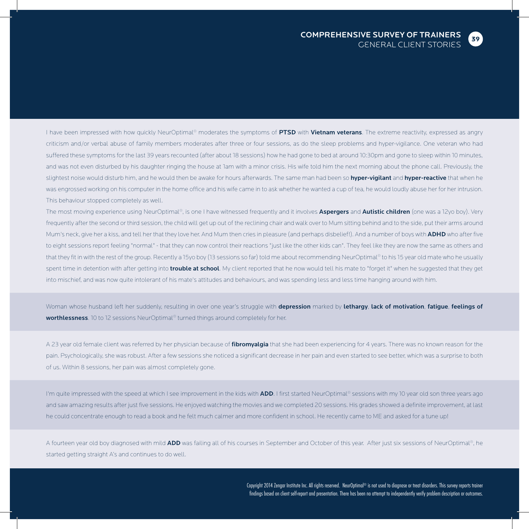

I have been impressed with how quickly NeurOptimal® moderates the symptoms of PTSD with Vietnam veterans. The extreme reactivity, expressed as angry criticism and/or verbal abuse of family members moderates after three or four sessions, as do the sleep problems and hyper-vigilance. One veteran who had suffered these symptoms for the last 39 years recounted (after about 18 sessions) how he had gone to bed at around 10:30pm and gone to sleep within 10 minutes, and was not even disturbed by his daughter ringing the house at 1am with a minor crisis. His wife told him the next morning about the phone call. Previously, the slightest noise would disturb him, and he would then be awake for hours afterwards. The same man had been so hyper-vigilant and hyper-reactive that when he was engrossed working on his computer in the home office and his wife came in to ask whether he wanted a cup of tea, he would loudly abuse her for her intrusion. This behaviour stopped completely as well.

The most moving experience using NeurOptimal®, is one I have witnessed frequently and it involves Aspergers and Autistic children (one was a 12yo boy). Very frequently after the second or third session, the child will get up out of the reclining chair and walk over to Mum sitting behind and to the side, put their arms around Mum's neck, give her a kiss, and tell her that they love her. And Mum then cries in pleasure (and perhaps disbelief!). And a number of boys with ADHD who after five to eight sessions report feeling "normal" - that they can now control their reactions "just like the other kids can". They feel like they are now the same as others and that they fit in with the rest of the group. Recently a 15yo boy (13 sessions so far) told me about recommending NeurOptimal® to his 15 year old mate who he usually spent time in detention with after getting into trouble at school. My client reported that he now would tell his mate to "forget it" when he suggested that they get into mischief, and was now quite intolerant of his mate's attitudes and behaviours, and was spending less and less time hanging around with him.

Woman whose husband left her suddenly, resulting in over one year's struggle with depression marked by lethargy, lack of motivation, fatigue, feelings of worthlessness. 10 to 12 sessions NeurOptimal® turned things around completely for her.

A 23 year old female client was referred by her physician because of fibromyalgia that she had been experiencing for 4 years. There was no known reason for the pain. Psychologically, she was robust. After a few sessions she noticed a significant decrease in her pain and even started to see better, which was a surprise to both of us. Within 8 sessions, her pain was almost completely gone.

I'm quite impressed with the speed at which I see improvement in the kids with ADD. I first started NeurOptimal® sessions with my 10 year old son three years ago and saw amazing results after just five sessions. He enjoyed watching the movies and we completed 20 sessions. His grades showed a definite improvement, at last he could concentrate enough to read a book and he felt much calmer and more confident in school. He recently came to ME and asked for a tune up!

A fourteen year old boy diagnosed with mild ADD was failing all of his courses in September and October of this year. After just six sessions of NeurOptimal®, he started getting straight A's and continues to do well.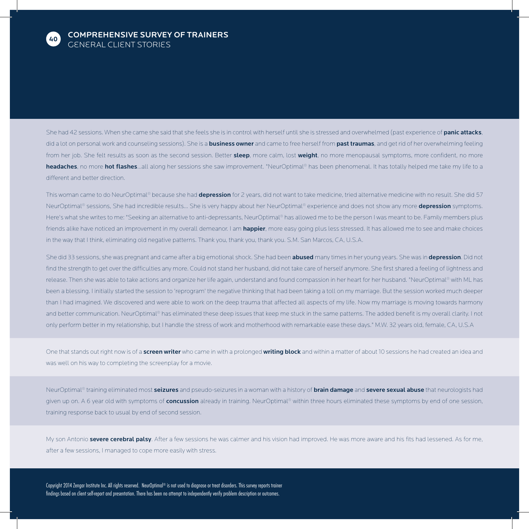

She had 42 sessions. When she came she said that she feels she is in control with herself until she is stressed and overwhelmed (past experience of panic attacks, did a lot on personal work and counseling sessions). She is a business owner and came to free herself from past traumas, and get rid of her overwhelming feeling from her job. She felt results as soon as the second session. Better sleep, more calm, lost weight, no more menopausal symptoms, more confident, no more headaches, no more hot flashes...all along her sessions she saw improvement. "NeurOptimal® has been phenomenal. It has totally helped me take my life to a different and better direction.

This woman came to do NeurOptimal® because she had depression for 2 years, did not want to take medicine, tried alternative medicine with no result. She did 57 NeurOptimal® sessions, She had incredible results... She is very happy about her NeurOptimal® experience and does not show any more depression symptoms. Here's what she writes to me: "Seeking an alternative to anti-depressants, NeurOptimal® has allowed me to be the person I was meant to be. Family members plus friends alike have noticed an improvement in my overall demeanor. I am happier, more easy going plus less stressed. It has allowed me to see and make choices in the way that I think, eliminating old negative patterns. Thank you, thank you, thank you. S.M. San Marcos, CA, U.S.A.

She did 33 sessions, she was pregnant and came after a big emotional shock. She had been **abused** many times in her young years. She was in **depression**. Did not find the strength to get over the difficulties any more. Could not stand her husband, did not take care of herself anymore. She first shared a feeling of lightness and release. Then she was able to take actions and organize her life again, understand and found compassion in her heart for her husband. "NeurOptimal® with ML has been a blessing. I initially started the session to 'reprogram' the negative thinking that had been taking a toll on my marriage. But the session worked much deeper than I had imagined. We discovered and were able to work on the deep trauma that affected all aspects of my life. Now my marriage is moving towards harmony and better communication. NeurOptimal® has eliminated these deep issues that keep me stuck in the same patterns. The added benefit is my overall clarity. I not only perform better in my relationship, but I handle the stress of work and motherhood with remarkable ease these days." M.W. 32 years old, female, CA, U.S.A

One that stands out right now is of a screen writer who came in with a prolonged writing block and within a matter of about 10 sessions he had created an idea and was well on his way to completing the screenplay for a movie.

NeurOptimal® training eliminated most seizures and pseudo-seizures in a woman with a history of brain damage and severe sexual abuse that neurologists had given up on. A 6 year old with symptoms of concussion already in training. NeurOptimal® within three hours eliminated these symptoms by end of one session, training response back to usual by end of second session.

My son Antonio **severe cerebral palsy**. After a few sessions he was calmer and his vision had improved. He was more aware and his fits had lessened. As for me, after a few sessions, I managed to cope more easily with stress.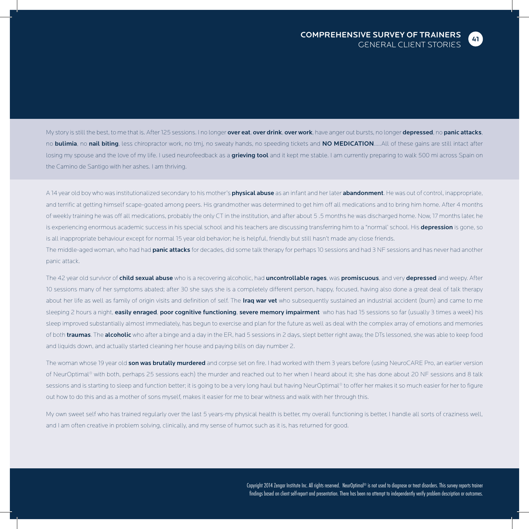My story is still the best, to me that is. After 125 sessions. I no longer over eat, over drink, over work, have anger out bursts, no longer depressed, no panic attacks, no **bulimia**, no nail biting, less chiropractor work, no tmj, no sweaty hands, no speeding tickets and NO MEDICATION.....All of these gains are still intact after losing my spouse and the love of my life. I used neurofeedback as a grieving tool and it kept me stable. I am currently preparing to walk 500 mi across Spain on the Camino de Santigo with her ashes. I am thriving.

A 14 year old boy who was institutionalized secondary to his mother's **physical abuse** as an infant and her later **abandonment**. He was out of control, inappropriate, and terrific at getting himself scape-goated among peers. His grandmother was determined to get him off all medications and to bring him home. After 4 months of weekly training he was off all medications, probably the only CT in the institution, and after about 5 .5 months he was discharged home. Now, 17 months later, he is experiencing enormous academic success in his special school and his teachers are discussing transferring him to a "normal' school. His depression is gone, so is all inappropriate behaviour except for normal 15 year old behavior; he is helpful, friendly but still hasn't made any close friends.

The middle-aged woman, who had had **panic attacks** for decades, did some talk therapy for perhaps 10 sessions and had 3 NF sessions and has never had another panic attack.

The 42 year old survivor of child sexual abuse who is a recovering alcoholic, had uncontrollable rages, was promiscuous, and very depressed and weepy. After 10 sessions many of her symptoms abated; after 30 she says she is a completely different person, happy, focused, having also done a great deal of talk therapy about her life as well as family of origin visits and definition of self. The Iraq war vet who subsequently sustained an industrial accident (burn) and came to me sleeping 2 hours a night, easily enraged, poor cognitive functioning, severe memory impairment who has had 15 sessions so far (usually 3 times a week) his sleep improved substantially almost immediately, has begun to exercise and plan for the future as well as deal with the complex array of emotions and memories of both traumas. The alcoholic who after a binge and a day in the ER, had 5 sessions in 2 days, slept better right away, the DTs lessoned, she was able to keep food and liquids down, and actually started cleaning her house and paying bills on day number 2.

The woman whose 19 year old son was brutally murdered and corpse set on fire. I had worked with them 3 years before (using NeuroCARE Pro, an earlier version of NeurOptimal® with both, perhaps 25 sessions each) the murder and reached out to her when I heard about it; she has done about 20 NF sessions and 8 talk sessions and is starting to sleep and function better; it is going to be a very long haul but having NeurOptimal® to offer her makes it so much easier for her to figure out how to do this and as a mother of sons myself, makes it easier for me to bear witness and walk with her through this.

My own sweet self who has trained regularly over the last 5 years-my physical health is better, my overall functioning is better, I handle all sorts of craziness well, and I am often creative in problem solving, clinically, and my sense of humor, such as it is, has returned for good.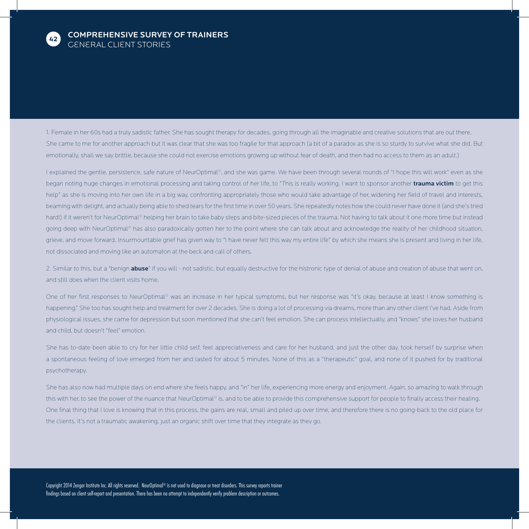

1. Female in her 60s had a truly sadistic father. She has sought therapy for decades, going through all the imaginable and creative solutions that are out there. She came to me for another approach but it was clear that she was too fragile for that approach (a bit of a paradox as she is so sturdy to survive what she did. But emotionally, shall we say brittle, because she could not exercise emotions growing up without fear of death, and then had no access to them as an adult.)

I explained the gentle, persistence, safe nature of NeurOptimal®, and she was game. We have been through several rounds of "I hope this will work" even as she began noting huge changes in emotional processing and taking control of her life, to "This is really working, I want to sponsor another trauma victim to get this help" as she is moving into her own life in a big way, confronting appropriately those who would take advantage of her, widening her field of travel and interests, beaming with delight, and actually being able to shed tears for the first time in over 50 years. She repeatedly notes how she could never have done it (and she's tried hard!) if it weren't for NeurOptimal® helping her brain to take baby steps and bite-sized pieces of the trauma. Not having to talk about it one more time but instead going deep with NeurOptimal® has also paradoxically gotten her to the point where she can talk about and acknowledge the reality of her childhood situation, grieve, and move forward. Insurmountable grief has given way to "I have never felt this way my entire life" by which she means she is present and living in her life, not dissociated and moving like an automaton at the beck and call of others.

2. Similar to this, but a "benign **abuse**" if you will - not sadistic, but equally destructive for the histronic type of denial of abuse and creation of abuse that went on, and still does when the client visits home.

One of her first responses to NeurOptimal® was an increase in her typical symptoms, but her response was "it's okay, because at least I know something is happening." She too has sought help and treatment for over 2 decades. She is doing a lot of processing via dreams, more than any other client I've had. Aside from physiological issues, she came for depression but soon mentioned that she can't feel emotion. She can process intellectually, and "knows" she loves her husband and child, but doesn't "feel" emotion.

She has to-date been able to cry for her little child self, feel appreciativeness and care for her husband, and just the other day, took herself by surprise when a spontaneous feeling of love emerged from her and lasted for about 5 minutes. None of this as a "therapeutic" goal, and none of it pushed for by traditional psychotherapy.

She has also now had multiple days on end where she feels happy, and "in" her life, experiencing more energy and enjoyment. Again, so amazing to walk through this with her, to see the power of the nuance that NeurOptimal® is, and to be able to provide this comprehensive support for people to finally access their healing. One final thing that I love is knowing that in this process, the gains are real, small and piled up over time, and therefore there is no going-back to the old place for the clients. It's not a traumatic awakening, just an organic shift over time that they integrate as they go.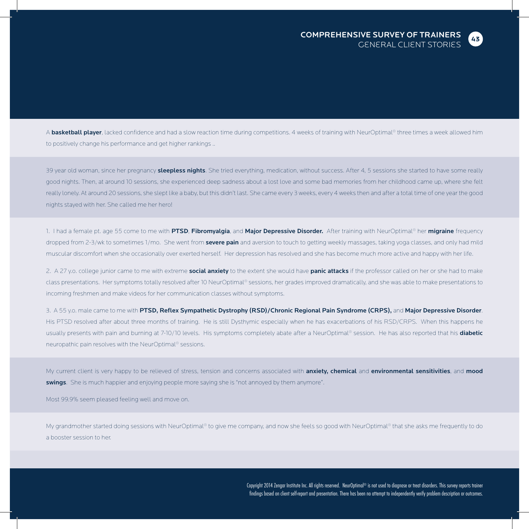

A **basketball player**, lacked confidence and had a slow reaction time during competitions. 4 weeks of training with NeurOptimal® three times a week allowed him to positively change his performance and get higher rankings ..

39 year old woman, since her pregnancy **sleepless nights**. She tried everything, medication, without success. After 4, 5 sessions she started to have some really good nights. Then, at around 10 sessions, she experienced deep sadness about a lost love and some bad memories from her childhood came up, where she felt really lonely. At around 20 sessions, she slept like a baby, but this didn't last. She came every 3 weeks, every 4 weeks then and after a total time of one year the good nights stayed with her. She called me her hero!

1. I had a female pt. age 55 come to me with PTSD, Fibromyalgia, and Major Depressive Disorder. After training with NeurOptimal® her migraine frequency dropped from 2-3/wk to sometimes 1/mo. She went from severe pain and aversion to touch to getting weekly massages, taking yoga classes, and only had mild muscular discomfort when she occasionally over exerted herself. Her depression has resolved and she has become much more active and happy with her life.

2. A 27 y.o. college junior came to me with extreme social anxiety to the extent she would have panic attacks if the professor called on her or she had to make class presentations. Her symptoms totally resolved after 10 NeurOptimal® sessions, her grades improved dramatically, and she was able to make presentations to incoming freshmen and make videos for her communication classes without symptoms.

3. A 55 y.o. male came to me with PTSD, Reflex Sympathetic Dystrophy (RSD)/Chronic Regional Pain Syndrome (CRPS), and Major Depressive Disorder. His PTSD resolved after about three months of training. He is still Dysthymic especially when he has exacerbations of his RSD/CRPS. When this happens he usually presents with pain and burning at 7-10/10 levels. His symptoms completely abate after a NeurOptimal® session. He has also reported that his diabetic neuropathic pain resolves with the NeurOptimal® sessions.

My current client is very happy to be relieved of stress, tension and concerns associated with anxiety, chemical and environmental sensitivities, and mood swings. She is much happier and enjoying people more saying she is "not annoyed by them anymore".

Most 99.9% seem pleased feeling well and move on.

My grandmother started doing sessions with NeurOptimal® to give me company, and now she feels so good with NeurOptimal® that she asks me frequently to do a booster session to her.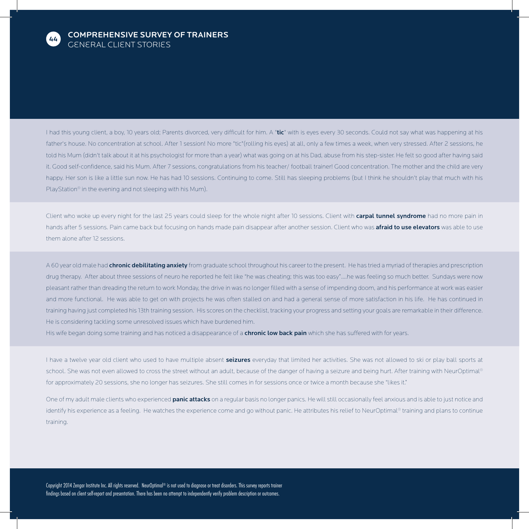

I had this young client, a boy, 10 years old; Parents divorced, very difficult for him. A "tic" with is eyes every 30 seconds. Could not say what was happening at his father's house. No concentration at school. After 1 session! No more "tic"(rolling his eyes) at all, only a few times a week, when very stressed. After 2 sessions, he told his Mum (didn't talk about it at his psychologist for more than a year) what was going on at his Dad, abuse from his step-sister. He felt so good after having said it. Good self-confidence, said his Mum. After 7 sessions, congratulations from his teacher/ football trainer! Good concentration. The mother and the child are very happy. Her son is like a little sun now. He has had 10 sessions. Continuing to come. Still has sleeping problems (but I think he shouldn't play that much with his PlayStation® in the evening and not sleeping with his Mum).

Client who woke up every night for the last 25 years could sleep for the whole night after 10 sessions. Client with carpal tunnel syndrome had no more pain in hands after 5 sessions. Pain came back but focusing on hands made pain disappear after another session. Client who was afraid to use elevators was able to use them alone after 12 sessions.

A 60 year old male had *chronic debilitating anxiety* from graduate school throughout his career to the present. He has tried a myriad of therapies and prescription drug therapy. After about three sessions of neuro he reported he felt like "he was cheating; this was too easy"....he was feeling so much better. Sundays were now pleasant rather than dreading the return to work Monday, the drive in was no longer filled with a sense of impending doom, and his performance at work was easier and more functional. He was able to get on with projects he was often stalled on and had a general sense of more satisfaction in his life. He has continued in training having just completed his 13th training session. His scores on the checklist, tracking your progress and setting your goals are remarkable in their difference. He is considering tackling some unresolved issues which have burdened him.

His wife began doing some training and has noticed a disappearance of a **chronic low back pain** which she has suffered with for years.

I have a twelve year old client who used to have multiple absent seizures everyday that limited her activities. She was not allowed to ski or play ball sports at school. She was not even allowed to cross the street without an adult, because of the danger of having a seizure and being hurt. After training with NeurOptimal® for approximately 20 sessions, she no longer has seizures. She still comes in for sessions once or twice a month because she "likes it."

One of my adult male clients who experienced panic attacks on a regular basis no longer panics. He will still occasionally feel anxious and is able to just notice and identify his experience as a feeling. He watches the experience come and go without panic. He attributes his relief to NeurOptimal® training and plans to continue training.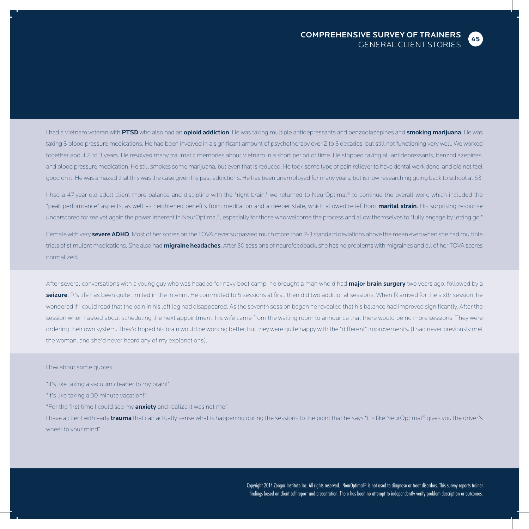

I had a Vietnam veteran with PTSD who also had an opioid addiction. He was taking multiple antidepressants and benzodiazepines and smoking marijuana. He was taking 3 blood pressure medications. He had been involved in a significant amount of psychotherapy over 2 to 3 decades, but still not functioning very well. We worked together about 2 to 3 years. He resolved many traumatic memories about Vietnam in a short period of time. He stopped taking all antidepressants, benzodiazepines, and blood pressure medication. He still smokes some marijuana, but even that is reduced. He took some type of pain reliever to have dental work done, and did not feel good on it. He was amazed that this was the case given his past addictions. He has been unemployed for many years, but is now researching going back to school at 63.

I had a 47-year-old adult client more balance and discipline with the "right brain," we returned to NeurOptimal® to continue the overall work, which included the "peak performance" aspects, as well as heightened benefits from meditation and a deeper state, which allowed relief from marital strain. His surprising response underscored for me yet again the power inherent in NeurOptimal®, especially for those who welcome the process and allow themselves to "fully engage by letting go."

Female with very severe ADHD. Most of her scores on the TOVA never surpassed much more than 2-3 standard deviations above the mean even when she had multiple trials of stimulant medications. She also had *migraine headaches.* After 30 sessions of neurofeedback, she has no problems with migraines and all of her TOVA scores normalized.

After several conversations with a young guy who was headed for navy boot camp, he brought a man who'd had major brain surgery two years ago, followed by a seizure. R's life has been quite limited in the interim. He committed to 5 sessions at first, then did two additional sessions. When R arrived for the sixth session, he wondered if I could read that the pain in his left leg had disappeared. As the seventh session began he revealed that his balance had improved significantly. After the session when I asked about scheduling the next appointment, his wife came from the waiting room to announce that there would be no more sessions. They were ordering their own system. They'd hoped his brain would be working better, but they were quite happy with the "different" improvements. (I had never previously met the woman, and she'd never heard any of my explanations).

#### How about some quotes:

"It's like taking a vacuum cleaner to my brain!"

"It's like taking a 30 minute vacation!"

"For the first time I could see my **anxiety** and realize it was not me."

I have a client with early **trauma** that can actually sense what is happening during the sessions to the point that he says "it's like NeurOptimal® gives you the driver's wheel to your mind"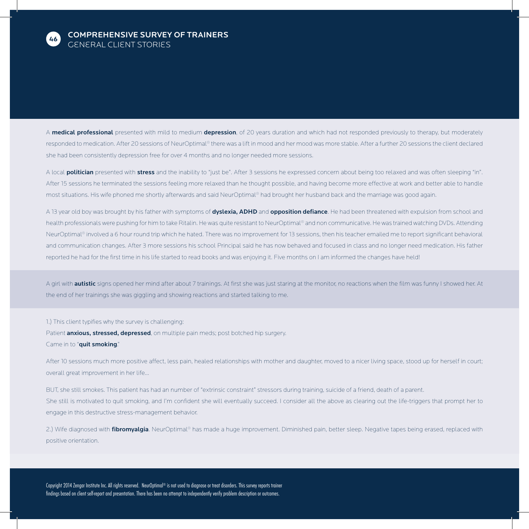

A medical professional presented with mild to medium depression, of 20 years duration and which had not responded previously to therapy, but moderately responded to medication. After 20 sessions of NeurOptimal® there was a lift in mood and her mood was more stable. After a further 20 sessions the client declared she had been consistently depression free for over 4 months and no longer needed more sessions.

A local **politician** presented with stress and the inability to "just be". After 3 sessions he expressed concern about being too relaxed and was often sleeping "in". After 15 sessions he terminated the sessions feeling more relaxed than he thought possible, and having become more effective at work and better able to handle most situations. His wife phoned me shortly afterwards and said NeurOptimal® had brought her husband back and the marriage was good again.

A 13 year old boy was brought by his father with symptoms of dyslexia, ADHD and opposition defiance. He had been threatened with expulsion from school and health professionals were pushing for him to take Ritalin. He was quite resistant to NeurOptimal® and non communicative. He was trained watching DVDs. Attending NeurOptimal® involved a 6 hour round trip which he hated. There was no improvement for 13 sessions, then his teacher emailed me to report significant behavioral and communication changes. After 3 more sessions his school Principal said he has now behaved and focused in class and no longer need medication. His father reported he had for the first time in his life started to read books and was enjoying it. Five months on I am informed the changes have held!

A girl with **autistic** signs opened her mind after about 7 trainings. At first she was just staring at the monitor, no reactions when the film was funny I showed her. At the end of her trainings she was giggling and showing reactions and started talking to me.

#### 1.) This client typifies why the survey is challenging:

Patient **anxious, stressed, depressed**, on multiple pain meds; post botched hip surgery. Came in to "quit smoking."

After 10 sessions much more positive affect, less pain, healed relationships with mother and daughter, moved to a nicer living space, stood up for herself in court; overall great improvement in her life...

BUT, she still smokes. This patient has had an number of "extrinsic constraint" stressors during training, suicide of a friend, death of a parent. She still is motivated to quit smoking, and I'm confident she will eventually succeed. I consider all the above as clearing out the life-triggers that prompt her to engage in this destructive stress-management behavior.

2.) Wife diagnosed with fibromyalgia. NeurOptimal® has made a huge improvement. Diminished pain, better sleep. Negative tapes being erased, replaced with positive orientation.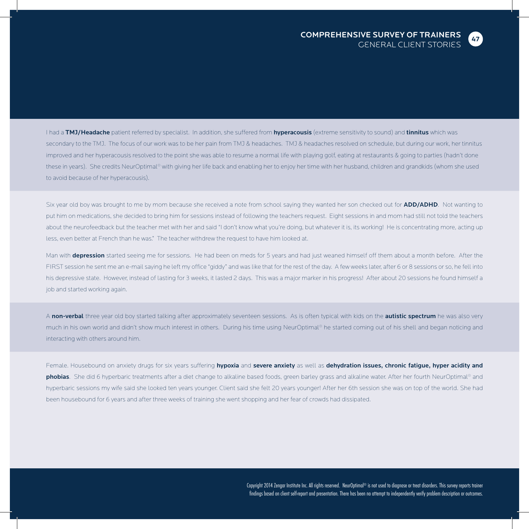

I had a TMJ/Headache patient referred by specialist. In addition, she suffered from hyperacousis (extreme sensitivity to sound) and tinnitus which was secondary to the TMJ. The focus of our work was to be her pain from TMJ & headaches. TMJ & headaches resolved on schedule, but during our work, her tinnitus improved and her hyperacousis resolved to the point she was able to resume a normal life with playing golf, eating at restaurants & going to parties (hadn't done these in years). She credits NeurOptimal® with giving her life back and enabling her to enjoy her time with her husband, children and grandkids (whom she used to avoid because of her hyperacousis).

Six year old boy was brought to me by mom because she received a note from school saying they wanted her son checked out for ADD/ADHD. Not wanting to put him on medications, she decided to bring him for sessions instead of following the teachers request. Eight sessions in and mom had still not told the teachers about the neurofeedback but the teacher met with her and said "I don't know what you're doing, but whatever it is, its working! He is concentrating more, acting up less, even better at French than he was." The teacher withdrew the request to have him looked at.

Man with depression started seeing me for sessions. He had been on meds for 5 years and had just weaned himself off them about a month before. After the FIRST session he sent me an e-mail saying he left my office "giddy" and was like that for the rest of the day. A few weeks later, after 6 or 8 sessions or so, he fell into his depressive state. However, instead of lasting for 3 weeks, it lasted 2 days. This was a major marker in his progress! After about 20 sessions he found himself a job and started working again.

A non-verbal three year old boy started talking after approximately seventeen sessions. As is often typical with kids on the autistic spectrum he was also very much in his own world and didn't show much interest in others. During his time using NeurOptimal® he started coming out of his shell and began noticing and interacting with others around him.

Female. Housebound on anxiety drugs for six years suffering hypoxia and severe anxiety as well as dehydration issues, chronic fatigue, hyper acidity and phobias. She did 6 hyperbaric treatments after a diet change to alkaline based foods, green barley grass and alkaline water. After her fourth NeurOptimal® and hyperbaric sessions my wife said she looked ten years younger. Client said she felt 20 years younger! After her 6th session she was on top of the world. She had been housebound for 6 years and after three weeks of training she went shopping and her fear of crowds had dissipated.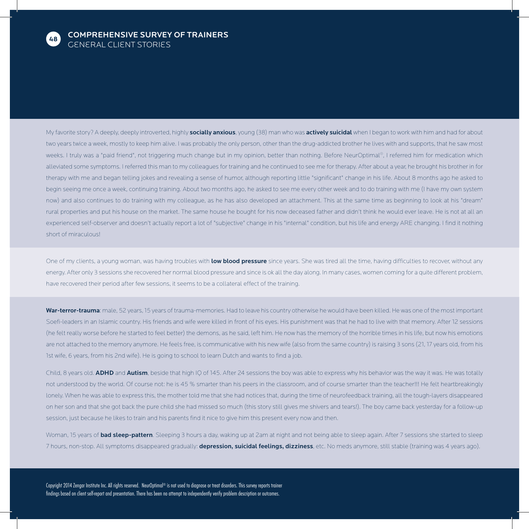

My favorite story? A deeply, deeply introverted, highly socially anxious, young (38) man who was actively suicidal when I began to work with him and had for about two years twice a week, mostly to keep him alive. I was probably the only person, other than the drug-addicted brother he lives with and supports, that he saw most weeks. I truly was a "paid friend", not triggering much change but in my opinion, better than nothing. Before NeurOptimal®, I referred him for medication which alleviated some symptoms. I referred this man to my colleagues for training and he continued to see me for therapy. After about a year, he brought his brother in for therapy with me and began telling jokes and revealing a sense of humor, although reporting little "significant" change in his life. About 8 months ago he asked to begin seeing me once a week, continuing training. About two months ago, he asked to see me every other week and to do training with me (I have my own system now) and also continues to do training with my colleague, as he has also developed an attachment. This at the same time as beginning to look at his "dream" rural properties and put his house on the market. The same house he bought for his now deceased father and didn't think he would ever leave. He is not at all an experienced self-observer and doesn't actually report a lot of "subjective" change in his "internal" condition, but his life and energy ARE changing. I find it nothing short of miraculous!

One of my clients, a young woman, was having troubles with low blood pressure since years. She was tired all the time, having difficulties to recover, without any energy. After only 3 sessions she recovered her normal blood pressure and since is ok all the day along. In many cases, women coming for a quite different problem, have recovered their period after few sessions, it seems to be a collateral effect of the training.

War-terror-trauma: male, 52 years, 15 years of trauma-memories. Had to leave his country otherwise he would have been killed. He was one of the most important Soefi-leaders in an Islamic country. His friends and wife were killed in front of his eyes. His punishment was that he had to live with that memory. After 12 sessions (he felt really worse before he started to feel better) the demons, as he said, left him. He now has the memory of the horrible times in his life, but now his emotions are not attached to the memory anymore. He feels free, is communicative with his new wife (also from the same country) is raising 3 sons (21, 17 years old, from his 1st wife, 6 years, from his 2nd wife). He is going to school to learn Dutch and wants to find a job.

Child, 8 years old. ADHD and Autism, beside that high IQ of 145. After 24 sessions the boy was able to express why his behavior was the way it was. He was totally not understood by the world. Of course not: he is 45 % smarter than his peers in the classroom, and of course smarter than the teacher!!! He felt heartbreakingly lonely. When he was able to express this, the mother told me that she had notices that, during the time of neurofeedback training, all the tough-layers disappeared on her son and that she got back the pure child she had missed so much (this story still gives me shivers and tears!). The boy came back yesterday for a follow-up session, just because he likes to train and his parents find it nice to give him this present every now and then.

Woman, 15 years of bad sleep-pattern. Sleeping 3 hours a day, waking up at 2am at night and not being able to sleep again. After 7 sessions she started to sleep 7 hours, non-stop. All symptoms disappeared gradually: **depression, suicidal feelings, dizziness**, etc. No meds anymore, still stable (training was 4 years ago).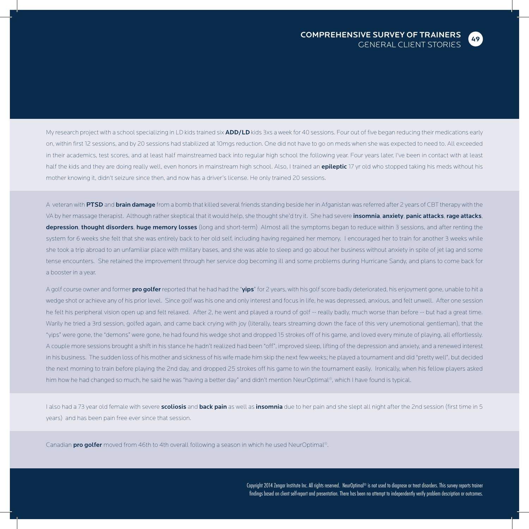

My research project with a school specializing in LD kids trained six ADD/LD kids 3xs a week for 40 sessions. Four out of five began reducing their medications early on, within first 12 sessions, and by 20 sessions had stabilized at 10mgs reduction. One did not have to go on meds when she was expected to need to. All exceeded in their academics, test scores, and at least half mainstreamed back into regular high school the following year. Four years later, I've been in contact with at least half the kids and they are doing really well, even honors in mainstream high school. Also, I trained an epileptic 17 yr old who stopped taking his meds without his mother knowing it, didn't seizure since then, and now has a driver's license. He only trained 20 sessions.

A veteran with PTSD and brain damage from a bomb that killed several friends standing beside her in Afganistan was referred after 2 years of CBT therapy with the VA by her massage therapist. Although rather skeptical that it would help, she thought she'd try it. She had severe insomnia, anxiety, panic attacks, rage attacks, depression, thought disorders, huge memory losses (long and short-term) Almost all the symptoms began to reduce within 3 sessions, and after renting the system for 6 weeks she felt that she was entirely back to her old self, including having regained her memory. I encouraged her to train for another 3 weeks while she took a trip abroad to an unfamiliar place with military bases, and she was able to sleep and go about her business without anxiety in spite of jet lag and some tense encounters. She retained the improvement through her service dog becoming ill and some problems during Hurricane Sandy, and plans to come back for a booster in a year.

A golf course owner and former **pro golfer** reported that he had had the "yips" for 2 years, with his golf score badly deteriorated, his enjoyment gone, unable to hit a wedge shot or achieve any of his prior level. Since golf was his one and only interest and focus in life, he was depressed, anxious, and felt unwell. After one session he felt his peripheral vision open up and felt relaxed. After 2, he went and played a round of golf -- really badly, much worse than before -- but had a great time. Warily he tried a 3rd session, golfed again, and came back crying with joy (literally, tears streaming down the face of this very unemotional gentleman), that the "yips" were gone, the "demons" were gone, he had found his wedge shot and dropped 15 strokes off of his game, and loved every minute of playing, all effortlessly. A couple more sessions brought a shift in his stance he hadn't realized had been "off", improved sleep, lifting of the depression and anxiety, and a renewed interest in his business. The sudden loss of his mother and sickness of his wife made him skip the next few weeks; he played a tournament and did "pretty well", but decided the next morning to train before playing the 2nd day, and dropped 25 strokes off his game to win the tournament easily. Ironically, when his fellow players asked him how he had changed so much, he said he was "having a better day" and didn't mention NeurOptimal®, which I have found is typical.

I also had a 73 year old female with severe scoliosis and back pain as well as insomnia due to her pain and she slept all night after the 2nd session (first time in 5 years) and has been pain free ever since that session.

Canadian pro golfer moved from 46th to 4th overall following a season in which he used NeurOptimal®.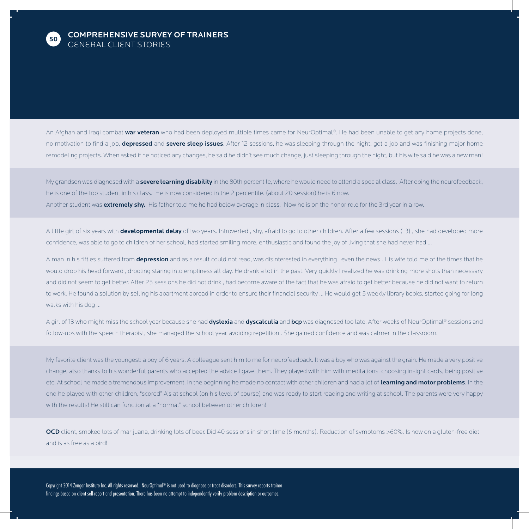

An Afghan and Iraqi combat war veteran who had been deployed multiple times came for NeurOptimal®. He had been unable to get any home projects done, no motivation to find a job, **depressed** and **severe sleep issues**. After 12 sessions, he was sleeping through the night, got a job and was finishing major home remodeling projects. When asked if he noticed any changes, he said he didn't see much change, just sleeping through the night, but his wife said he was a new man!

My grandson was diagnosed with a **severe learning disability** in the 80th percentile, where he would need to attend a special class. After doing the neurofeedback, he is one of the top student in his class. He is now considered in the 2 percentile. (about 20 session) he is 6 now. Another student was extremely shy. His father told me he had below average in class. Now he is on the honor role for the 3rd year in a row.

A little girl of six years with developmental delay of two years. Introverted, shy, afraid to go to other children. After a few sessions (13), she had developed more confidence, was able to go to children of her school, had started smiling more, enthusiastic and found the joy of living that she had never had ...

A man in his fifties suffered from **depression** and as a result could not read, was disinterested in everything , even the news . His wife told me of the times that he would drop his head forward , drooling staring into emptiness all day. He drank a lot in the past. Very quickly I realized he was drinking more shots than necessary and did not seem to get better. After 25 sessions he did not drink , had become aware of the fact that he was afraid to get better because he did not want to return to work. He found a solution by selling his apartment abroad in order to ensure their financial security ... He would get 5 weekly library books, started going for long walks with his dog ...

A girl of 13 who might miss the school year because she had dyslexia and dyscalculia and bcp was diagnosed too late. After weeks of NeurOptimal® sessions and follow-ups with the speech therapist, she managed the school year, avoiding repetition . She gained confidence and was calmer in the classroom.

My favorite client was the youngest: a boy of 6 years. A colleague sent him to me for neurofeedback. It was a boy who was against the grain. He made a very positive change, also thanks to his wonderful parents who accepted the advice I gave them. They played with him with meditations, choosing insight cards, being positive etc. At school he made a tremendous improvement. In the beginning he made no contact with other children and had a lot of learning and motor problems. In the end he played with other children, "scored" A's at school (on his level of course) and was ready to start reading and writing at school. The parents were very happy with the results! He still can function at a "normal" school between other children!

OCD client, smoked lots of marijuana, drinking lots of beer. Did 40 sessions in short time (6 months). Reduction of symptoms >60%. Is now on a gluten-free diet and is as free as a bird!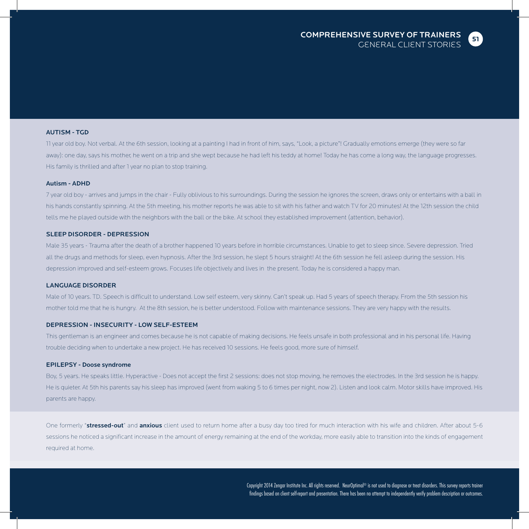

#### AUTISM - TGD

11 year old boy. Not verbal. At the 6th session, looking at a painting I had in front of him, says, "Look, a picture"! Gradually emotions emerge (they were so far away): one day, says his mother, he went on a trip and she wept because he had left his teddy at home! Today he has come a long way, the language progresses. His family is thrilled and after 1 year no plan to stop training.

#### Autism - ADHD

7 year old boy - arrives and jumps in the chair - Fully oblivious to his surroundings. During the session he ignores the screen, draws only or entertains with a ball in his hands constantly spinning. At the 5th meeting, his mother reports he was able to sit with his father and watch TV for 20 minutes! At the 12th session the child tells me he played outside with the neighbors with the ball or the bike. At school they established improvement (attention, behavior).

#### SLEEP DISORDER - DEPRESSION

Male 35 years - Trauma after the death of a brother happened 10 years before in horrible circumstances. Unable to get to sleep since. Severe depression. Tried all the drugs and methods for sleep, even hypnosis. After the 3rd session, he slept 5 hours straight! At the 6th session he fell asleep during the session. His depression improved and self-esteem grows. Focuses life objectively and lives in the present. Today he is considered a happy man.

#### LANGUAGE DISORDER

Male of 10 years. TD. Speech is difficult to understand. Low self esteem, very skinny. Can't speak up. Had 5 years of speech therapy. From the 5th session his mother told me that he is hungry. At the 8th session, he is better understood. Follow with maintenance sessions. They are very happy with the results.

#### DEPRESSION - INSECURITY - LOW SELF-ESTEEM

This gentleman is an engineer and comes because he is not capable of making decisions. He feels unsafe in both professional and in his personal life. Having trouble deciding when to undertake a new project. He has received 10 sessions. He feels good, more sure of himself.

#### EPILEPSY - Doose syndrome

Boy, 5 years. He speaks little. Hyperactive - Does not accept the first 2 sessions: does not stop moving, he removes the electrodes. In the 3rd session he is happy. He is quieter. At 5th his parents say his sleep has improved (went from waking 5 to 6 times per night, now 2). Listen and look calm. Motor skills have improved. His parents are happy.

One formerly "stressed-out" and anxious client used to return home after a busy day too tired for much interaction with his wife and children. After about 5-6 sessions he noticed a significant increase in the amount of energy remaining at the end of the workday, more easily able to transition into the kinds of engagement required at home.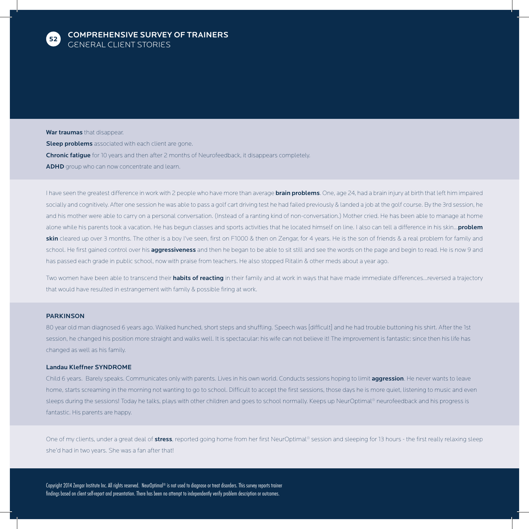

War traumas that disappear. **Sleep problems** associated with each client are gone. **Chronic fatigue** for 10 years and then after 2 months of Neurofeedback, it disappears completely. ADHD group who can now concentrate and learn.

I have seen the greatest difference in work with 2 people who have more than average **brain problems**. One, age 24, had a brain injury at birth that left him impaired socially and cognitively. After one session he was able to pass a golf cart driving test he had failed previously & landed a job at the golf course. By the 3rd session, he and his mother were able to carry on a personal conversation. (Instead of a ranting kind of non-conversation.) Mother cried. He has been able to manage at home alone while his parents took a vacation. He has begun classes and sports activities that he located himself on line. I also can tell a difference in his skin... problem skin cleared up over 3 months. The other is a boy I've seen, first on F1000 & then on Zengar, for 4 years. He is the son of friends & a real problem for family and school. He first gained control over his aggressiveness and then he began to be able to sit still and see the words on the page and begin to read. He is now 9 and has passed each grade in public school, now with praise from teachers. He also stopped Ritalin & other meds about a year ago.

Two women have been able to transcend their habits of reacting in their family and at work in ways that have made immediate differences...reversed a trajectory that would have resulted in estrangement with family & possible firing at work.

#### **PARKINSON**

80 year old man diagnosed 6 years ago. Walked hunched, short steps and shuffling. Speech was [difficult] and he had trouble buttoning his shirt. After the 1st session, he changed his position more straight and walks well. It is spectacular: his wife can not believe it! The improvement is fantastic: since then his life has changed as well as his family.

#### Landau Kleffner SYNDROME

Child 6 years. Barely speaks. Communicates only with parents. Lives in his own world. Conducts sessions hoping to limit aggression. He never wants to leave home, starts screaming in the morning not wanting to go to school. Difficult to accept the first sessions, those days he is more quiet, listening to music and even sleeps during the sessions! Today he talks, plays with other children and goes to school normally. Keeps up NeurOptimal® neurofeedback and his progress is fantastic. His parents are happy.

One of my clients, under a great deal of stress, reported going home from her first NeurOptimal® session and sleeping for 13 hours - the first really relaxing sleep she'd had in two years. She was a fan after that!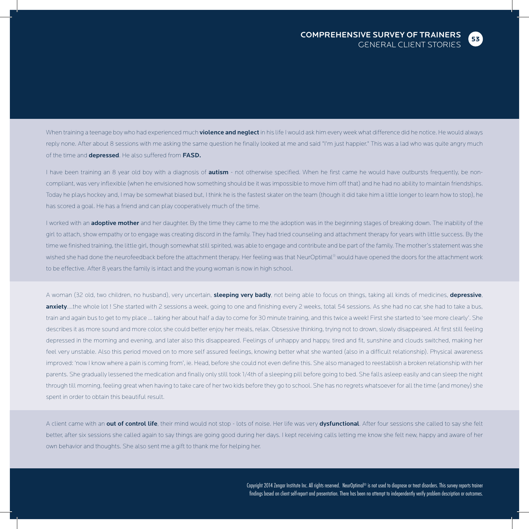When training a teenage boy who had experienced much **violence and neglect** in his life I would ask him every week what difference did he notice. He would always reply none. After about 8 sessions with me asking the same question he finally looked at me and said "I'm just happier." This was a lad who was quite angry much of the time and **depressed**. He also suffered from **FASD.** 

I have been training an 8 year old boy with a diagnosis of **autism** - not otherwise specified. When he first came he would have outbursts frequently, be noncompliant, was very inflexible (when he envisioned how something should be it was impossible to move him off that) and he had no ability to maintain friendships. Today he plays hockey and, I may be somewhat biased but, I think he is the fastest skater on the team (though it did take him a little longer to learn how to stop), he has scored a goal. He has a friend and can play cooperatively much of the time.

I worked with an **adoptive mother** and her daughter. By the time they came to me the adoption was in the beginning stages of breaking down. The inability of the girl to attach, show empathy or to engage was creating discord in the family. They had tried counseling and attachment therapy for years with little success. By the time we finished training, the little girl, though somewhat still spirited, was able to engage and contribute and be part of the family. The mother's statement was she wished she had done the neurofeedback before the attachment therapy. Her feeling was that NeurOptimal® would have opened the doors for the attachment work to be effective. After 8 years the family is intact and the young woman is now in high school.

A woman (32 old, two children, no husband), very uncertain, sleeping very badly, not being able to focus on things, taking all kinds of medicines, depressive, anxiety....the whole lot ! She started with 2 sessions a week, going to one and finishing every 2 weeks, total 54 sessions. As she had no car, she had to take a bus, train and again bus to get to my place ... taking her about half a day to come for 30 minute training, and this twice a week! First she started to 'see more clearly'. She describes it as more sound and more color, she could better enjoy her meals, relax. Obsessive thinking, trying not to drown, slowly disappeared. At first still feeling depressed in the morning and evening, and later also this disappeared. Feelings of unhappy and happy, tired and fit, sunshine and clouds switched, making her feel very unstable. Also this period moved on to more self assured feelings, knowing better what she wanted (also in a difficult relationship). Physical awareness improved: 'now I know where a pain is coming from', ie. Head, before she could not even define this. She also managed to reestablish a broken relationship with her parents. She gradually lessened the medication and finally only still took 1/4th of a sleeping pill before going to bed. She falls asleep easily and can sleep the night through till morning, feeling great when having to take care of her two kids before they go to school. She has no regrets whatsoever for all the time (and money) she spent in order to obtain this beautiful result.

A client came with an out of control life, their mind would not stop - lots of noise. Her life was very dysfunctional. After four sessions she called to say she felt better, after six sessions she called again to say things are going good during her days. I kept receiving calls letting me know she felt new, happy and aware of her own behavior and thoughts. She also sent me a gift to thank me for helping her.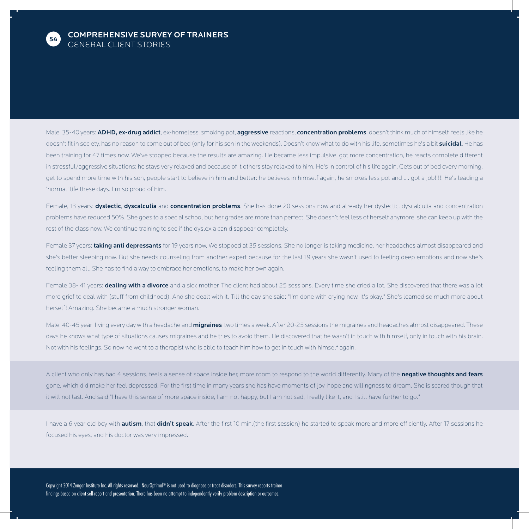

Male, 35-40 years: ADHD, ex-drug addict, ex-homeless, smoking pot, aggressive reactions, concentration problems, doesn't think much of himself, feels like he doesn't fit in society, has no reason to come out of bed (only for his son in the weekends). Doesn't know what to do with his life, sometimes he's a bit suicidal. He has been training for 47 times now. We've stopped because the results are amazing. He became less impulsive, got more concentration, he reacts complete different in stressful/aggressive situations: he stays very relaxed and because of it others stay relaxed to him. He's in control of his life again. Gets out of bed every morning, get to spend more time with his son, people start to believe in him and better: he believes in himself again, he smokes less pot and .... got a job!!!!! He's leading a 'normal' life these days. I'm so proud of him.

Female, 13 years: **dyslectic, dyscalculia** and **concentration problems**. She has done 20 sessions now and already her dyslectic, dyscalculia and concentration problems have reduced 50%. She goes to a special school but her grades are more than perfect. She doesn't feel less of herself anymore; she can keep up with the rest of the class now. We continue training to see if the dyslexia can disappear completely.

Female 37 years: taking anti depressants for 19 years now. We stopped at 35 sessions. She no longer is taking medicine, her headaches almost disappeared and she's better sleeping now. But she needs counseling from another expert because for the last 19 years she wasn't used to feeling deep emotions and now she's feeling them all. She has to find a way to embrace her emotions, to make her own again.

Female 38- 41 years: dealing with a divorce and a sick mother. The client had about 25 sessions. Every time she cried a lot. She discovered that there was a lot more grief to deal with (stuff from childhood). And she dealt with it. Till the day she said: "I'm done with crying now. It's okay." She's learned so much more about herself! Amazing. She became a much stronger woman.

Male, 40-45 year: living every day with a headache and *migraines* two times a week. After 20-25 sessions the migraines and headaches almost disappeared. These days he knows what type of situations causes migraines and he tries to avoid them. He discovered that he wasn't in touch with himself, only in touch with his brain. Not with his feelings. So now he went to a therapist who is able to teach him how to get in touch with himself again.

A client who only has had 4 sessions, feels a sense of space inside her, more room to respond to the world differently. Many of the negative thoughts and fears gone, which did make her feel depressed. For the first time in many years she has have moments of joy, hope and willingness to dream. She is scared though that it will not last. And said "I have this sense of more space inside, I am not happy, but I am not sad, I really like it, and I still have further to go."

I have a 6 year old boy with autism, that didn't speak. After the first 10 min.(the first session) he started to speak more and more efficiently. After 17 sessions he focused his eyes, and his doctor was very impressed.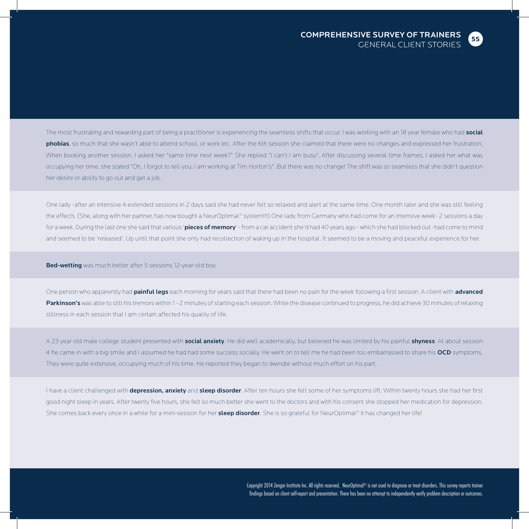

The most frustrating and rewarding part of being a practitioner is experiencing the seamless shifts that occur. I was working with an 18 year female who had social phobias, so much that she wasn't able to attend school, or work etc. After the 6th session she claimed that there were no changes and expressed her frustration. When booking another session, I asked her "same time next week?" She replied "I can't I am busy". After discussing several time frames, I asked her what was occupying her time, she stated "Oh, I forgot to tell you; I am working at Tim Horton's". But there was no change! The shift was so seamless that she didn't question her desire or ability to go out and get a job.

One lady - after an intensive 4 extended sessions in 2 days said she had never felt so relaxed and alert at the same time. One month later and she was still feeling the effects. (She, along with her partner, has now bought a NeurOptimal® system!!!) One lady from Germany who had come for an intensive week - 2 sessions a day for a week. During the last one she said that various 'pieces of memory' - from a car accident she'd had 40 years ago - which she had blocked out - had come to mind and seemed to be 'released'. Up until that point she only had recollection of waking up in the hospital. It seemed to be a moving and peaceful experience for her.

Bed-wetting was much better after 5 sessions 12-year-old boy.

One person who apparently had *painful legs* each morning for years said that there had been no pain for the week following a first session. A client with advanced Parkinson's was able to still his tremors within 1-2 minutes of starting each session. While the disease continued to progress, he did achieve 30 minutes of relaxing stillness in each session that I am certain affected his quality of life.

A 23 year old male college student presented with social anxiety. He did well academically, but believed he was limited by his painful shyness. At about session 4 he came in with a big smile and I assumed he had had some success socially. He went on to tell me he had been too embarrassed to share his OCD symptoms. They were quite extensive, occupying much of his time. He reported they began to dwindle without much effort on his part.

I have a client challenged with depression, anxiety and sleep disorder. After ten hours she felt some of her symptoms lift. Within twenty hours she had her first good night sleep in years. After twenty five hours, she felt so much better she went to the doctors and with his consent she stopped her medication for depression. She comes back every once in a while for a mini-session for her sleep disorder. She is so grateful for NeurOptimal® it has changed her life!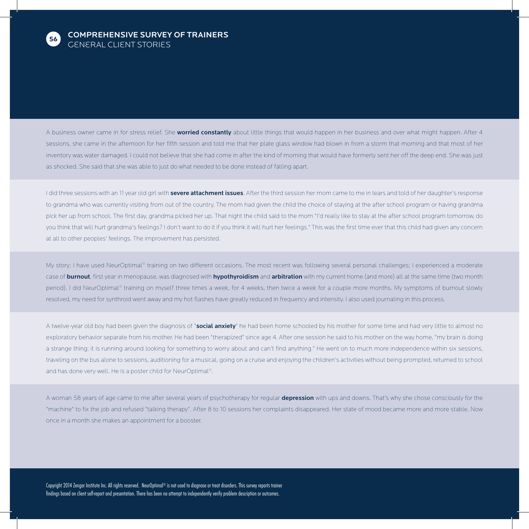

A business owner came in for stress relief. She worried constantly about little things that would happen in her business and over what might happen. After 4 sessions, she came in the afternoon for her fifth session and told me that her plate glass window had blown in from a storm that morning and that most of her inventory was water damaged. I could not believe that she had come in after the kind of morning that would have formerly sent her off the deep end. She was just as shocked. She said that she was able to just do what needed to be done instead of falling apart.

I did three sessions with an 11 year old girl with severe attachment issues. After the third session her mom came to me in tears and told of her daughter's response to grandma who was currently visiting from out of the country. The mom had given the child the choice of staying at the after school program or having grandma pick her up from school. The first day, grandma picked her up. That night the child said to the mom "I'd really like to stay at the after school program tomorrow, do you think that will hurt grandma's feelings? I don't want to do it if you think it will hurt her feelings." This was the first time ever that this child had given any concern at all to other peoples' feelings. The improvement has persisted.

My story: I have used NeurOptimal® training on two different occasions. The most recent was following several personal challenges; I experienced a moderate case of burnout, first year in menopause, was diagnosed with hypothyroidism and arbitration with my current home (and more) all at the same time (two month period). I did NeurOptimal® training on myself three times a week, for 4 weeks, then twice a week for a couple more months. My symptoms of burnout slowly resolved, my need for synthroid went away and my hot flashes have greatly reduced in frequency and intensity. I also used journaling in this process.

A twelve-year old boy had been given the diagnosis of "social anxiety" he had been home schooled by his mother for some time and had very little to almost no exploratory behavior separate from his mother. He had been "therapized" since age 4. After one session he said to his mother on the way home, "my brain is doing a strange thing; it is running around looking for something to worry about and can't find anything." He went on to much more independence within six sessions, traveling on the bus alone to sessions, auditioning for a musical, going on a cruise and enjoying the children's activities without being prompted, returned to school and has done very well. He is a poster child for NeurOptimal®.

A woman 58 years of age came to me after several years of psychotherapy for regular depression with ups and downs. That's why she chose consciously for the "machine" to fix the job and refused "talking therapy". After 8 to 10 sessions her complaints disappeared. Her state of mood became more and more stable. Now once in a month she makes an appointment for a booster.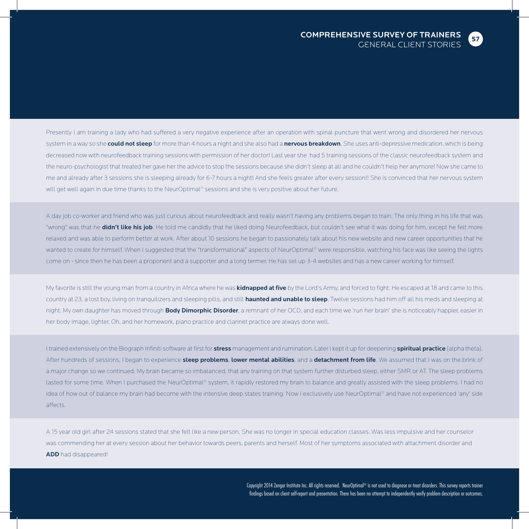

Presently I am training a lady who had suffered a very negative experience after an operation with spinal puncture that went wrong and disordered her nervous system in a way so she could not sleep for more than 4 hours a night and she also had a nervous breakdown. She uses anti-depressive medication, which is being decreased now with neurofeedback training sessions with permission of her doctor! Last year she had 5 training sessions of the classic neurofeedback system and the neuro-psychologist that treated her gave her the advice to stop the sessions because she didn't sleep at all and he couldn't help her anymore! Now she came to me and already after 3 sessions she is sleeping already for 6-7 hours a night! And she feels greater after every session!! She is convinced that her nervous system will get well again in due time thanks to the NeurOptimal® sessions and she is very positive about her future.

A day job co-worker and friend who was just curious about neurofeedback and really wasn't having any problems began to train. The only thing in his life that was "wrong" was that he didn't like his job. He told me candidly that he liked doing Neurofeedback, but couldn't see what it was doing for him, except he felt more relaxed and was able to perform better at work. After about 10 sessions he began to passionately talk about his new website and new career opportunities that he wanted to create for himself. When I suggested that the "transformational" aspects of NeurOptimal® were responsible, watching his face was like seeing the lights come on - since then he has been a proponent and a supporter and a long termer. He has set up 3-4 websites and has a new career working for himself.

My favorite is still the young man from a country in Africa where he was **kidnapped at five** by the Lord's Army, and forced to fight. He escaped at 18 and came to this country at 23, a lost boy, living on tranquilizers and sleeping pills, and still haunted and unable to sleep. Twelve sessions had him off all his meds and sleeping at night. My own daughter has moved through **Body Dimorphic Disorder**, a remnant of her OCD, and each time we 'run her brain' she is noticeably happier, easier in her body image, lighter. Oh, and her homework, piano practice and clarinet practice are always done well.

I trained extensively on the Biograph Infiniti software at first for stress management and rumination. Later I kept it up for deepening spiritual practice (alpha theta). After hundreds of sessions, I began to experience sleep problems, lower mental abilities, and a detachment from life. We assumed that I was on the brink of a major change so we continued. My brain became so imbalanced, that any training on that system further disturbed sleep, either SMR or AT. The sleep problems lasted for some time. When I purchased the NeurOptimal® system, it rapidly restored my brain to balance and greatly assisted with the sleep problems. I had no idea of how out of balance my brain had become with the intensive deep states training. Now I exclusively use NeurOptimal® and have not experienced 'any' side affects.

A 15 year old girl after 24 sessions stated that she felt like a new person. She was no longer in special education classes. Was less impulsive and her counselor was commending her at every session about her behavior towards peers, parents and herself. Most of her symptoms associated with attachment disorder and ADD had disappeared!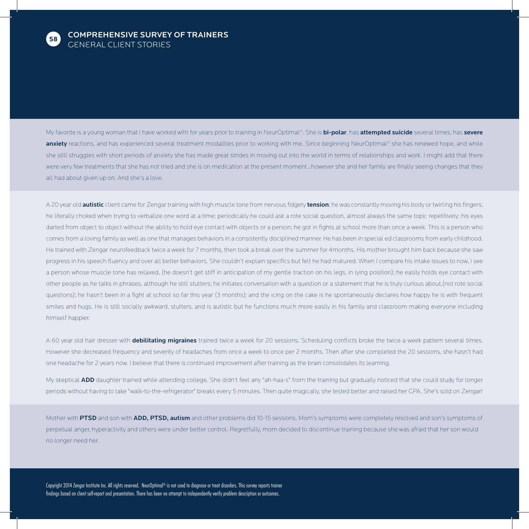

My favorite is a young woman that I have worked with for years prior to training in NeurOptimal®. She is bi-polar, has attempted suicide several times, has severe anxiety reactions, and has experienced several treatment modalities prior to working with me. Since beginning NeurOptimal® she has renewed hope, and while she still struggles with short periods of anxiety she has made great strides in moving out into the world in terms of relationships and work. I might add that there were very few treatments that she has not tried and she is on medication at the present moment...however she and her family are finally seeing changes that they all had about given up on. And she's a love.

A 20 year old **autistic** client came for Zengar training with high muscle tone from nervous fidgety tension; he was constantly moving his body or twirling his fingers; he literally choked when trying to verbalize one word at a time; periodically he could ask a rote social question, almost always the same topic repetitively; his eyes darted from object to object without the ability to hold eye contact with objects or a person; he got in fights at school more than once a week. This is a person who comes from a loving family as well as one that manages behaviors in a consistently disciplined manner. He has been in special ed classrooms from early childhood. He trained with Zengar neurofeedback twice a week for 7 months, then took a break over the summer for 4months. His mother brought him back because she saw progress in his speech fluency and over all better behaviors. She couldn't explain specifics but felt he had matured. When I compare his intake issues to now, I see a person whose muscle tone has relaxed, (he doesn't get stiff in anticipation of my gentle traction on his legs, in lying position); he easily holds eye contact with other people as he talks in phrases, although he still stutters; he initiates conversation with a question or a statement that he is truly curious about,(not rote social questions); he hasn't been in a fight at school so far this year (3 months); and the icing on the cake is he spontaneously declares how happy he is with frequent smiles and hugs. He is still socially awkward, stutters, and is autistic but he functions much more easily in his family and classroom making everyone including himself happier.

A 60 year old hair dresser with debilitating migraines trained twice a week for 20 sessions. Scheduling conflicts broke the twice a week pattern several times. However she decreased frequency and severity of headaches from once a week to once per 2 months. Then after she completed the 20 sessions, she hasn't had one headache for 2 years now. I believe that there is continued improvement after training as the brain consolidates its learning.

My skeptical ADD daughter trained while attending college. She didn't feel any "ah-haa-s" from the training but gradually noticed that she could study for longer periods without having to take "walk-to-the-refrigerator" breaks every 5 minutes. Then quite magically, she tested better and raised her GPA. She's sold on Zengar!

Mother with PTSD and son with ADD, PTSD, autism and other problems did 10-15 sessions. Mom's symptoms were completely resolved and son's symptoms of perpetual anger, hyperactivity and others were under better control. Regretfully, mom decided to discontinue training because she was afraid that her son would no longer need her.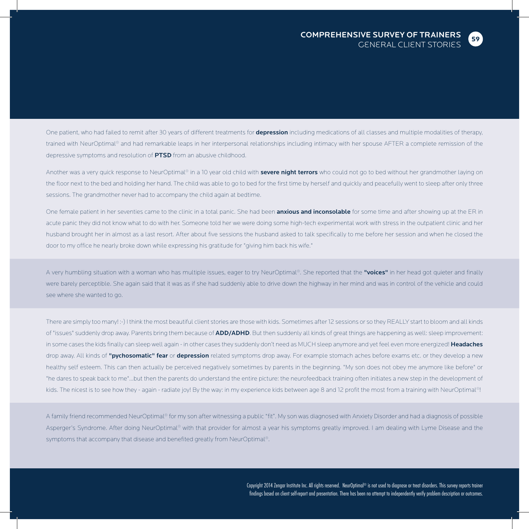One patient, who had failed to remit after 30 years of different treatments for depression including medications of all classes and multiple modalities of therapy, trained with NeurOptimal® and had remarkable leaps in her interpersonal relationships including intimacy with her spouse AFTER a complete remission of the depressive symptoms and resolution of **PTSD** from an abusive childhood.

Another was a very quick response to NeurOptimal® in a 10 year old child with severe night terrors who could not go to bed without her grandmother laying on the floor next to the bed and holding her hand. The child was able to go to bed for the first time by herself and quickly and peacefully went to sleep after only three sessions. The grandmother never had to accompany the child again at bedtime.

One female patient in her seventies came to the clinic in a total panic. She had been anxious and inconsolable for some time and after showing up at the ER in acute panic they did not know what to do with her. Someone told her we were doing some high-tech experimental work with stress in the outpatient clinic and her husband brought her in almost as a last resort. After about five sessions the husband asked to talk specifically to me before her session and when he closed the door to my office he nearly broke down while expressing his gratitude for "giving him back his wife."

A very humbling situation with a woman who has multiple issues, eager to try NeurOptimal®. She reported that the "voices" in her head got quieter and finally were barely perceptible. She again said that it was as if she had suddenly able to drive down the highway in her mind and was in control of the vehicle and could see where she wanted to go.

There are simply too many! :-) I think the most beautiful client stories are those with kids. Sometimes after 12 sessions or so they REALLY start to bloom and all kinds of "issues" suddenly drop away. Parents bring them because of ADD/ADHD. But then suddenly all kinds of great things are happening as well: sleep improvement: in some cases the kids finally can sleep well again - in other cases they suddenly don't need as MUCH sleep anymore and yet feel even more energized! Headaches drop away. All kinds of "pychosomatic" fear or depression related symptoms drop away. For example stomach aches before exams etc. or they develop a new healthy self esteem. This can then actually be perceived negatively sometimes by parents in the beginning. "My son does not obey me anymore like before" or "he dares to speak back to me"...but then the parents do understand the entire picture: the neurofeedback training often initiates a new step in the development of kids. The nicest is to see how they - again - radiate joy! By the way: in my experience kids between age 8 and 12 profit the most from a training with NeurOptimal®!

A family friend recommended NeurOptimal® for my son after witnessing a public "fit". My son was diagnosed with Anxiety Disorder and had a diagnosis of possible Asperger's Syndrome. After doing NeurOptimal® with that provider for almost a year his symptoms greatly improved. I am dealing with Lyme Disease and the symptoms that accompany that disease and benefited greatly from NeurOptimal®.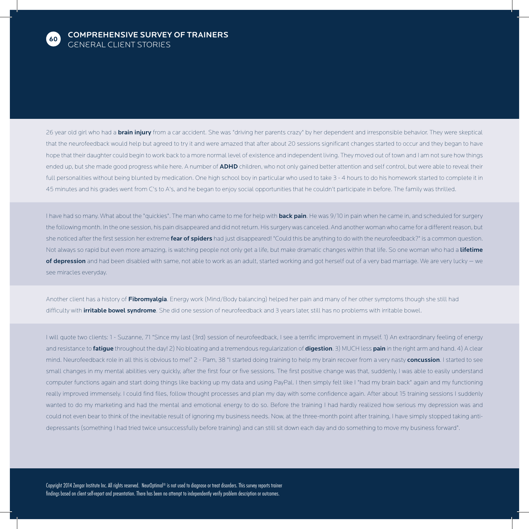

26 year old girl who had a **brain injury** from a car accident. She was "driving her parents crazy" by her dependent and irresponsible behavior. They were skeptical that the neurofeedback would help but agreed to try it and were amazed that after about 20 sessions significant changes started to occur and they began to have hope that their daughter could begin to work back to a more normal level of existence and independent living. They moved out of town and I am not sure how things ended up, but she made good progress while here. A number of ADHD children, who not only gained better attention and self control, but were able to reveal their full personalities without being blunted by medication. One high school boy in particular who used to take 3 - 4 hours to do his homework started to complete it in 45 minutes and his grades went from C's to A's, and he began to enjoy social opportunities that he couldn't participate in before. The family was thrilled.

I have had so many. What about the "quickies". The man who came to me for help with **back pain.** He was 9/10 in pain when he came in, and scheduled for surgery the following month. In the one session, his pain disappeared and did not return. His surgery was canceled. And another woman who came for a different reason, but she noticed after the first session her extreme fear of spiders had just disappeared! "Could this be anything to do with the neurofeedback?" is a common question. Not always so rapid but even more amazing, is watching people not only get a life, but make dramatic changes within that life. So one woman who had a lifetime of depression and had been disabled with same, not able to work as an adult, started working and got herself out of a very bad marriage. We are very lucky - we see miracles everyday.

Another client has a history of Fibromyalgia. Energy work (Mind/Body balancing) helped her pain and many of her other symptoms though she still had difficulty with **irritable bowel syndrome**. She did one session of neurofeedback and 3 years later, still has no problems with irritable bowel.

I will quote two clients: 1 - Suzanne, 71 "Since my last (3rd) session of neurofeedback, I see a terrific improvement in myself. 1) An extraordinary feeling of energy and resistance to fatigue throughout the day! 2) No bloating and a tremendous regularization of digestion. 3) MUCH less pain in the right arm and hand. 4) A clear mind. Neurofeedback role in all this is obvious to me!" 2 - Pam, 38 "I started doing training to help my brain recover from a very nasty concussion. I started to see small changes in my mental abilities very quickly, after the first four or five sessions. The first positive change was that, suddenly, I was able to easily understand computer functions again and start doing things like backing up my data and using PayPal. I then simply felt like I "had my brain back" again and my functioning really improved immensely. I could find files, follow thought processes and plan my day with some confidence again. After about 15 training sessions I suddenly wanted to do my marketing and had the mental and emotional energy to do so. Before the training I had hardly realized how serious my depression was and could not even bear to think of the inevitable result of ignoring my business needs. Now, at the three-month point after training, I have simply stopped taking antidepressants (something I had tried twice unsuccessfully before training) and can still sit down each day and do something to move my business forward".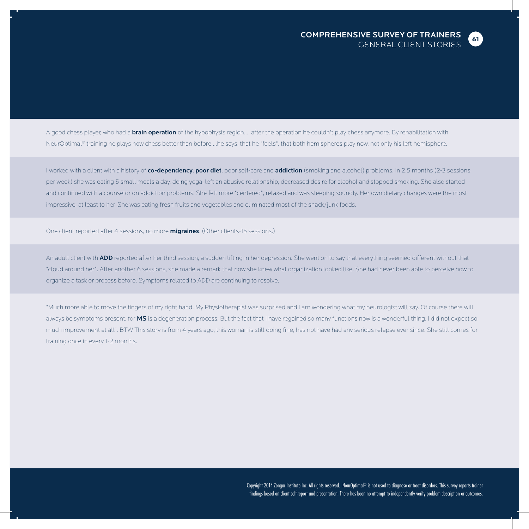

A good chess player, who had a **brain operation** of the hypophysis region.... after the operation he couldn't play chess anymore. By rehabilitation with NeurOptimal® training he plays now chess better than before....he says, that he "feels", that both hemispheres play now, not only his left hemisphere.

I worked with a client with a history of co-dependency, poor diet, poor self-care and addiction (smoking and alcohol) problems. In 2.5 months (2-3 sessions per week) she was eating 5 small meals a day, doing yoga, left an abusive relationship, decreased desire for alcohol and stopped smoking. She also started and continued with a counselor on addiction problems. She felt more "centered", relaxed and was sleeping soundly. Her own dietary changes were the most impressive, at least to her. She was eating fresh fruits and vegetables and eliminated most of the snack/junk foods.

One client reported after 4 sessions, no more **migraines**. (Other clients-15 sessions.)

An adult client with ADD reported after her third session, a sudden lifting in her depression. She went on to say that everything seemed different without that "cloud around her". After another 6 sessions, she made a remark that now she knew what organization looked like. She had never been able to perceive how to organize a task or process before. Symptoms related to ADD are continuing to resolve.

"Much more able to move the fingers of my right hand. My Physiotherapist was surprised and I am wondering what my neurologist will say. Of course there will always be symptoms present, for MS is a degeneration process. But the fact that I have regained so many functions now is a wonderful thing. I did not expect so much improvement at all". BTW This story is from 4 years ago, this woman is still doing fine, has not have had any serious relapse ever since. She still comes for training once in every 1-2 months.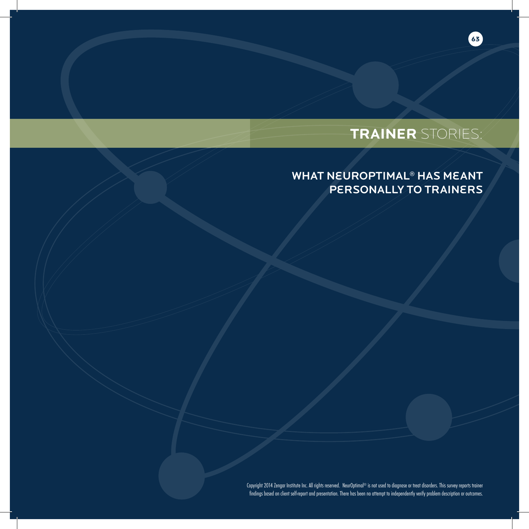# **TRAINER** STORIES:

**63**

## WHAT NEUROPTIMAL<sup>®</sup> HAS MEANT Personally to Trainers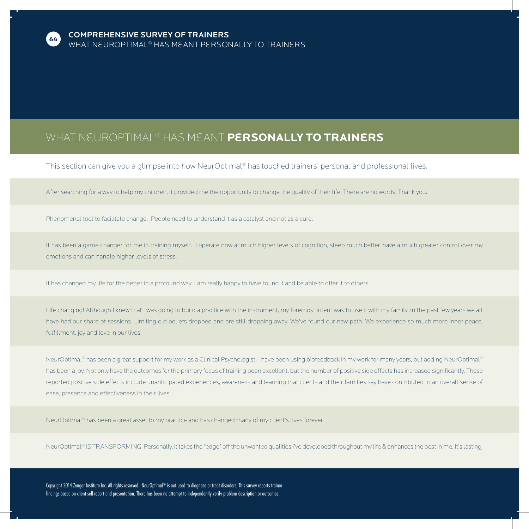

### What NeurOptimal® has Meant **Personally to Trainers**

This section can give you a glimpse into how NeurOptimal® has touched trainers' personal and professional lives.

After searching for a way to help my children, it provided me the opportunity to change the quality of their life. There are no words! Thank you.

Phenomenal tool to facilitate change. People need to understand it as a catalyst and not as a cure.

It has been a game changer for me in training myself. I operate now at much higher levels of cognition, sleep much better, have a much greater control over my emotions and can handle higher levels of stress.

It has changed my life for the better in a profound way. I am really happy to have found it and be able to offer it to others.

Life changing! Although I knew that I was going to build a practice with the instrument, my foremost intent was to use it with my family. In the past few years we all have had our share of sessions. Limiting old beliefs dropped and are still dropping away. We've found our new path. We experience so much more inner peace, fulfillment, joy and love in our lives.

NeurOptimal® has been a great support for my work as a Clinical Psychologist. I have been using biofeedback in my work for many years, but adding NeurOptimal® has been a joy. Not only have the outcomes for the primary focus of training been excellent, but the number of positive side effects has increased significantly. These reported positive side effects include unanticipated experiences, awareness and learning that clients and their families say have contributed to an overall sense of ease, presence and effectiveness in their lives.

NeurOptimal® has been a great asset to my practice and has changed many of my client's lives forever.

NeurOptimal® IS TRANSFORMING. Personally, it takes the "edge" off the unwanted qualities I've developed throughout my life & enhances the best in me. It's lasting.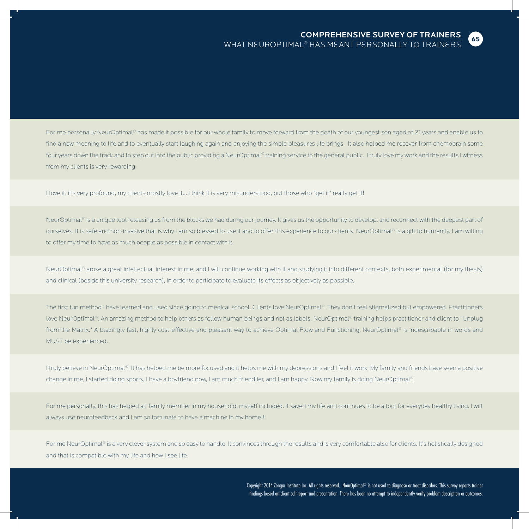

### COMPREHENSIVE SURVEY OF TRAINERS What NeurOptimal® has Meant Personally to Trainers

For me personally NeurOptimal® has made it possible for our whole family to move forward from the death of our youngest son aged of 21 years and enable us to find a new meaning to life and to eventually start laughing again and enjoying the simple pleasures life brings. It also helped me recover from chemobrain some four years down the track and to step out into the public providing a NeurOptimal® training service to the general public. I truly love my work and the results I witness from my clients is very rewarding.

I love it, it's very profound, my clients mostly love it... I think it is very misunderstood, but those who "get it" really get it!

NeurOptimal® is a unique tool releasing us from the blocks we had during our journey. It gives us the opportunity to develop, and reconnect with the deepest part of ourselves. It is safe and non-invasive that is why I am so blessed to use it and to offer this experience to our clients. NeurOptimal® is a gift to humanity. I am willing to offer my time to have as much people as possible in contact with it.

NeurOptimal® arose a great intellectual interest in me, and I will continue working with it and studying it into different contexts, both experimental (for my thesis) and clinical (beside this university research), in order to participate to evaluate its effects as objectively as possible.

The first fun method I have learned and used since going to medical school. Clients love NeurOptimal®. They don't feel stigmatized but empowered. Practitioners love NeurOptimal®. An amazing method to help others as fellow human beings and not as labels. NeurOptimal® training helps practitioner and client to "Unplug from the Matrix." A blazingly fast, highly cost-effective and pleasant way to achieve Optimal Flow and Functioning. NeurOptimal® is indescribable in words and MUST be experienced.

I truly believe in NeurOptimal®. It has helped me be more focused and it helps me with my depressions and I feel it work. My family and friends have seen a positive change in me, I started doing sports, I have a boyfriend now, I am much friendlier, and I am happy. Now my family is doing NeurOptimal®.

For me personally, this has helped all family member in my household, myself included. It saved my life and continues to be a tool for everyday healthy living. I will always use neurofeedback and I am so fortunate to have a machine in my home!!!

For me NeurOptimal® is a very clever system and so easy to handle. It convinces through the results and is very comfortable also for clients. It's holistically designed and that is compatible with my life and how I see life.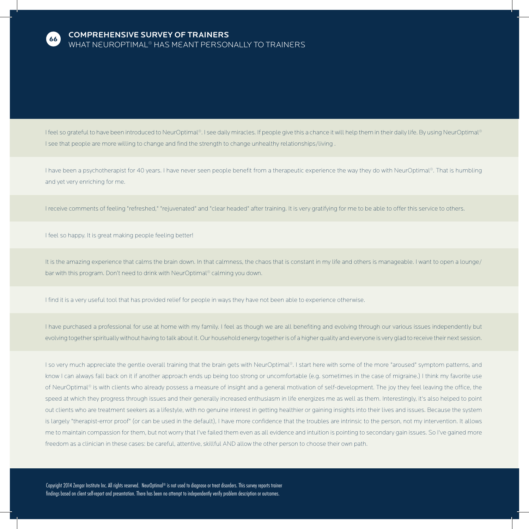

### COMPREHENSIVE SURVEY OF TRAINERS What NeurOptimal® has Meant Personally to Trainers

I feel so grateful to have been introduced to NeurOptimal®. I see daily miracles. If people give this a chance it will help them in their daily life. By using NeurOptimal® I see that people are more willing to change and find the strength to change unhealthy relationships/living .

I have been a psychotherapist for 40 years. I have never seen people benefit from a therapeutic experience the way they do with NeurOptimal®. That is humbling and yet very enriching for me.

I receive comments of feeling "refreshed," "rejuvenated" and "clear headed" after training. It is very gratifying for me to be able to offer this service to others.

I feel so happy. It is great making people feeling better!

It is the amazing experience that calms the brain down. In that calmness, the chaos that is constant in my life and others is manageable. I want to open a lounge/ bar with this program. Don't need to drink with NeurOptimal® calming you down.

I find it is a very useful tool that has provided relief for people in ways they have not been able to experience otherwise.

I have purchased a professional for use at home with my family. I feel as though we are all benefiting and evolving through our various issues independently but evolving together spiritually without having to talk about it. Our household energy together is of a higher quality and everyone is very glad to receive their next session.

I so very much appreciate the gentle overall training that the brain gets with NeurOptimal®. I start here with some of the more "aroused" symptom patterns, and know I can always fall back on it if another approach ends up being too strong or uncomfortable (e.g. sometimes in the case of migraine.) I think my favorite use of NeurOptimal® is with clients who already possess a measure of insight and a general motivation of self-development. The joy they feel leaving the office, the speed at which they progress through issues and their generally increased enthusiasm in life energizes me as well as them. Interestingly, it's also helped to point out clients who are treatment seekers as a lifestyle, with no genuine interest in getting healthier or gaining insights into their lives and issues. Because the system is largely "therapist-error proof" (or can be used in the default), I have more confidence that the troubles are intrinsic to the person, not my intervention. It allows me to maintain compassion for them, but not worry that I've failed them even as all evidence and intuition is pointing to secondary gain issues. So I've gained more freedom as a clinician in these cases: be careful, attentive, skillful AND allow the other person to choose their own path.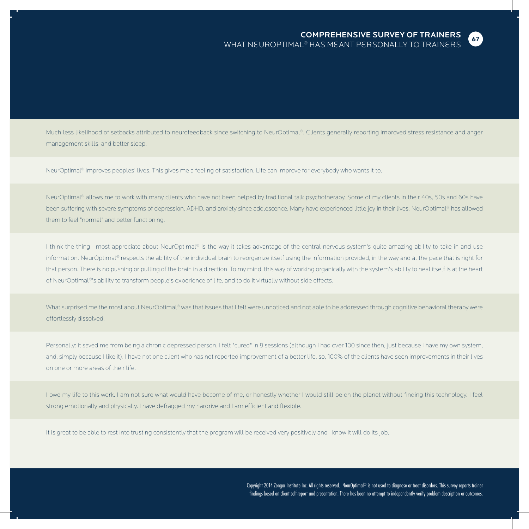

Much less likelihood of setbacks attributed to neurofeedback since switching to NeurOptimal®. Clients generally reporting improved stress resistance and anger management skills, and better sleep.

NeurOptimal® improves peoples' lives. This gives me a feeling of satisfaction. Life can improve for everybody who wants it to.

NeurOptimal® allows me to work with many clients who have not been helped by traditional talk psychotherapy. Some of my clients in their 40s, 50s and 60s have been suffering with severe symptoms of depression, ADHD, and anxiety since adolescence. Many have experienced little joy in their lives. NeurOptimal® has allowed them to feel "normal" and better functioning.

I think the thing I most appreciate about NeurOptimal® is the way it takes advantage of the central nervous system's quite amazing ability to take in and use information. NeurOptimal® respects the ability of the individual brain to reorganize itself using the information provided, in the way and at the pace that is right for that person. There is no pushing or pulling of the brain in a direction. To my mind, this way of working organically with the system's ability to heal itself is at the heart of NeurOptimal®'s ability to transform people's experience of life, and to do it virtually without side effects.

What surprised me the most about NeurOptimal® was that issues that I felt were unnoticed and not able to be addressed through cognitive behavioral therapy were effortlessly dissolved.

Personally: it saved me from being a chronic depressed person. I felt "cured" in 8 sessions (although I had over 100 since then, just because I have my own system, and, simply because I like it). I have not one client who has not reported improvement of a better life, so, 100% of the clients have seen improvements in their lives on one or more areas of their life.

I owe my life to this work. I am not sure what would have become of me, or honestly whether I would still be on the planet without finding this technology. I feel strong emotionally and physically. I have defragged my hardrive and I am efficient and flexible.

It is great to be able to rest into trusting consistently that the program will be received very positively and I know it will do its job.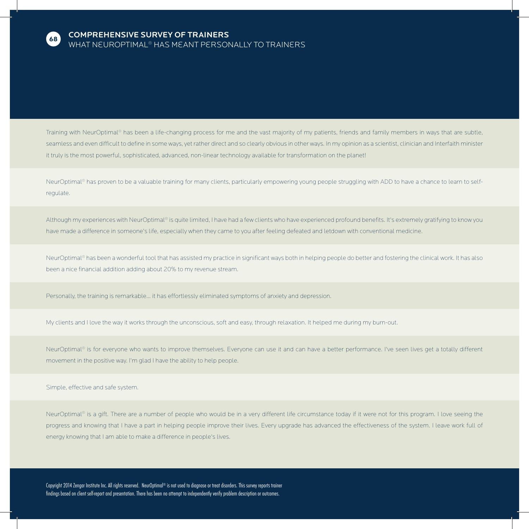

Training with NeurOptimal® has been a life-changing process for me and the vast majority of my patients, friends and family members in ways that are subtle, seamless and even difficult to define in some ways, yet rather direct and so clearly obvious in other ways. In my opinion as a scientist, clinician and Interfaith minister it truly is the most powerful, sophisticated, advanced, non-linear technology available for transformation on the planet!

NeurOptimal® has proven to be a valuable training for many clients, particularly empowering young people struggling with ADD to have a chance to learn to selfregulate.

Although my experiences with NeurOptimal® is quite limited, I have had a few clients who have experienced profound benefits. It's extremely gratifying to know you have made a difference in someone's life, especially when they came to you after feeling defeated and letdown with conventional medicine.

NeurOptimal® has been a wonderful tool that has assisted my practice in significant ways both in helping people do better and fostering the clinical work. It has also been a nice financial addition adding about 20% to my revenue stream.

Personally, the training is remarkable... it has effortlessly eliminated symptoms of anxiety and depression.

My clients and I love the way it works through the unconscious, soft and easy, through relaxation. It helped me during my burn-out.

NeurOptimal® is for everyone who wants to improve themselves. Everyone can use it and can have a better performance. I've seen lives get a totally different movement in the positive way. I'm glad I have the ability to help people.

Simple, effective and safe system.

NeurOptimal® is a gift. There are a number of people who would be in a very different life circumstance today if it were not for this program. I love seeing the progress and knowing that I have a part in helping people improve their lives. Every upgrade has advanced the effectiveness of the system. I leave work full of energy knowing that I am able to make a difference in people's lives.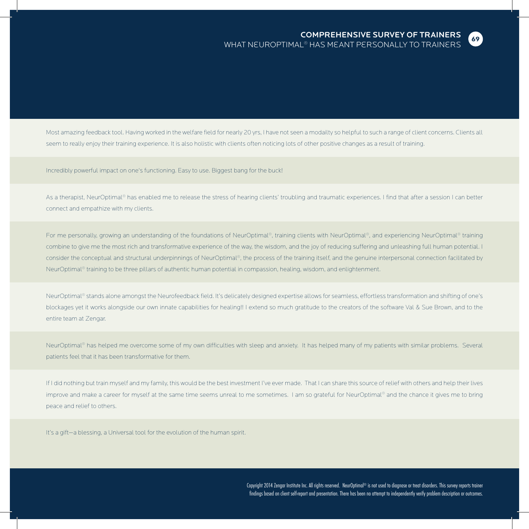

Most amazing feedback tool. Having worked in the welfare field for nearly 20 yrs, I have not seen a modailty so helpful to such a range of client concerns. Clients all seem to really enjoy their training experience. It is also holistic with clients often noticing lots of other positive changes as a result of training.

Incredibly powerful impact on one's functioning. Easy to use. Biggest bang for the buck!

As a therapist, NeurOptimal® has enabled me to release the stress of hearing clients' troubling and traumatic experiences. I find that after a session I can better connect and empathize with my clients.

For me personally, growing an understanding of the foundations of NeurOptimal®, training clients with NeurOptimal®, and experiencing NeurOptimal® training combine to give me the most rich and transformative experience of the way, the wisdom, and the joy of reducing suffering and unleashing full human potential. I consider the conceptual and structural underpinnings of NeurOptimal®, the process of the training itself, and the genuine interpersonal connection facilitated by NeurOptimal® training to be three pillars of authentic human potential in compassion, healing, wisdom, and enlightenment.

NeurOptimal® stands alone amongst the Neurofeedback field. It's delicately designed expertise allows for seamless, effortless transformation and shifting of one's blockages yet it works alongside our own innate capabilities for healing!! I extend so much gratitude to the creators of the software Val & Sue Brown, and to the entire team at Zengar.

NeurOptimal® has helped me overcome some of my own difficulties with sleep and anxiety. It has helped many of my patients with similar problems. Several patients feel that it has been transformative for them.

If I did nothing but train myself and my family, this would be the best investment I've ever made. That I can share this source of relief with others and help their lives improve and make a career for myself at the same time seems unreal to me sometimes. I am so grateful for NeurOptimal® and the chance it gives me to bring peace and relief to others.

It's a gift—a blessing, a Universal tool for the evolution of the human spirit.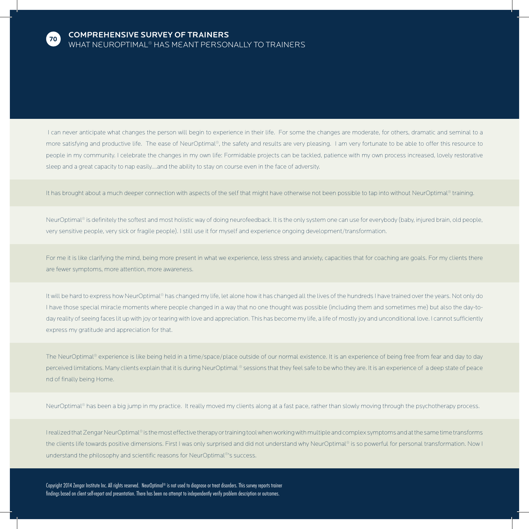

I can never anticipate what changes the person will begin to experience in their life. For some the changes are moderate, for others, dramatic and seminal to a more satisfying and productive life. The ease of NeurOptimal®, the safety and results are very pleasing. I am very fortunate to be able to offer this resource to people in my community. I celebrate the changes in my own life: Formidable projects can be tackled, patience with my own process increased, lovely restorative sleep and a great capacity to nap easily....and the ability to stay on course even in the face of adversity.

It has brought about a much deeper connection with aspects of the self that might have otherwise not been possible to tap into without NeurOptimal® training.

NeurOptimal® is definitely the softest and most holistic way of doing neurofeedback. It is the only system one can use for everybody (baby, injured brain, old people, very sensitive people, very sick or fragile people). I still use it for myself and experience ongoing development/transformation.

For me it is like clarifying the mind, being more present in what we experience, less stress and anxiety, capacities that for coaching are goals. For my clients there are fewer symptoms, more attention, more awareness.

It will be hard to express how NeurOptimal® has changed my life, let alone how it has changed all the lives of the hundreds I have trained over the years. Not only do I have those special miracle moments where people changed in a way that no one thought was possible (including them and sometimes me) but also the day-today reality of seeing faces lit up with joy or tearing with love and appreciation. This has become my life, a life of mostly joy and unconditional love. I cannot sufficiently express my gratitude and appreciation for that.

The NeurOptimal® experience is like being held in a time/space/place outside of our normal existence. It is an experience of being free from fear and day to day perceived limitations. Many clients explain that it is during NeurOptimal ® sessions that they feel safe to be who they are. It is an experience of a deep state of peace nd of finally being Home.

NeurOptimal® has been a big jump in my practice. It really moved my clients along at a fast pace, rather than slowly moving through the psychotherapy process.

I realized that Zengar NeurOptimal® is the most effective therapy or training tool when working with multiple and complex symptoms and at the same time transforms the clients life towards positive dimensions. First I was only surprised and did not understand why NeurOptimal® is so powerful for personal transformation. Now I understand the philosophy and scientific reasons for NeurOptimal®'s success.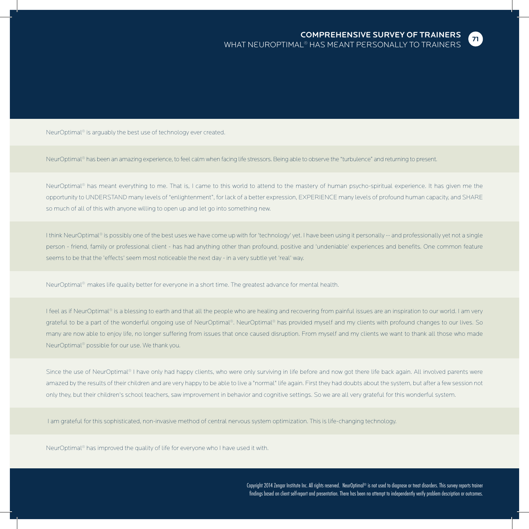NeurOptimal® is arguably the best use of technology ever created.

NeurOptimal® has been an amazing experience, to feel calm when facing life stressors. Being able to observe the "turbulence" and returning to present.

NeurOptimal® has meant everything to me. That is, I came to this world to attend to the mastery of human psycho-spiritual experience. It has given me the opportunity to UNDERSTAND many levels of "enlightenment", for lack of a better expression, EXPERIENCE many levels of profound human capacity, and SHARE so much of all of this with anyone willing to open up and let go into something new.

I think NeurOptimal® is possibly one of the best uses we have come up with for 'technology' yet. I have been using it personally -- and professionally yet not a single person - friend, family or professional client - has had anything other than profound, positive and 'undeniable' experiences and benefits. One common feature seems to be that the 'effects' seem most noticeable the next day - in a very subtle yet 'real' way.

NeurOptimal® makes life quality better for everyone in a short time. The greatest advance for mental health.

I feel as if NeurOptimal® is a blessing to earth and that all the people who are healing and recovering from painful issues are an inspiration to our world. I am very grateful to be a part of the wonderful ongoing use of NeurOptimal®. NeurOptimal® has provided myself and my clients with profound changes to our lives. So many are now able to enjoy life, no longer suffering from issues that once caused disruption. From myself and my clients we want to thank all those who made NeurOptimal® possible for our use. We thank you.

Since the use of NeurOptimal® I have only had happy clients, who were only surviving in life before and now got there life back again. All involved parents were amazed by the results of their children and are very happy to be able to live a "normal" life again. First they had doubts about the system, but after a few session not only they, but their children's school teachers, saw improvement in behavior and cognitive settings. So we are all very grateful for this wonderful system.

I am grateful for this sophisticated, non-invasive method of central nervous system optimization. This is life-changing technology.

NeurOptimal® has improved the quality of life for everyone who I have used it with.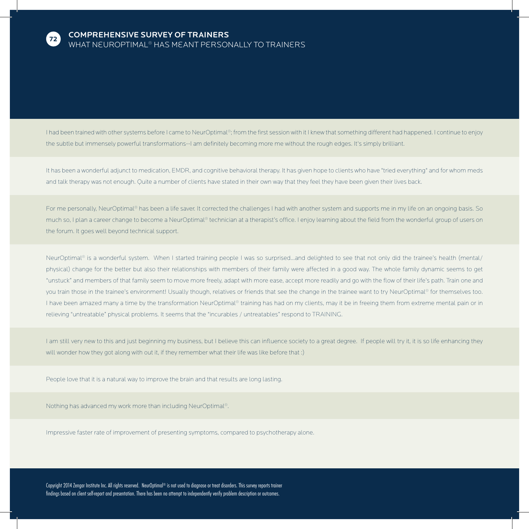

I had been trained with other systems before I came to NeurOptimal®; from the first session with it I knew that something different had happened. I continue to enjoy the subtle but immensely powerful transformations--I am definitely becoming more me without the rough edges. It's simply brilliant.

It has been a wonderful adjunct to medication, EMDR, and cognitive behavioral therapy. It has given hope to clients who have "tried everything" and for whom meds and talk therapy was not enough. Quite a number of clients have stated in their own way that they feel they have been given their lives back.

For me personally, NeurOptimal® has been a life saver. It corrected the challenges I had with another system and supports me in my life on an ongoing basis. So much so, I plan a career change to become a NeurOptimal® technician at a therapist's office. I enjoy learning about the field from the wonderful group of users on the forum. It goes well beyond technical support.

NeurOptimal® is a wonderful system. When I started training people I was so surprised...and delighted to see that not only did the trainee's health (mental/ physical) change for the better but also their relationships with members of their family were affected in a good way. The whole family dynamic seems to get "unstuck" and members of that family seem to move more freely, adapt with more ease, accept more readily and go with the flow of their life's path. Train one and you train those in the trainee's environment! Usually though, relatives or friends that see the change in the trainee want to try NeurOptimal® for themselves too. I have been amazed many a time by the transformation NeurOptimal® training has had on my clients, may it be in freeing them from extreme mental pain or in relieving "untreatable" physical problems. It seems that the "incurables / untreatables" respond to TRAINING.

I am still very new to this and just beginning my business, but I believe this can influence society to a great degree. If people will try it, it is so life enhancing they will wonder how they got along with out it, if they remember what their life was like before that :)

People love that it is a natural way to improve the brain and that results are long lasting.

Nothing has advanced my work more than including NeurOptimal®.

Impressive faster rate of improvement of presenting symptoms, compared to psychotherapy alone.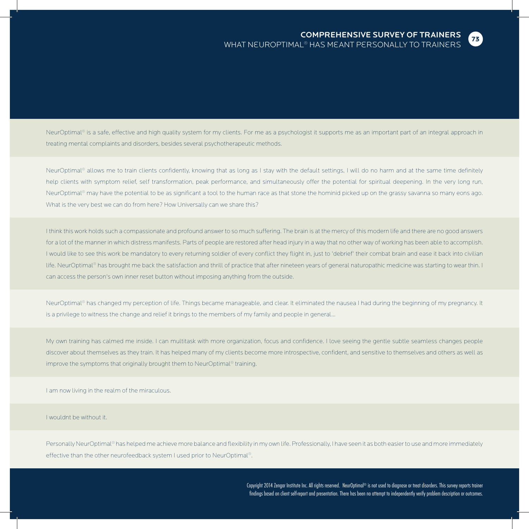

NeurOptimal® is a safe, effective and high quality system for my clients. For me as a psychologist it supports me as an important part of an integral approach in treating mental complaints and disorders, besides several psychotherapeutic methods.

NeurOptimal® allows me to train clients confidently, knowing that as long as I stay with the default settings, I will do no harm and at the same time definitely help clients with symptom relief, self transformation, peak performance, and simultaneously offer the potential for spiritual deepening. In the very long run, NeurOptimal® may have the potential to be as significant a tool to the human race as that stone the hominid picked up on the grassy savanna so many eons ago. What is the very best we can do from here? How Universally can we share this?

I think this work holds such a compassionate and profound answer to so much suffering. The brain is at the mercy of this modern life and there are no good answers for a lot of the manner in which distress manifests. Parts of people are restored after head injury in a way that no other way of working has been able to accomplish. I would like to see this work be mandatory to every returning soldier of every conflict they flight in, just to 'debrief' their combat brain and ease it back into civilian life. NeurOptimal® has brought me back the satisfaction and thrill of practice that after nineteen years of general naturopathic medicine was starting to wear thin. I can access the person's own inner reset button without imposing anything from the outside.

NeurOptimal® has changed my perception of life. Things became manageable, and clear. It eliminated the nausea I had during the beginning of my pregnancy. It is a privilege to witness the change and relief it brings to the members of my family and people in general...

My own training has calmed me inside. I can multitask with more organization, focus and confidence. I love seeing the gentle subtle seamless changes people discover about themselves as they train. It has helped many of my clients become more introspective, confident, and sensitive to themselves and others as well as improve the symptoms that originally brought them to NeurOptimal® training.

I am now living in the realm of the miraculous.

I wouldnt be without it.

Personally NeurOptimal® has helped me achieve more balance and flexibility in my own life. Professionally, I have seen it as both easier to use and more immediately effective than the other neurofeedback system I used prior to NeurOptimal®.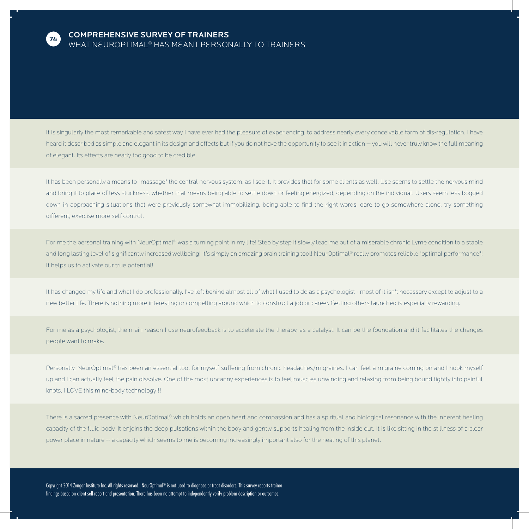

It is singularly the most remarkable and safest way I have ever had the pleasure of experiencing, to address nearly every conceivable form of dis-regulation. I have heard it described as simple and elegant in its design and effects but if you do not have the opportunity to see it in action - you will never truly know the full meaning of elegant. Its effects are nearly too good to be credible.

It has been personally a means to "massage" the central nervous system, as I see it. It provides that for some clients as well. Use seems to settle the nervous mind and bring it to place of less stuckness, whether that means being able to settle down or feeling energized, depending on the individual. Users seem less bogged down in approaching situations that were previously somewhat immobilizing, being able to find the right words, dare to go somewhere alone, try something different, exercise more self control.

For me the personal training with NeurOptimal® was a turning point in my life! Step by step it slowly lead me out of a miserable chronic Lyme condition to a stable and long lasting level of significantly increased wellbeing! It's simply an amazing brain training tool! NeurOptimal® really promotes reliable "optimal performance"! It helps us to activate our true potential!

It has changed my life and what I do professionally. I've left behind almost all of what I used to do as a psychologist - most of it isn't necessary except to adjust to a new better life. There is nothing more interesting or compelling around which to construct a job or career. Getting others launched is especially rewarding.

For me as a psychologist, the main reason I use neurofeedback is to accelerate the therapy, as a catalyst. It can be the foundation and it facilitates the changes people want to make.

Personally, NeurOptimal® has been an essential tool for myself suffering from chronic headaches/migraines. I can feel a migraine coming on and I hook myself up and I can actually feel the pain dissolve. One of the most uncanny experiences is to feel muscles unwinding and relaxing from being bound tightly into painful knots. I LOVE this mind-body technology!!!

There is a sacred presence with NeurOptimal® which holds an open heart and compassion and has a spiritual and biological resonance with the inherent healing capacity of the fluid body. It enjoins the deep pulsations within the body and gently supports healing from the inside out. It is like sitting in the stillness of a clear power place in nature -- a capacity which seems to me is becoming increasingly important also for the healing of this planet.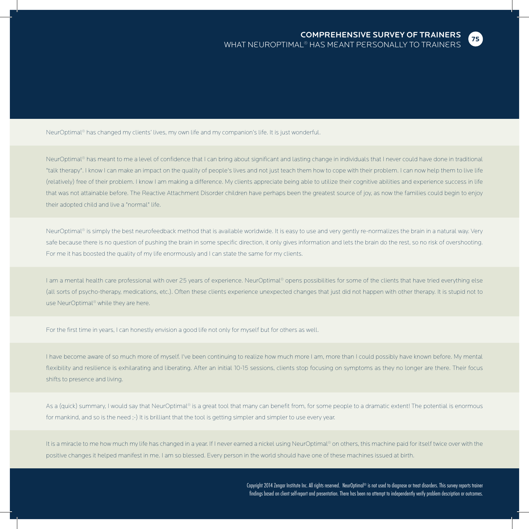**75**

NeurOptimal® has changed my clients' lives, my own life and my companion's life. It is just wonderful.

NeurOptimal® has meant to me a level of confidence that I can bring about significant and lasting change in individuals that I never could have done in traditional "talk therapy". I know I can make an impact on the quality of people's lives and not just teach them how to cope with their problem. I can now help them to live life (relatively) free of their problem. I know I am making a difference. My clients appreciate being able to utilize their cognitive abilities and experience success in life that was not attainable before. The Reactive Attachment Disorder children have perhaps been the greatest source of joy, as now the families could begin to enjoy their adopted child and live a "normal" life.

NeurOptimal® is simply the best neurofeedback method that is available worldwide. It is easy to use and very gently re-normalizes the brain in a natural way. Very safe because there is no question of pushing the brain in some specific direction, it only gives information and lets the brain do the rest, so no risk of overshooting. For me it has boosted the quality of my life enormously and I can state the same for my clients.

I am a mental health care professional with over 25 years of experience. NeurOptimal® opens possibilities for some of the clients that have tried everything else (all sorts of psycho-therapy, medications, etc.). Often these clients experience unexpected changes that just did not happen with other therapy. It is stupid not to use NeurOptimal® while they are here.

For the first time in years, I can honestly envision a good life not only for myself but for others as well.

I have become aware of so much more of myself. I've been continuing to realize how much more I am, more than I could possibly have known before. My mental flexibility and resilience is exhilarating and liberating. After an initial 10-15 sessions, clients stop focusing on symptoms as they no longer are there. Their focus shifts to presence and living.

As a (quick) summary, I would say that NeurOptimal® is a great tool that many can benefit from, for some people to a dramatic extent! The potential is enormous for mankind, and so is the need :-) It is brilliant that the tool is getting simpler and simpler to use every year.

It is a miracle to me how much my life has changed in a year. If I never earned a nickel using NeurOptimal® on others, this machine paid for itself twice over with the positive changes it helped manifest in me. I am so blessed. Every person in the world should have one of these machines issued at birth.